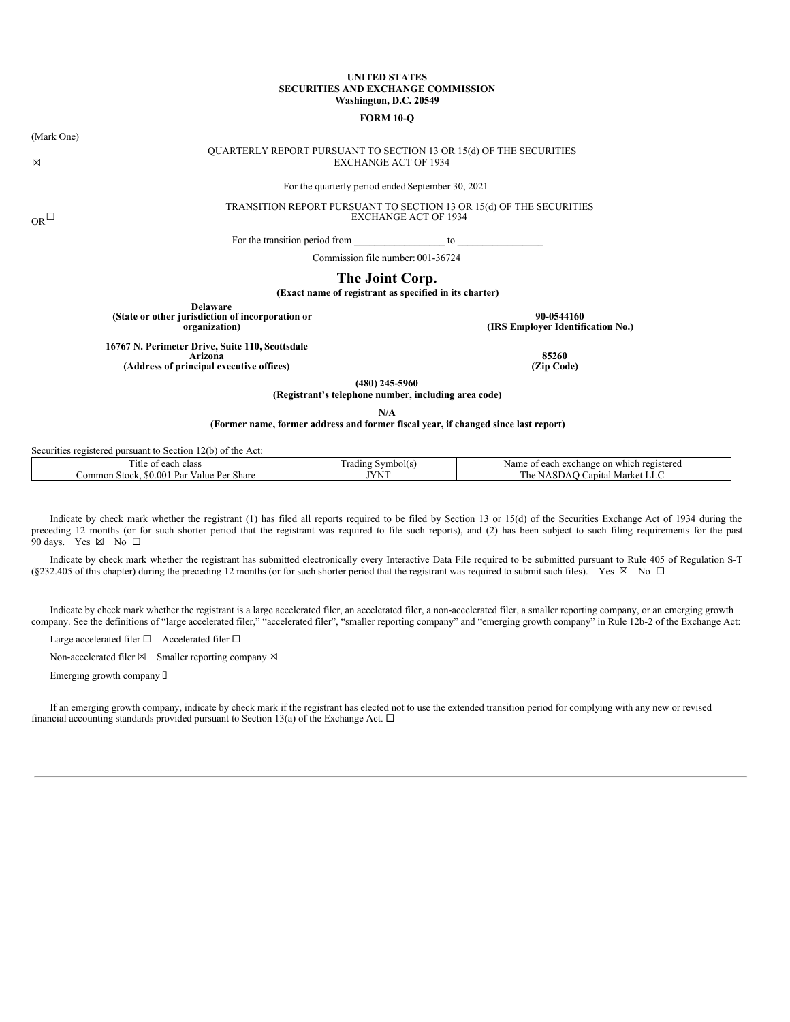### **UNITED STATES SECURITIES AND EXCHANGE COMMISSION Washington, D.C. 20549**

#### **FORM 10-Q**

(Mark One)

☒

### QUARTERLY REPORT PURSUANT TO SECTION 13 OR 15(d) OF THE SECURITIES EXCHANGE ACT OF 1934

For the quarterly period ended September 30, 2021

OR $\Box$ 

TRANSITION REPORT PURSUANT TO SECTION 13 OR 15(d) OF THE SECURITIES EXCHANGE ACT OF 1934

For the transition period from \_\_\_\_\_\_\_\_\_\_\_\_\_\_\_\_\_\_ to \_\_\_\_\_\_\_\_\_\_\_\_\_\_\_\_\_

Commission file number: 001-36724

## **The Joint Corp.**

### **(Exact name of registrant as specified in its charter)**

**Delaware (State or other jurisdiction of incorporation or organization)**

**90-0544160 (IRS Employer Identification No.)**

**16767 N. Perimeter Drive, Suite 110, Scottsdale Arizona (Address of principal executive offices)**

**85260 (Zip Code)**

**(480) 245-5960**

**(Registrant's telephone number, including area code)**

**N/A**

### **(Former name, former address and former fiscal year, if changed since last report)**

| 12(b) of the Act:<br>Securities registered pursuant to Section |                    |                                                |
|----------------------------------------------------------------|--------------------|------------------------------------------------|
| Title of each class                                            | Symbol(s<br>radıng | f each exchange on which registered<br>Name of |
| l Par Value Per Share<br>\$0.001<br>Common Stock.              | <b>IVNIT</b>       | Capital Market LLC<br>NASDAO.<br>he            |

Indicate by check mark whether the registrant (1) has filed all reports required to be filed by Section 13 or 15(d) of the Securities Exchange Act of 1934 during the preceding 12 months (or for such shorter period that the registrant was required to file such reports), and (2) has been subject to such filing requirements for the past 90 days. Yes  $\boxtimes$  No  $\square$ 

Indicate by check mark whether the registrant has submitted electronically every Interactive Data File required to be submitted pursuant to Rule 405 of Regulation S-T (§232.405 of this chapter) during the preceding 12 months (or for such shorter period that the registrant was required to submit such files). Yes  $\boxtimes$  No  $\Box$ 

Indicate by check mark whether the registrant is a large accelerated filer, an accelerated filer, a non-accelerated filer, a smaller reporting company, or an emerging growth company. See the definitions of "large accelerated filer," "accelerated filer", "smaller reporting company" and "emerging growth company" in Rule 12b-2 of the Exchange Act:

Large accelerated filer  $\square$  Accelerated filer  $\square$ 

Non-accelerated filer  $\boxtimes$  Smaller reporting company  $\boxtimes$ 

Emerging growth company  $\square$ 

If an emerging growth company, indicate by check mark if the registrant has elected not to use the extended transition period for complying with any new or revised financial accounting standards provided pursuant to Section 13(a) of the Exchange Act.  $\Box$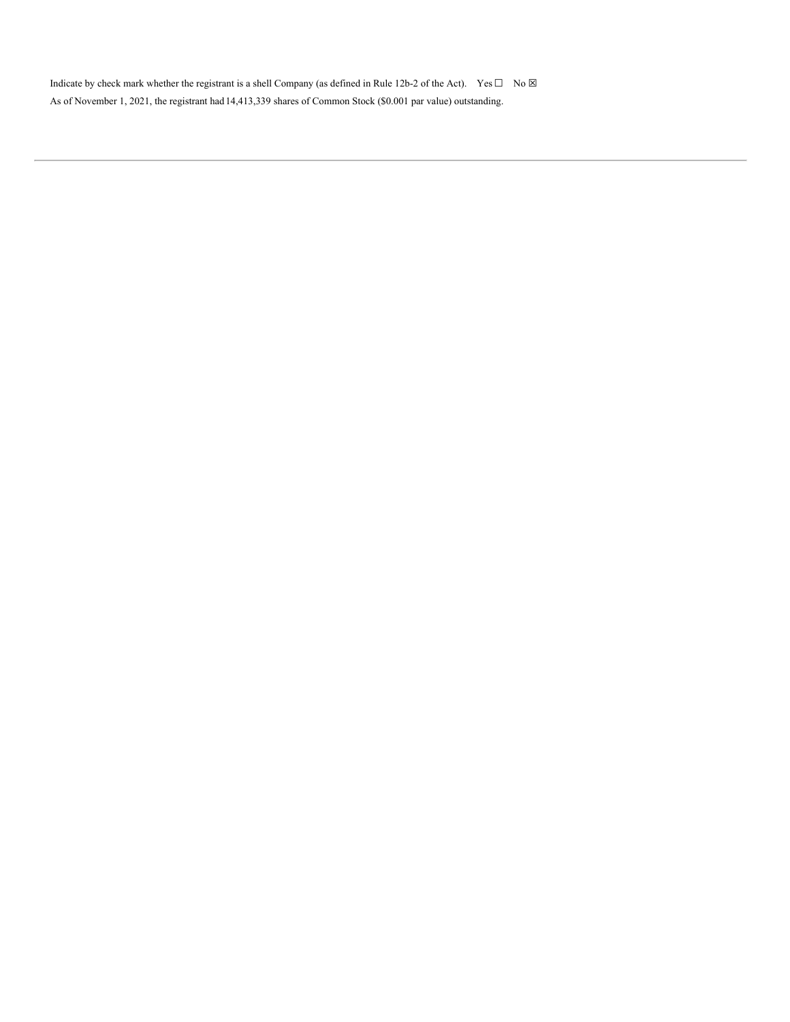<span id="page-1-0"></span>Indicate by check mark whether the registrant is a shell Company (as defined in Rule 12b-2 of the Act). Yes  $\Box$  No  $\boxtimes$ As of November 1, 2021, the registrant had14,413,339 shares of Common Stock (\$0.001 par value) outstanding.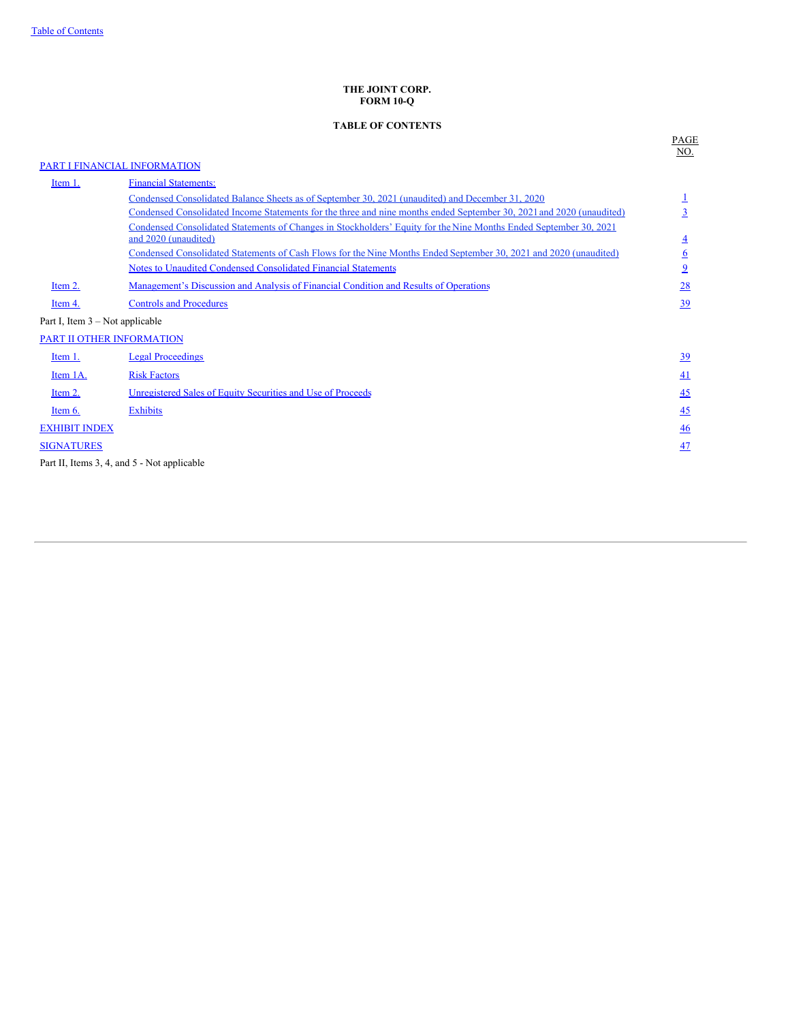# **THE JOINT CORP. FORM 10-Q**

# **TABLE OF CONTENTS**

<span id="page-2-0"></span>

|                                   |                                                                                                                                           | PAGE            |
|-----------------------------------|-------------------------------------------------------------------------------------------------------------------------------------------|-----------------|
| PART I FINANCIAL INFORMATION      |                                                                                                                                           | NO.             |
| Item 1.                           | <b>Financial Statements:</b>                                                                                                              |                 |
|                                   | Condensed Consolidated Balance Sheets as of September 30, 2021 (unaudited) and December 31, 2020                                          |                 |
|                                   | Condensed Consolidated Income Statements for the three and nine months ended September 30, 2021 and 2020 (unaudited)                      | $\overline{3}$  |
|                                   |                                                                                                                                           |                 |
|                                   | Condensed Consolidated Statements of Changes in Stockholders' Equity for the Nine Months Ended September 30, 2021<br>and 2020 (unaudited) | $\overline{4}$  |
|                                   | Condensed Consolidated Statements of Cash Flows for the Nine Months Ended September 30, 2021 and 2020 (unaudited)                         | $\underline{6}$ |
|                                   | <b>Notes to Unaudited Condensed Consolidated Financial Statements</b>                                                                     | $\overline{2}$  |
| Item 2.                           | <u>Management's Discussion and Analysis of Financial Condition and Results of Operations</u>                                              | 28              |
| Item 4.                           | <b>Controls and Procedures</b>                                                                                                            | 39              |
| Part I, Item $3 - Not$ applicable |                                                                                                                                           |                 |
| PART II OTHER INFORMATION         |                                                                                                                                           |                 |
| Item 1.                           | <b>Legal Proceedings</b>                                                                                                                  | 39              |
| Item 1A.                          | <b>Risk Factors</b>                                                                                                                       | 41              |
| Item 2.                           | Unregistered Sales of Equity Securities and Use of Proceeds                                                                               | $\overline{45}$ |
| Item 6.                           | <b>Exhibits</b>                                                                                                                           | <u>45</u>       |
| <b>EXHIBIT INDEX</b>              |                                                                                                                                           | 46              |
| <b>SIGNATURES</b>                 |                                                                                                                                           | 47              |
|                                   | Part II, Items 3, 4, and 5 - Not applicable                                                                                               |                 |
|                                   |                                                                                                                                           |                 |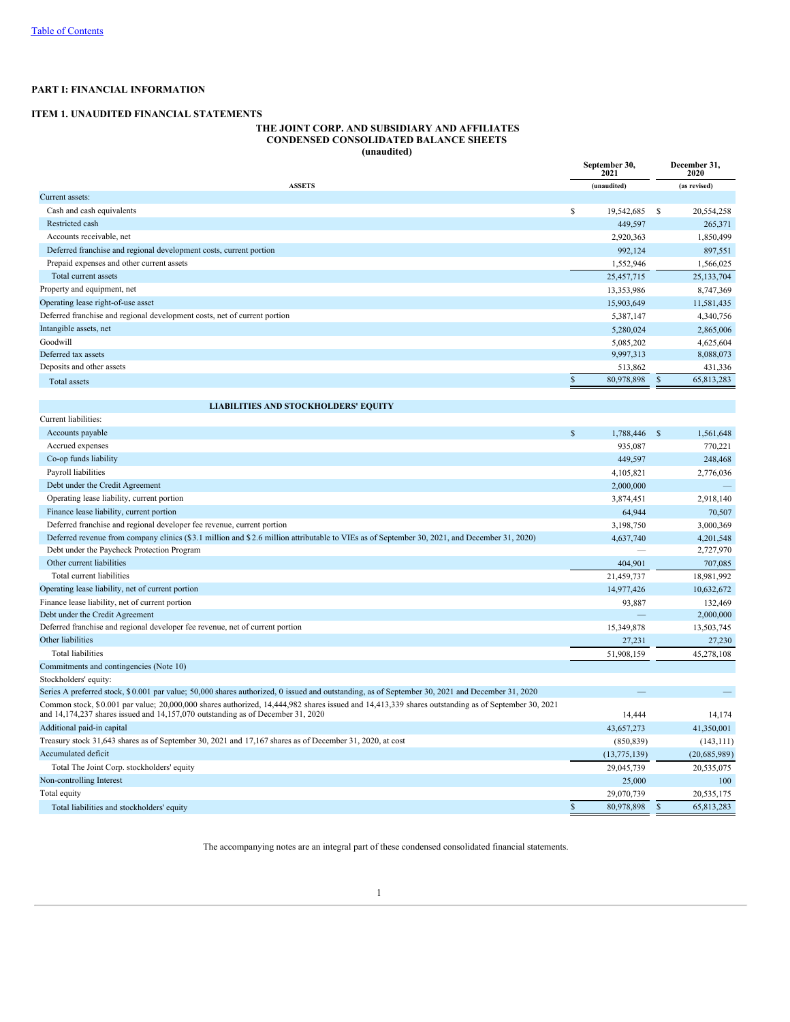## <span id="page-3-0"></span>**PART I: FINANCIAL INFORMATION**

## <span id="page-3-1"></span>**ITEM 1. UNAUDITED FINANCIAL STATEMENTS**

### **THE JOINT CORP. AND SUBSIDIARY AND AFFILIATES CONDENSED CONSOLIDATED BALANCE SHEETS (unaudited)**

|                                                                                                                                                                                                                                       |               | September 30,<br>2021 |              | December 31,<br>2020   |  |
|---------------------------------------------------------------------------------------------------------------------------------------------------------------------------------------------------------------------------------------|---------------|-----------------------|--------------|------------------------|--|
| <b>ASSETS</b>                                                                                                                                                                                                                         |               | (unaudited)           |              | (as revised)           |  |
| Current assets:                                                                                                                                                                                                                       |               |                       |              |                        |  |
| Cash and cash equivalents                                                                                                                                                                                                             | $\mathbb{S}$  | 19,542,685            | \$           | 20,554,258             |  |
| Restricted cash                                                                                                                                                                                                                       |               | 449,597               |              | 265,371                |  |
| Accounts receivable, net                                                                                                                                                                                                              |               | 2,920,363             |              | 1,850,499              |  |
| Deferred franchise and regional development costs, current portion                                                                                                                                                                    |               | 992,124               |              | 897,551                |  |
| Prepaid expenses and other current assets                                                                                                                                                                                             |               | 1,552,946             |              | 1,566,025              |  |
| Total current assets                                                                                                                                                                                                                  |               | 25,457,715            |              | 25,133,704             |  |
| Property and equipment, net                                                                                                                                                                                                           |               | 13,353,986            |              | 8,747,369              |  |
| Operating lease right-of-use asset                                                                                                                                                                                                    |               | 15,903,649            |              | 11,581,435             |  |
| Deferred franchise and regional development costs, net of current portion                                                                                                                                                             |               | 5,387,147             |              | 4,340,756              |  |
| Intangible assets, net                                                                                                                                                                                                                |               | 5,280,024             |              | 2,865,006              |  |
| Goodwill                                                                                                                                                                                                                              |               | 5,085,202             |              | 4,625,604              |  |
| Deferred tax assets                                                                                                                                                                                                                   |               | 9,997,313             |              | 8,088,073              |  |
| Deposits and other assets                                                                                                                                                                                                             |               | 513,862               |              | 431,336                |  |
| <b>Total</b> assets                                                                                                                                                                                                                   | $\mathbb{S}$  | 80,978,898            | $\mathbb{S}$ | 65,813,283             |  |
|                                                                                                                                                                                                                                       |               |                       |              |                        |  |
| <b>LIABILITIES AND STOCKHOLDERS' EQUITY</b>                                                                                                                                                                                           |               |                       |              |                        |  |
| Current liabilities:                                                                                                                                                                                                                  |               |                       |              |                        |  |
| Accounts payable                                                                                                                                                                                                                      | $\mathbb{S}$  | 1,788,446             | $\mathbb{S}$ | 1,561,648              |  |
| Accrued expenses                                                                                                                                                                                                                      |               | 935,087               |              | 770,221                |  |
| Co-op funds liability                                                                                                                                                                                                                 |               | 449,597               |              | 248,468                |  |
| Payroll liabilities                                                                                                                                                                                                                   |               | 4,105,821             |              | 2,776,036              |  |
| Debt under the Credit Agreement                                                                                                                                                                                                       |               | 2,000,000             |              |                        |  |
| Operating lease liability, current portion                                                                                                                                                                                            |               |                       |              |                        |  |
| Finance lease liability, current portion                                                                                                                                                                                              |               | 3,874,451             |              | 2,918,140              |  |
| Deferred franchise and regional developer fee revenue, current portion                                                                                                                                                                |               | 64,944                |              | 70,507                 |  |
|                                                                                                                                                                                                                                       |               | 3,198,750             |              | 3,000,369              |  |
| Deferred revenue from company clinics (\$3.1 million and \$2.6 million attributable to VIEs as of September 30, 2021, and December 31, 2020)<br>Debt under the Paycheck Protection Program                                            |               | 4,637,740             |              | 4,201,548<br>2,727,970 |  |
| Other current liabilities                                                                                                                                                                                                             |               | 404,901               |              | 707,085                |  |
| Total current liabilities                                                                                                                                                                                                             |               |                       |              |                        |  |
|                                                                                                                                                                                                                                       |               | 21,459,737            |              | 18,981,992             |  |
| Operating lease liability, net of current portion                                                                                                                                                                                     |               | 14,977,426            |              | 10,632,672             |  |
| Finance lease liability, net of current portion                                                                                                                                                                                       |               | 93,887                |              | 132,469                |  |
| Debt under the Credit Agreement                                                                                                                                                                                                       |               |                       |              | 2,000,000              |  |
| Deferred franchise and regional developer fee revenue, net of current portion                                                                                                                                                         |               | 15,349,878            |              | 13,503,745             |  |
| Other liabilities                                                                                                                                                                                                                     |               | 27,231                |              | 27,230                 |  |
| <b>Total liabilities</b>                                                                                                                                                                                                              |               | 51,908,159            |              | 45,278,108             |  |
| Commitments and contingencies (Note 10)                                                                                                                                                                                               |               |                       |              |                        |  |
| Stockholders' equity:                                                                                                                                                                                                                 |               |                       |              |                        |  |
| Series A preferred stock, \$0.001 par value; 50,000 shares authorized, 0 issued and outstanding, as of September 30, 2021 and December 31, 2020                                                                                       |               |                       |              |                        |  |
| Common stock, \$0.001 par value; 20,000,000 shares authorized, 14,444,982 shares issued and 14,413,339 shares outstanding as of September 30, 2021<br>and 14,174,237 shares issued and 14,157,070 outstanding as of December 31, 2020 |               | 14,444                |              | 14,174                 |  |
| Additional paid-in capital                                                                                                                                                                                                            |               | 43,657,273            |              | 41,350,001             |  |
| Treasury stock 31,643 shares as of September 30, 2021 and 17,167 shares as of December 31, 2020, at cost                                                                                                                              |               | (850, 839)            |              | (143, 111)             |  |
| Accumulated deficit                                                                                                                                                                                                                   |               | (13, 775, 139)        |              | (20, 685, 989)         |  |
| Total The Joint Corp. stockholders' equity                                                                                                                                                                                            |               | 29,045,739            |              | 20,535,075             |  |
| Non-controlling Interest                                                                                                                                                                                                              |               | 25,000                |              | 100                    |  |
| Total equity                                                                                                                                                                                                                          |               | 29,070,739            |              | 20,535,175             |  |
| Total liabilities and stockholders' equity                                                                                                                                                                                            | $\mathsf{\$}$ | 80,978,898            | $\mathbb{S}$ | 65,813,283             |  |

<span id="page-3-2"></span>The accompanying notes are an integral part of these condensed consolidated financial statements.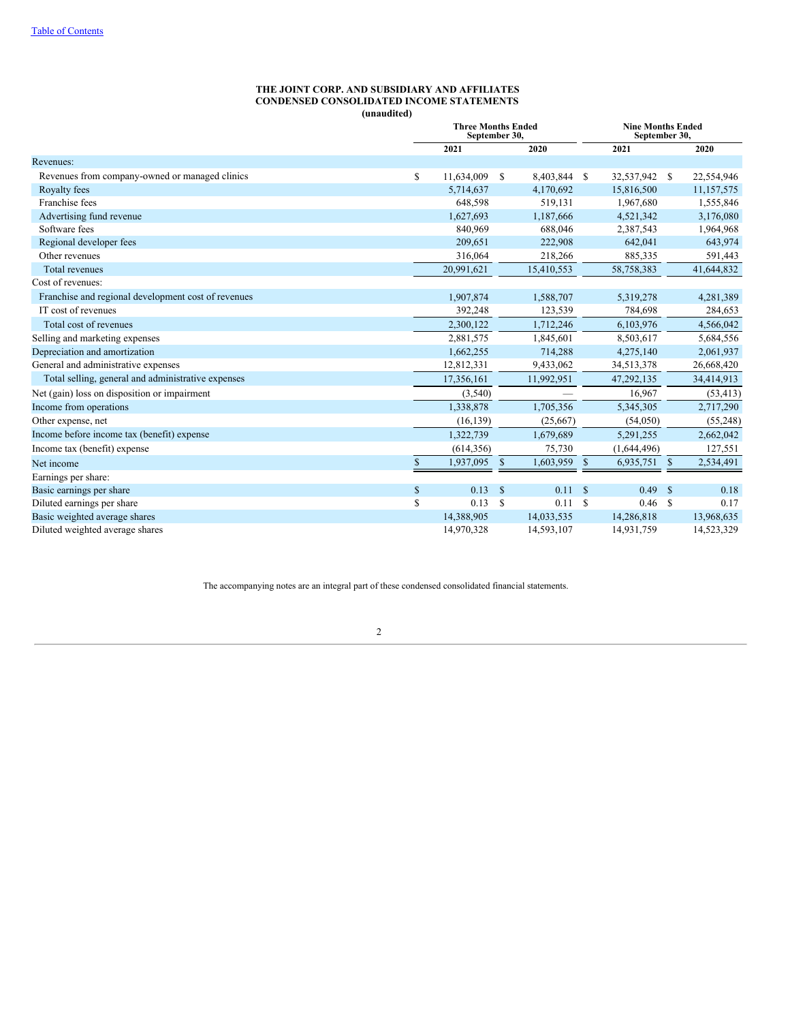#### **THE JOINT CORP. AND SUBSIDIARY AND AFFILIATES CONDENSED CONSOLIDATED INCOME STATEMENTS (unaudited)**

|                                                     | <b>Three Months Ended</b> | September 30, |              | <b>Nine Months Ended</b><br>September 30, |             |              |            |
|-----------------------------------------------------|---------------------------|---------------|--------------|-------------------------------------------|-------------|--------------|------------|
|                                                     | 2021                      |               | 2020         |                                           | 2021        |              | 2020       |
| Revenues:                                           |                           |               |              |                                           |             |              |            |
| Revenues from company-owned or managed clinics      | \$<br>11,634,009          | <sup>\$</sup> | 8,403,844 \$ |                                           | 32,537,942  | -S           | 22,554,946 |
| Royalty fees                                        | 5,714,637                 |               | 4,170,692    |                                           | 15,816,500  |              | 11,157,575 |
| Franchise fees                                      | 648.598                   |               | 519,131      |                                           | 1,967,680   |              | 1,555,846  |
| Advertising fund revenue                            | 1,627,693                 |               | 1,187,666    |                                           | 4,521,342   |              | 3,176,080  |
| Software fees                                       | 840,969                   |               | 688,046      |                                           | 2,387,543   |              | 1,964,968  |
| Regional developer fees                             | 209,651                   |               | 222,908      |                                           | 642,041     |              | 643,974    |
| Other revenues                                      | 316,064                   |               | 218,266      |                                           | 885,335     |              | 591,443    |
| Total revenues                                      | 20,991,621                |               | 15,410,553   |                                           | 58,758,383  |              | 41,644,832 |
| Cost of revenues:                                   |                           |               |              |                                           |             |              |            |
| Franchise and regional development cost of revenues | 1,907,874                 |               | 1,588,707    |                                           | 5,319,278   |              | 4,281,389  |
| IT cost of revenues                                 | 392,248                   |               | 123,539      |                                           | 784,698     |              | 284,653    |
| Total cost of revenues                              | 2,300,122                 |               | 1,712,246    |                                           | 6,103,976   |              | 4,566,042  |
| Selling and marketing expenses                      | 2,881,575                 |               | 1,845,601    |                                           | 8,503,617   |              | 5,684,556  |
| Depreciation and amortization                       | 1,662,255                 |               | 714,288      |                                           | 4,275,140   |              | 2,061,937  |
| General and administrative expenses                 | 12,812,331                |               | 9,433,062    |                                           | 34,513,378  |              | 26,668,420 |
| Total selling, general and administrative expenses  | 17,356,161                |               | 11,992,951   |                                           | 47,292,135  |              | 34,414,913 |
| Net (gain) loss on disposition or impairment        | (3,540)                   |               |              |                                           | 16,967      |              | (53, 413)  |
| Income from operations                              | 1,338,878                 |               | 1,705,356    |                                           | 5,345,305   |              | 2,717,290  |
| Other expense, net                                  | (16, 139)                 |               | (25,667)     |                                           | (54,050)    |              | (55,248)   |
| Income before income tax (benefit) expense          | 1,322,739                 |               | 1,679,689    |                                           | 5,291,255   |              | 2,662,042  |
| Income tax (benefit) expense                        | (614, 356)                |               | 75,730       |                                           | (1,644,496) |              | 127,551    |
| Net income                                          | \$<br>1,937,095           | $\mathsf{\$}$ | 1,603,959    | $\mathcal{S}$                             | 6,935,751   | $\mathbb{S}$ | 2,534,491  |
| Earnings per share:                                 |                           |               |              |                                           |             |              |            |
| Basic earnings per share                            | \$<br>0.13                | $\mathbf S$   | 0.11         | <sup>\$</sup>                             | 0.49        | <sup>S</sup> | 0.18       |
| Diluted earnings per share                          | \$<br>0.13                | <sup>\$</sup> | 0.11         | <sup>\$</sup>                             | $0.46$ \$   |              | 0.17       |
| Basic weighted average shares                       | 14,388,905                |               | 14,033,535   |                                           | 14,286,818  |              | 13,968,635 |
| Diluted weighted average shares                     | 14,970,328                |               | 14,593,107   |                                           | 14,931,759  |              | 14,523,329 |

<span id="page-4-0"></span>The accompanying notes are an integral part of these condensed consolidated financial statements.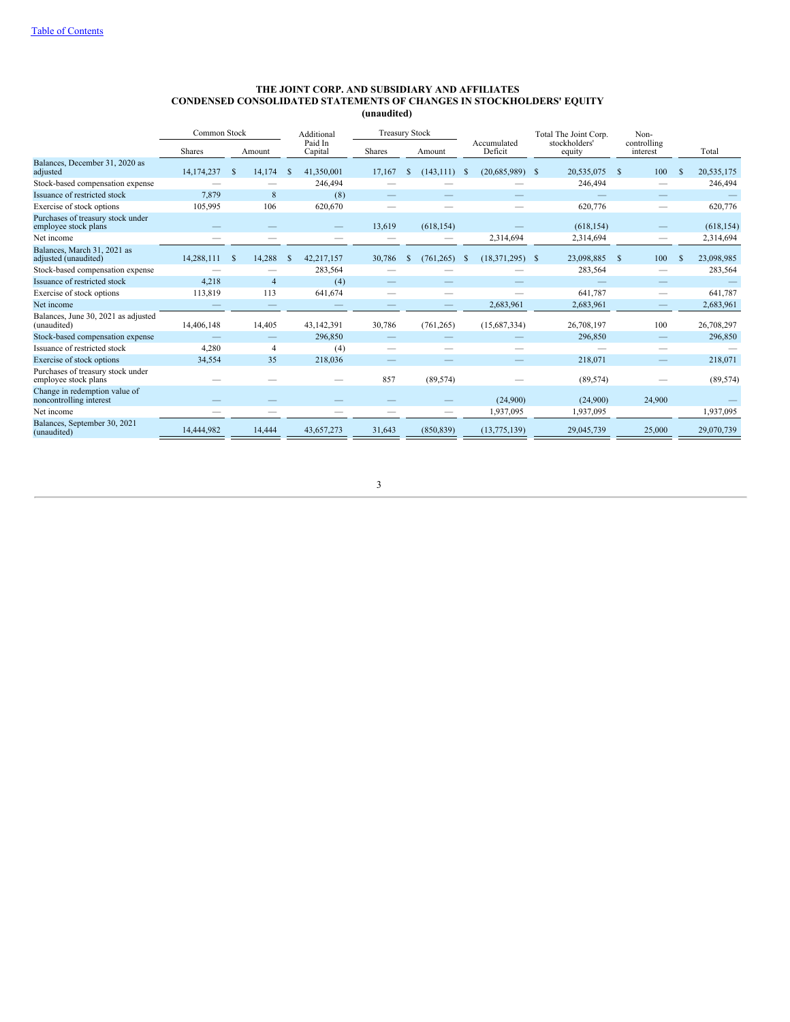#### **THE JOINT CORP. AND SUBSIDIARY AND AFFILIATES CONDENSED CONSOLIDATED STATEMENTS OF CHANGES IN STOCKHOLDERS' EQUITY (unaudited)**

|                                                           | Common Stock  |                | Additional                  |               | <b>Treasury Stock</b> |            |     |                        |     | Total The Joint Corp.   | Non- |                         |    |            |
|-----------------------------------------------------------|---------------|----------------|-----------------------------|---------------|-----------------------|------------|-----|------------------------|-----|-------------------------|------|-------------------------|----|------------|
|                                                           | <b>Shares</b> | Amount         | Paid In<br>Capital          | <b>Shares</b> |                       | Amount     |     | Accumulated<br>Deficit |     | stockholders'<br>equity |      | controlling<br>interest |    | Total      |
| Balances, December 31, 2020 as<br>adjusted                | 14, 174, 237  | 14,174<br>-S   | 41,350,001<br><sup>\$</sup> | 17,167        | -S                    | (143, 111) | - S | (20, 685, 989)         | - S | 20,535,075              | - \$ | 100                     | -S | 20,535,175 |
| Stock-based compensation expense                          |               |                | 246,494                     |               |                       |            |     |                        |     | 246,494                 |      |                         |    | 246,494    |
| Issuance of restricted stock                              | 7,879         | 8              |                             | (8)           |                       |            |     |                        |     |                         |      |                         |    |            |
| Exercise of stock options                                 | 105,995       | 106            | 620,670                     |               |                       |            |     |                        |     | 620,776                 |      |                         |    | 620,776    |
| Purchases of treasury stock under<br>employee stock plans |               |                |                             | 13,619        |                       | (618, 154) |     |                        |     | (618, 154)              |      |                         |    | (618, 154) |
| Net income                                                |               |                |                             |               |                       |            |     | 2,314,694              |     | 2,314,694               |      |                         |    | 2,314,694  |
| Balances, March 31, 2021 as<br>adjusted (unaudited)       | 14,288,111    | 14,288<br>-S   | 42,217,157<br><sup>\$</sup> | 30,786        | -S                    | (761, 265) | -8  | $(18,371,295)$ \$      |     | 23,098,885 \$           |      | 100                     |    | 23,098,985 |
| Stock-based compensation expense                          |               |                | 283,564                     |               |                       |            |     |                        |     | 283,564                 |      |                         |    | 283,564    |
| Issuance of restricted stock                              | 4,218         | $\overline{4}$ |                             | (4)           |                       |            |     |                        |     |                         |      |                         |    |            |
| Exercise of stock options                                 | 113,819       | 113            | 641,674                     |               |                       |            |     |                        |     | 641,787                 |      |                         |    | 641,787    |
| Net income                                                |               |                |                             |               |                       |            |     | 2,683,961              |     | 2,683,961               |      |                         |    | 2,683,961  |
| Balances, June 30, 2021 as adjusted<br>(unaudited)        | 14,406,148    | 14,405         | 43,142,391                  | 30,786        |                       | (761, 265) |     | (15,687,334)           |     | 26,708,197              |      | 100                     |    | 26,708,297 |
| Stock-based compensation expense                          |               |                | 296,850                     |               |                       |            |     |                        |     | 296,850                 |      |                         |    | 296,850    |
| Issuance of restricted stock                              | 4,280         | $\overline{4}$ |                             | (4)           |                       |            |     |                        |     |                         |      |                         |    |            |
| Exercise of stock options                                 | 34,554        | 35             | 218,036                     |               |                       |            |     |                        |     | 218,071                 |      |                         |    | 218,071    |
| Purchases of treasury stock under<br>employee stock plans |               |                |                             | 857           |                       | (89, 574)  |     |                        |     | (89, 574)               |      |                         |    | (89, 574)  |
| Change in redemption value of<br>noncontrolling interest  |               |                |                             |               |                       |            |     | (24,900)               |     | (24,900)                |      | 24,900                  |    |            |
| Net income                                                |               |                |                             |               |                       |            |     | 1,937,095              |     | 1,937,095               |      |                         |    | 1,937,095  |
| Balances, September 30, 2021<br>(unaudited)               | 14,444,982    | 14,444         | 43,657,273                  | 31,643        |                       | (850, 839) |     | (13, 775, 139)         |     | 29,045,739              |      | 25,000                  |    | 29,070,739 |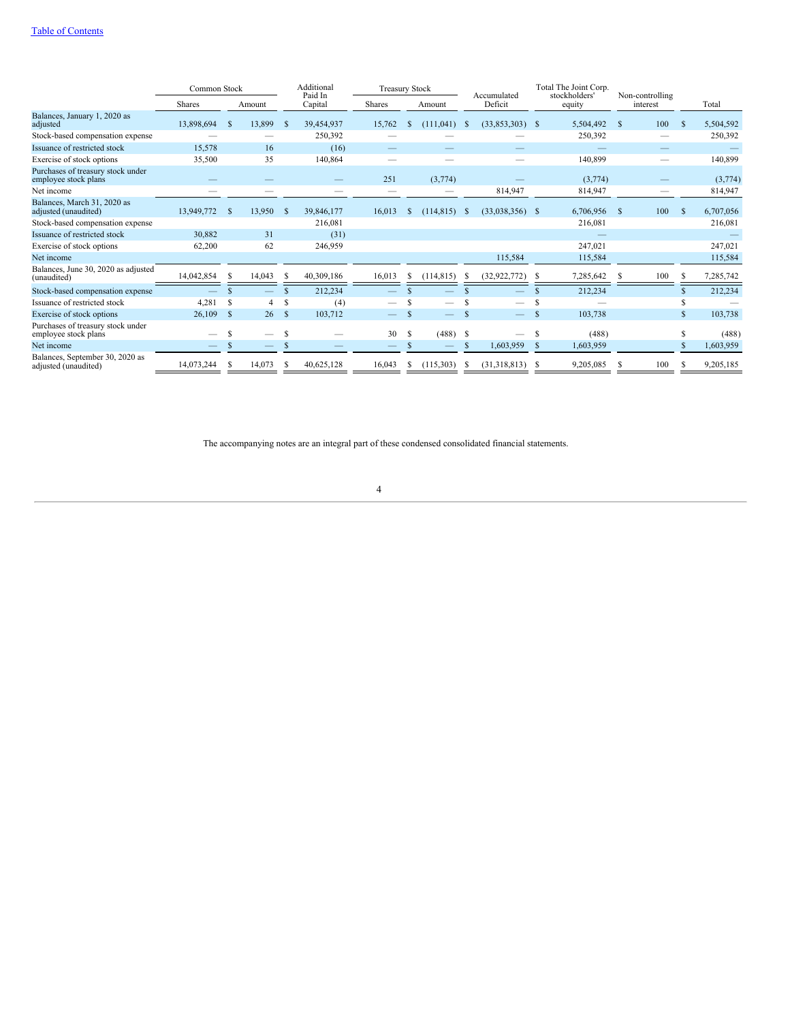|                                                           | Common Stock             |     |        |          | Additional<br>Paid In           | <b>Treasury Stock</b>           |               |                                 |          | Accumulated       |    | Total The Joint Corp.<br>stockholders' |      | Non-controlling |              |           |  |  |  |  |
|-----------------------------------------------------------|--------------------------|-----|--------|----------|---------------------------------|---------------------------------|---------------|---------------------------------|----------|-------------------|----|----------------------------------------|------|-----------------|--------------|-----------|--|--|--|--|
|                                                           | <b>Shares</b>            |     | Amount |          | Capital                         | <b>Shares</b>                   |               | Amount                          |          | Deficit           |    | equity                                 |      | interest        |              | Total     |  |  |  |  |
| Balances, January 1, 2020 as<br>adjusted                  | 13,898,694               | -S  | 13,899 | - \$     | 39,454,937                      | 15,762                          | -8            | $(111.041)$ \$                  |          | $(33,853,303)$ \$ |    | 5.504,492                              | - \$ | 100             | <sup>S</sup> | 5,504,592 |  |  |  |  |
| Stock-based compensation expense                          |                          |     |        |          | 250,392                         |                                 |               |                                 |          |                   |    | 250,392                                |      |                 |              | 250,392   |  |  |  |  |
| Issuance of restricted stock                              | 15,578                   |     | 16     |          | (16)                            |                                 |               |                                 |          |                   |    |                                        |      |                 |              |           |  |  |  |  |
| Exercise of stock options                                 | 35,500                   |     | 35     |          | 140,864                         |                                 |               |                                 |          |                   |    | 140,899                                |      |                 |              | 140,899   |  |  |  |  |
| Purchases of treasury stock under<br>employee stock plans |                          |     |        |          |                                 | 251                             |               | (3,774)                         |          |                   |    | (3,774)                                |      |                 |              | (3,774)   |  |  |  |  |
| Net income                                                | $\overline{\phantom{a}}$ |     |        |          | $\hspace{0.1mm}-\hspace{0.1mm}$ | $\hspace{0.1mm}-\hspace{0.1mm}$ |               |                                 |          | 814,947           |    | 814,947                                |      |                 |              | 814,947   |  |  |  |  |
| Balances, March 31, 2020 as<br>adjusted (unaudited)       | 13,949,772               | - S | 13,950 | -S       | 39,846,177                      | 16,013                          | <sup>\$</sup> | (114, 815)                      | - S      | $(33,038,356)$ \$ |    | 6,706,956                              | - \$ | 100             | <sup>S</sup> | 6,707,056 |  |  |  |  |
| Stock-based compensation expense                          |                          |     |        |          | 216,081                         |                                 |               |                                 |          |                   |    | 216,081                                |      |                 |              | 216,081   |  |  |  |  |
| Issuance of restricted stock                              | 30,882                   |     | 31     |          | (31)                            |                                 |               |                                 |          |                   |    |                                        |      |                 |              |           |  |  |  |  |
| Exercise of stock options                                 | 62,200                   |     | 62     |          | 246,959                         |                                 |               |                                 |          |                   |    | 247,021                                |      |                 |              | 247,021   |  |  |  |  |
| Net income                                                |                          |     |        |          |                                 |                                 |               |                                 |          | 115,584           |    | 115,584                                |      |                 |              | 115,584   |  |  |  |  |
| Balances, June 30, 2020 as adjusted<br>(unaudited)        | 14,042,854               |     | 14,043 |          | 40,309,186                      | 16,013                          |               | (114, 815)                      |          | (32, 922, 772)    |    | 7,285,642                              |      | 100             | S            | 7,285,742 |  |  |  |  |
| Stock-based compensation expense                          |                          |     |        |          | 212,234                         |                                 |               |                                 |          |                   |    | 212,234                                |      |                 | S            | 212,234   |  |  |  |  |
| Issuance of restricted stock                              | 4,281                    | S   |        | <b>S</b> | (4)                             |                                 |               |                                 |          |                   |    |                                        |      |                 |              |           |  |  |  |  |
| Exercise of stock options                                 | 26,109                   | -S  | 26S    |          | 103,712                         |                                 | <sup>\$</sup> |                                 | <b>S</b> |                   |    | 103,738                                |      |                 | S            | 103,738   |  |  |  |  |
| Purchases of treasury stock under<br>employee stock plans |                          |     |        |          |                                 | 30                              | -S            | (488)                           | - S      |                   | S  | (488)                                  |      |                 | S            | (488)     |  |  |  |  |
| Net income                                                |                          |     |        |          |                                 |                                 |               | $\hspace{0.1mm}-\hspace{0.1mm}$ | -S       | 1,603,959         | -S | 1,603,959                              |      |                 | S            | 1,603,959 |  |  |  |  |
| Balances, September 30, 2020 as<br>adjusted (unaudited)   | 14,073,244               |     | 14,073 |          | 40,625,128                      | 16,043                          | S             | (115,303)                       |          | (31,318,813)      | -S | 9,205,085                              |      | 100             |              | 9,205,185 |  |  |  |  |

<span id="page-6-0"></span>The accompanying notes are an integral part of these condensed consolidated financial statements.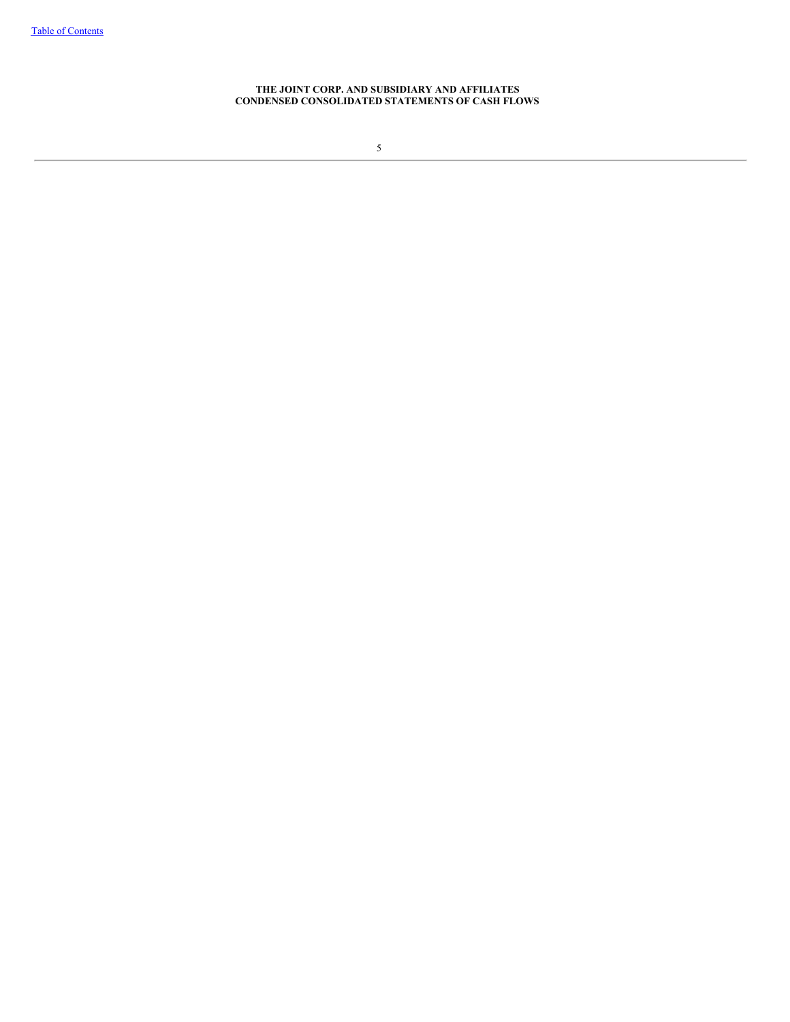**THE JOINT CORP. AND SUBSIDIARY AND AFFILIATES CONDENSED CONSOLIDATED STATEMENTS OF CASH FLOWS**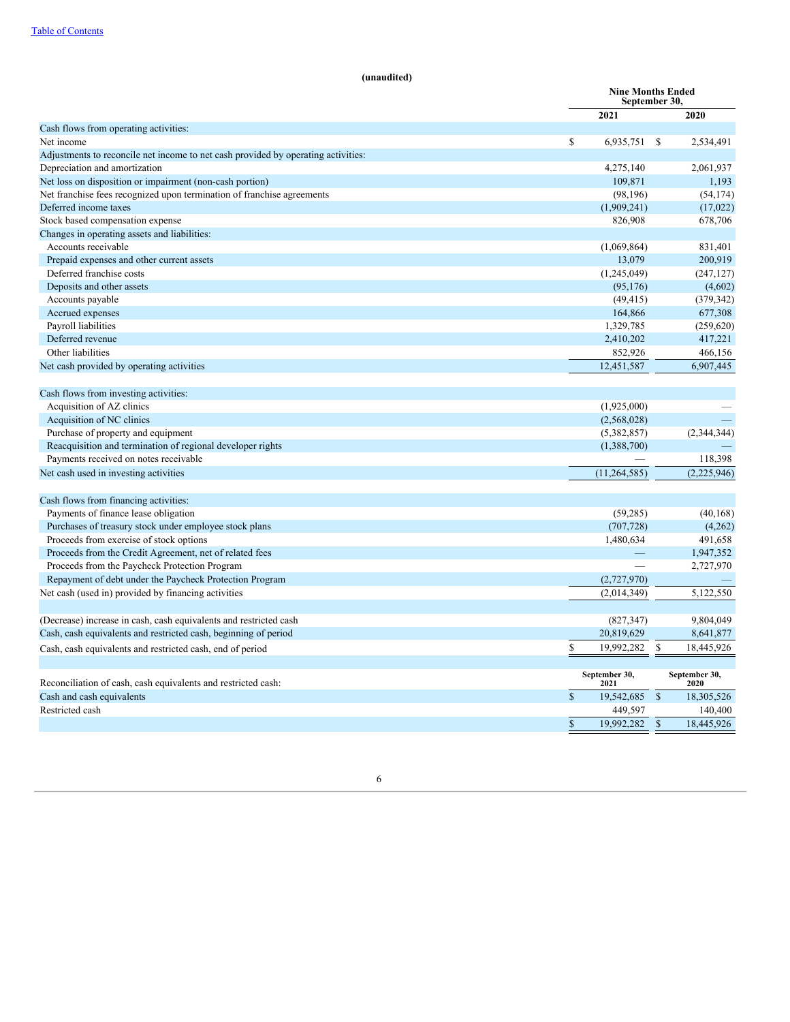| (unaudited)                                                                       |                                           |              |                         |
|-----------------------------------------------------------------------------------|-------------------------------------------|--------------|-------------------------|
|                                                                                   | <b>Nine Months Ended</b><br>September 30, |              |                         |
|                                                                                   | 2021                                      |              | 2020                    |
| Cash flows from operating activities:                                             |                                           |              |                         |
| Net income                                                                        | $\mathbb{S}$<br>6,935,751                 | S            | 2,534,491               |
| Adjustments to reconcile net income to net cash provided by operating activities: |                                           |              |                         |
| Depreciation and amortization                                                     | 4,275,140                                 |              | 2,061,937               |
| Net loss on disposition or impairment (non-cash portion)                          | 109,871                                   |              | 1,193                   |
| Net franchise fees recognized upon termination of franchise agreements            | (98, 196)                                 |              | (54, 174)               |
| Deferred income taxes                                                             | (1,909,241)                               |              | (17, 022)               |
| Stock based compensation expense                                                  | 826,908                                   |              | 678,706                 |
| Changes in operating assets and liabilities:                                      |                                           |              |                         |
| Accounts receivable                                                               | (1,069,864)                               |              | 831.401                 |
| Prepaid expenses and other current assets                                         | 13,079                                    |              | 200,919                 |
| Deferred franchise costs                                                          | (1,245,049)                               |              | (247, 127)              |
| Deposits and other assets                                                         | (95, 176)                                 |              | (4,602)                 |
| Accounts payable                                                                  | (49, 415)                                 |              | (379, 342)              |
| Accrued expenses                                                                  | 164,866                                   |              | 677,308                 |
| Payroll liabilities                                                               | 1,329,785                                 |              | (259, 620)              |
| Deferred revenue                                                                  | 2,410,202                                 |              | 417,221                 |
| Other liabilities                                                                 | 852,926                                   |              | 466,156                 |
| Net cash provided by operating activities                                         | 12,451,587                                |              | 6,907,445               |
| Cash flows from investing activities:                                             |                                           |              |                         |
| Acquisition of AZ clinics                                                         | (1,925,000)                               |              |                         |
| Acquisition of NC clinics                                                         | (2,568,028)                               |              |                         |
| Purchase of property and equipment                                                | (5,382,857)                               |              | (2,344,344)             |
| Reacquisition and termination of regional developer rights                        | (1,388,700)                               |              |                         |
| Payments received on notes receivable                                             |                                           |              | 118,398                 |
| Net cash used in investing activities                                             | (11, 264, 585)                            |              | (2,225,946)             |
| Cash flows from financing activities:                                             |                                           |              |                         |
| Payments of finance lease obligation                                              | (59, 285)                                 |              | (40, 168)               |
| Purchases of treasury stock under employee stock plans                            | (707, 728)                                |              | (4,262)                 |
| Proceeds from exercise of stock options                                           | 1,480,634                                 |              | 491,658                 |
| Proceeds from the Credit Agreement, net of related fees                           |                                           |              | 1,947,352               |
| Proceeds from the Paycheck Protection Program                                     |                                           |              | 2,727,970               |
| Repayment of debt under the Paycheck Protection Program                           | (2,727,970)                               |              |                         |
| Net cash (used in) provided by financing activities                               | (2,014,349)                               |              | 5,122,550               |
|                                                                                   |                                           |              |                         |
| (Decrease) increase in cash, cash equivalents and restricted cash                 | (827, 347)                                |              | 9,804,049               |
| Cash, cash equivalents and restricted cash, beginning of period                   | 20,819,629                                |              | 8,641,877               |
| Cash, cash equivalents and restricted cash, end of period                         | $\mathbf S$<br>19.992.282                 | $\mathbf S$  | 18,445,926              |
| Reconciliation of cash, cash equivalents and restricted cash:                     | September 30,<br>2021                     |              | September 30,<br>$2020$ |
| Cash and cash equivalents                                                         | $\mathbf{\hat{s}}$<br>19.542.685          | $\mathbf{s}$ | 18,305,526              |
| Restricted cash                                                                   | 449,597                                   |              | 140,400                 |
|                                                                                   | $\mathbb{S}$<br>19,992,282                | $\mathbb{S}$ | 18,445,926              |
|                                                                                   |                                           |              |                         |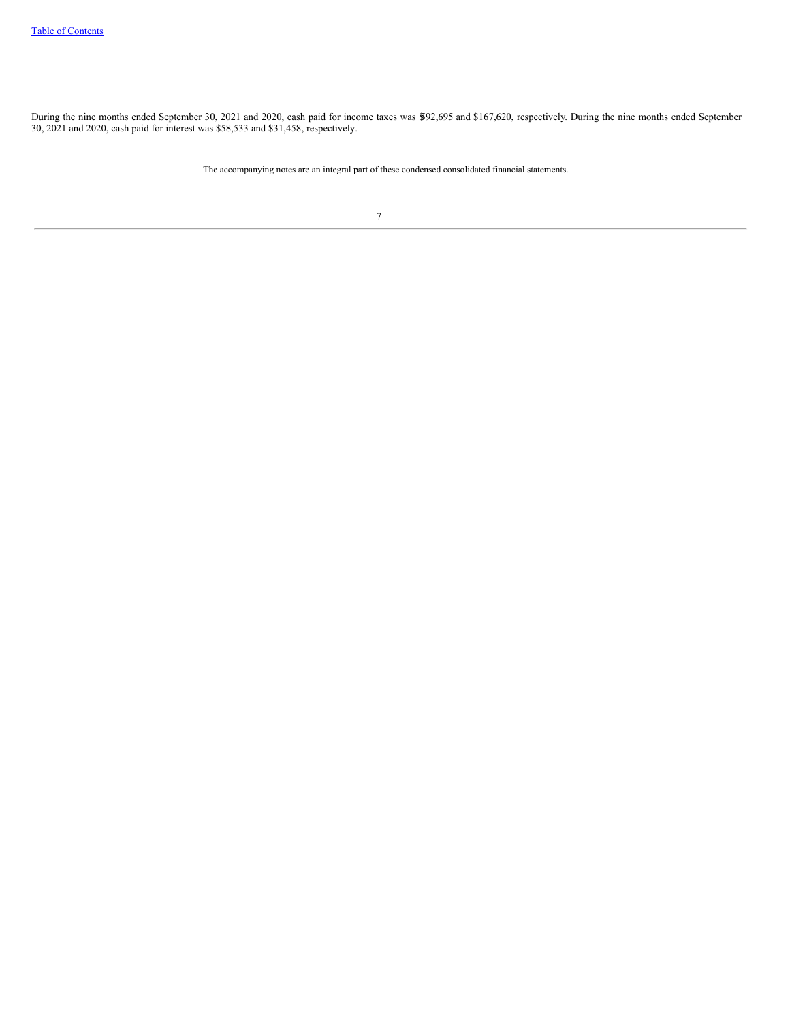During the nine months ended September 30, 2021 and 2020, cash paid for income taxes was \$592,695 and \$167,620, respectively. During the nine months ended September 30, 2021 and 2020, cash paid for interest was \$58,533 and \$31,458, respectively.

The accompanying notes are an integral part of these condensed consolidated financial statements.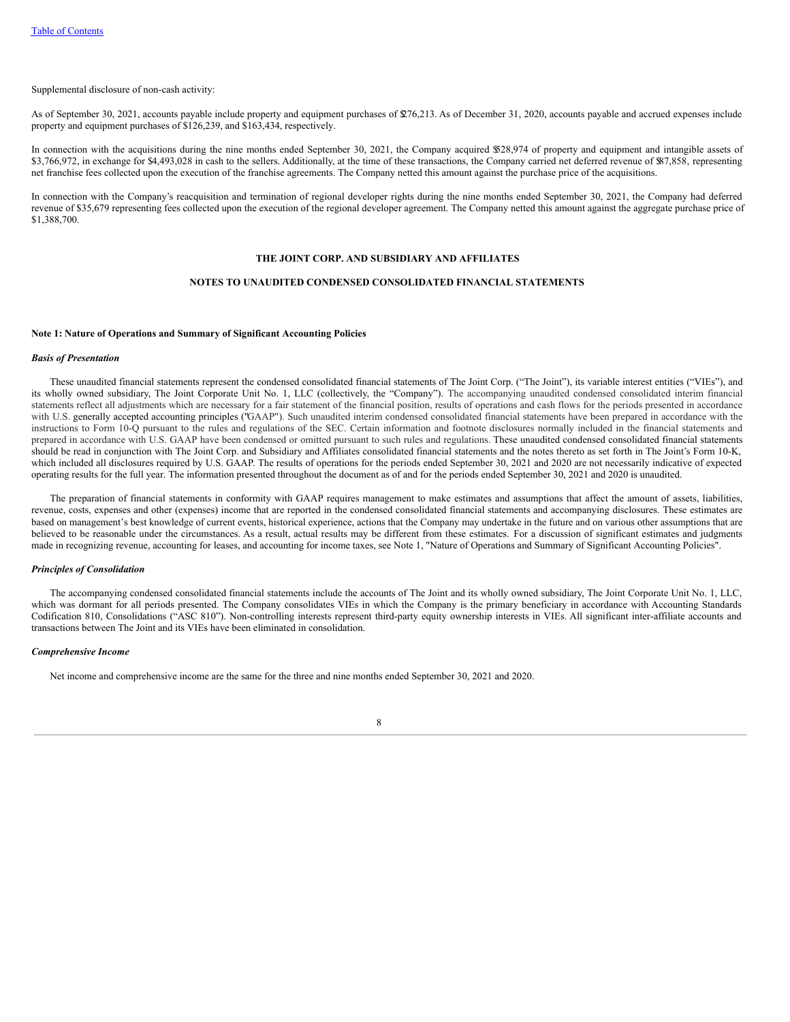Supplemental disclosure of non-cash activity:

As of September 30, 2021, accounts payable include property and equipment purchases of \$276,213. As of December 31, 2020, accounts payable and accrued expenses include property and equipment purchases of \$126,239, and \$163,434, respectively.

In connection with the acquisitions during the nine months ended September 30, 2021, the Company acquired \$528,974 of property and equipment and intangible assets of \$3,766,972, in exchange for \$4,493,028 in cash to the sellers. Additionally, at the time of these transactions, the Company carried net deferred revenue of \$87,858, representing net franchise fees collected upon the execution of the franchise agreements. The Company netted this amount against the purchase price of the acquisitions.

<span id="page-10-0"></span>In connection with the Company's reacquisition and termination of regional developer rights during the nine months ended September 30, 2021, the Company had deferred revenue of \$35,679 representing fees collected upon the execution of the regional developer agreement. The Company netted this amount against the aggregate purchase price of \$1,388,700.

#### **THE JOINT CORP. AND SUBSIDIARY AND AFFILIATES**

### **NOTES TO UNAUDITED CONDENSED CONSOLIDATED FINANCIAL STATEMENTS**

### **Note 1: Nature of Operations and Summary of Significant Accounting Policies**

#### *Basis of Presentation*

These unaudited financial statements represent the condensed consolidated financial statements of The Joint Corp. ("The Joint"), its variable interest entities ("VIEs"), and its wholly owned subsidiary, The Joint Corporate Unit No. 1, LLC (collectively, the "Company"). The accompanying unaudited condensed consolidated interim financial statements reflect all adjustments which are necessary for a fair statement of the financial position, results of operations and cash flows for the periods presented in accordance with U.S. generally accepted accounting principles ("GAAP"). Such unaudited interim condensed consolidated financial statements have been prepared in accordance with the instructions to Form 10-Q pursuant to the rules and regulations of the SEC. Certain information and footnote disclosures normally included in the financial statements and prepared in accordance with U.S. GAAP have been condensed or omitted pursuant to such rules and regulations. These unaudited condensed consolidated financial statements should be read in conjunction with The Joint Corp. and Subsidiary and Affiliates consolidated financial statements and the notes thereto as set forth in The Joint's Form 10-K, which included all disclosures required by U.S. GAAP. The results of operations for the periods ended September 30, 2021 and 2020 are not necessarily indicative of expected operating results for the full year. The information presented throughout the document as of and for the periods ended September 30, 2021 and 2020 is unaudited.

The preparation of financial statements in conformity with GAAP requires management to make estimates and assumptions that affect the amount of assets, liabilities, revenue, costs, expenses and other (expenses) income that are reported in the condensed consolidated financial statements and accompanying disclosures. These estimates are based on management's best knowledge of current events, historical experience, actions that the Company may undertake in the future and on various other assumptions that are believed to be reasonable under the circumstances. As a result, actual results may be different from these estimates. For a discussion of significant estimates and judgments made in recognizing revenue, accounting for leases, and accounting for income taxes, see Note 1, "Nature of Operations and Summary of Significant Accounting Policies".

#### *Principles of Consolidation*

The accompanying condensed consolidated financial statements include the accounts of The Joint and its wholly owned subsidiary, The Joint Corporate Unit No. 1, LLC, which was dormant for all periods presented. The Company consolidates VIEs in which the Company is the primary beneficiary in accordance with Accounting Standards Codification 810, Consolidations ("ASC 810"). Non-controlling interests represent third-party equity ownership interests in VIEs. All significant inter-affiliate accounts and transactions between The Joint and its VIEs have been eliminated in consolidation.

#### *Comprehensive Income*

Net income and comprehensive income are the same for the three and nine months ended September 30, 2021 and 2020.

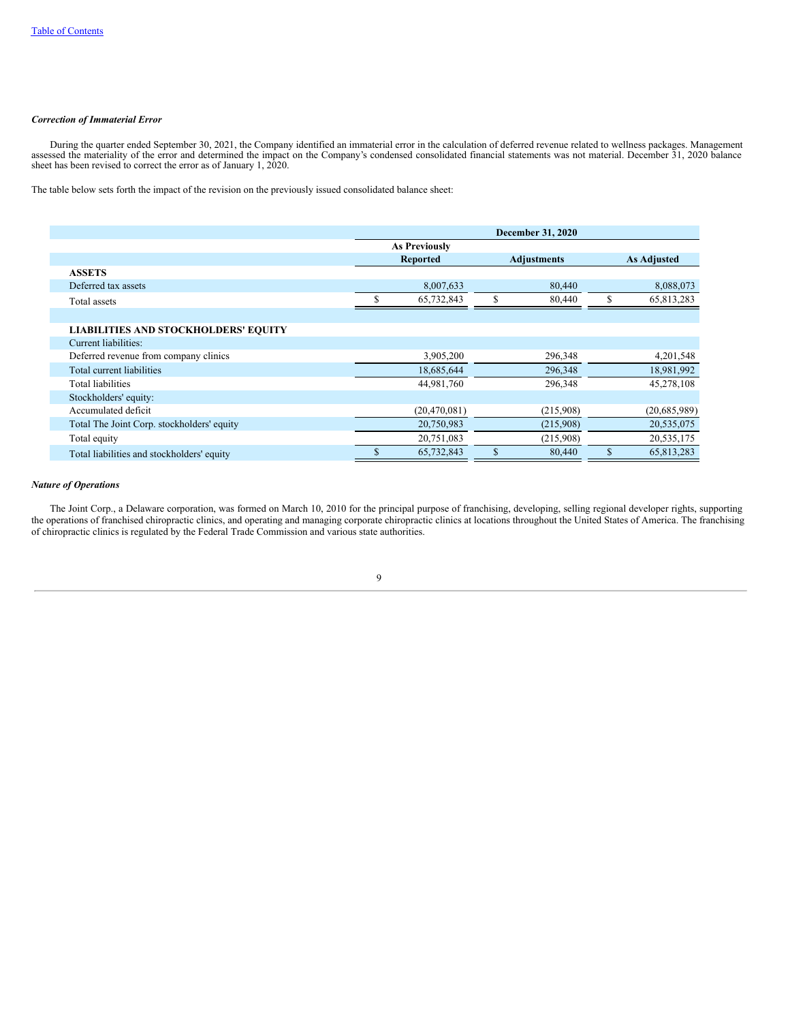## *Correction of Immaterial Error*

During the quarter ended September 30, 2021, the Company identified an immaterial error in the calculation of deferred revenue related to wellness packages. Management assessed the materiality of the error and determined the impact on the Company's condensed consolidated financial statements was not material. December 31, 2020 balance sheet has been revised to correct the error as of Jan

The table below sets forth the impact of the revision on the previously issued consolidated balance sheet:

|                                             |                      | <b>December 31, 2020</b> |                    |  |  |  |  |  |  |  |
|---------------------------------------------|----------------------|--------------------------|--------------------|--|--|--|--|--|--|--|
|                                             | <b>As Previously</b> |                          |                    |  |  |  |  |  |  |  |
|                                             | <b>Reported</b>      | <b>Adjustments</b>       | <b>As Adjusted</b> |  |  |  |  |  |  |  |
| <b>ASSETS</b>                               |                      |                          |                    |  |  |  |  |  |  |  |
| Deferred tax assets                         | 8,007,633            | 80,440                   | 8,088,073          |  |  |  |  |  |  |  |
| Total assets                                | 65,732,843           | 80,440                   | 65,813,283         |  |  |  |  |  |  |  |
|                                             |                      |                          |                    |  |  |  |  |  |  |  |
| <b>LIABILITIES AND STOCKHOLDERS' EQUITY</b> |                      |                          |                    |  |  |  |  |  |  |  |
| Current liabilities:                        |                      |                          |                    |  |  |  |  |  |  |  |
| Deferred revenue from company clinics       | 3,905,200            | 296,348                  | 4,201,548          |  |  |  |  |  |  |  |
| Total current liabilities                   | 18,685,644           | 296,348                  | 18,981,992         |  |  |  |  |  |  |  |
| <b>Total liabilities</b>                    | 44,981,760           | 296,348                  | 45,278,108         |  |  |  |  |  |  |  |
| Stockholders' equity:                       |                      |                          |                    |  |  |  |  |  |  |  |
| Accumulated deficit                         | (20.470.081)         | (215.908)                | (20.685.989)       |  |  |  |  |  |  |  |

# Accumulated deficit (20,470,081) (20,470,081) (20,470,081) (20,585,989) Total The Joint Corp. stockholders' equity 20,750,983 (215,908) 20,535,075 Total equity 20,751,083 (215,908) 20,535,175 Total liabilities and stockholders' equity 8 65,732,843 \$ 65,813,283 665,813,283

### *Nature of Operations*

The Joint Corp., a Delaware corporation, was formed on March 10, 2010 for the principal purpose of franchising, developing, selling regional developer rights, supporting the operations of franchised chiropractic clinics, and operating and managing corporate chiropractic clinics at locations throughout the United States of America. The franchising of chiropractic clinics is regulated by the Federal Trade Commission and various state authorities.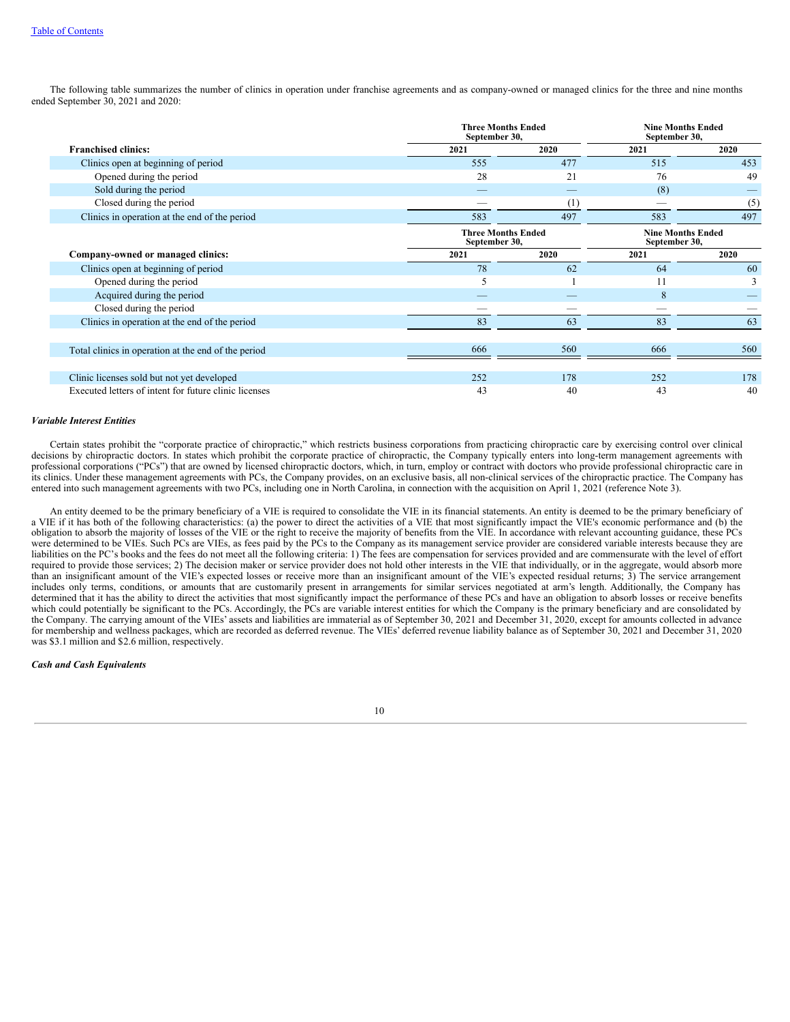The following table summarizes the number of clinics in operation under franchise agreements and as company-owned or managed clinics for the three and nine months ended September 30, 2021 and 2020:

|                                                       | <b>Three Months Ended</b><br>September 30, |      | <b>Nine Months Ended</b><br>September 30, |                          |  |  |
|-------------------------------------------------------|--------------------------------------------|------|-------------------------------------------|--------------------------|--|--|
| <b>Franchised clinics:</b>                            | 2021                                       | 2020 | 2021                                      | 2020                     |  |  |
| Clinics open at beginning of period                   | 555                                        | 477  | 515                                       | 453                      |  |  |
| Opened during the period                              | 28                                         | 21   | 76                                        | 49                       |  |  |
| Sold during the period                                |                                            |      | (8)                                       |                          |  |  |
| Closed during the period                              |                                            | (1)  |                                           | (5)                      |  |  |
| Clinics in operation at the end of the period         | 583                                        | 497  | 583                                       | 497                      |  |  |
|                                                       | <b>Three Months Ended</b><br>September 30, |      | September 30,                             | <b>Nine Months Ended</b> |  |  |
| Company-owned or managed clinics:                     | 2021                                       | 2020 | 2021                                      | 2020                     |  |  |
| Clinics open at beginning of period                   | 78                                         | 62   | 64                                        | 60                       |  |  |
| Opened during the period                              | 5                                          |      | 11                                        | 3                        |  |  |
| Acquired during the period                            |                                            |      | 8                                         |                          |  |  |
| Closed during the period                              |                                            |      |                                           |                          |  |  |
| Clinics in operation at the end of the period         | 83                                         | 63   | 83                                        | 63                       |  |  |
|                                                       |                                            |      |                                           |                          |  |  |
| Total clinics in operation at the end of the period   | 666                                        | 560  | 666                                       | 560                      |  |  |
|                                                       |                                            |      |                                           |                          |  |  |
| Clinic licenses sold but not yet developed            | 252                                        | 178  | 252                                       | 178                      |  |  |
| Executed letters of intent for future clinic licenses | 43                                         | 40   | 43                                        | 40                       |  |  |

#### *Variable Interest Entities*

Certain states prohibit the "corporate practice of chiropractic," which restricts business corporations from practicing chiropractic care by exercising control over clinical decisions by chiropractic doctors. In states which prohibit the corporate practice of chiropractic, the Company typically enters into long-term management agreements with professional corporations ("PCs") that are owned by licensed chiropractic doctors, which, in turn, employ or contract with doctors who provide professional chiropractic care in its clinics. Under these management agreements with PCs, the Company provides, on an exclusive basis, all non-clinical services of the chiropractic practice. The Company has entered into such management agreements with two PCs, including one in North Carolina, in connection with the acquisition on April 1, 2021 (reference Note 3).

An entity deemed to be the primary beneficiary of a VIE is required to consolidate the VIE in its financial statements. An entity is deemed to be the primary beneficiary of a VIE if it has both of the following characteristics: (a) the power to direct the activities of a VIE that most significantly impact the VIE's economic performance and (b) the obligation to absorb the majority of losses of the VIE or the right to receive the majority of benefits from the VIE. In accordance with relevant accounting guidance, these PCs were determined to be VIEs. Such PCs are VIEs, as fees paid by the PCs to the Company as its management service provider are considered variable interests because they are liabilities on the PC's books and the fees do not meet all the following criteria: 1) The fees are compensation for services provided and are commensurate with the level of effort required to provide those services; 2) The decision maker or service provider does not hold other interests in the VIE that individually, or in the aggregate, would absorb more than an insignificant amount of the VIE's expected losses or receive more than an insignificant amount of the VIE's expected residual returns; 3) The service arrangement includes only terms, conditions, or amounts that are customarily present in arrangements for similar services negotiated at arm's length. Additionally, the Company has determined that it has the ability to direct the activities that most significantly impact the performance of these PCs and have an obligation to absorb losses or receive benefits which could potentially be significant to the PCs. Accordingly, the PCs are variable interest entities for which the Company is the primary beneficiary and are consolidated by the Company. The carrying amount of the VIEs' assets and liabilities are immaterial as of September 30, 2021 and December 31, 2020, except for amounts collected in advance for membership and wellness packages, which are recorded as deferred revenue. The VIEs' deferred revenue liability balance as of September 30, 2021 and December 31, 2020 was \$3.1 million and \$2.6 million, respectively.

10

#### *Cash and Cash Equivalents*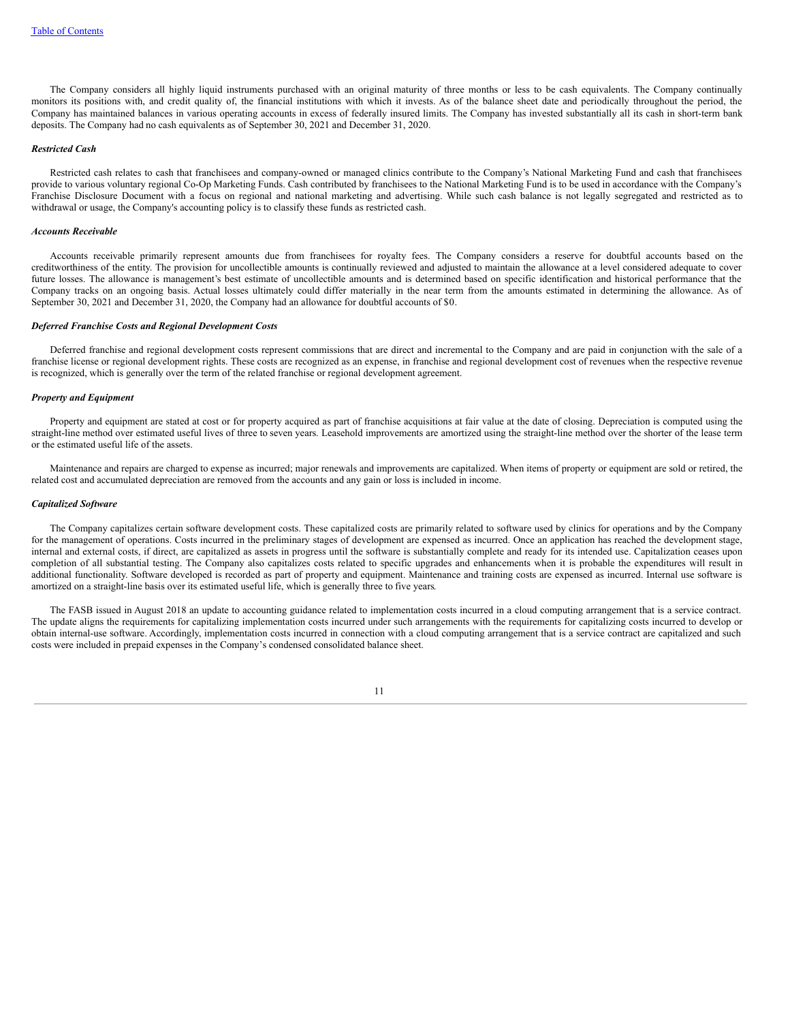The Company considers all highly liquid instruments purchased with an original maturity of three months or less to be cash equivalents. The Company continually monitors its positions with, and credit quality of, the financial institutions with which it invests. As of the balance sheet date and periodically throughout the period, the Company has maintained balances in various operating accounts in excess of federally insured limits. The Company has invested substantially all its cash in short-term bank deposits. The Company had no cash equivalents as of September 30, 2021 and December 31, 2020.

#### *Restricted Cash*

Restricted cash relates to cash that franchisees and company-owned or managed clinics contribute to the Company's National Marketing Fund and cash that franchisees provide to various voluntary regional Co-Op Marketing Funds. Cash contributed by franchisees to the National Marketing Fund is to be used in accordance with the Company's Franchise Disclosure Document with a focus on regional and national marketing and advertising. While such cash balance is not legally segregated and restricted as to withdrawal or usage, the Company's accounting policy is to classify these funds as restricted cash.

### *Accounts Receivable*

Accounts receivable primarily represent amounts due from franchisees for royalty fees. The Company considers a reserve for doubtful accounts based on the creditworthiness of the entity. The provision for uncollectible amounts is continually reviewed and adjusted to maintain the allowance at a level considered adequate to cover future losses. The allowance is management's best estimate of uncollectible amounts and is determined based on specific identification and historical performance that the Company tracks on an ongoing basis. Actual losses ultimately could differ materially in the near term from the amounts estimated in determining the allowance. As of September 30, 2021 and December 31, 2020, the Company had an allowance for doubtful accounts of \$0.

#### *Deferred Franchise Costs and Regional Development Costs*

Deferred franchise and regional development costs represent commissions that are direct and incremental to the Company and are paid in conjunction with the sale of a franchise license or regional development rights. These costs are recognized as an expense, in franchise and regional development cost of revenues when the respective revenue is recognized, which is generally over the term of the related franchise or regional development agreement.

#### *Property and Equipment*

Property and equipment are stated at cost or for property acquired as part of franchise acquisitions at fair value at the date of closing. Depreciation is computed using the straight-line method over estimated useful lives of three to seven years. Leasehold improvements are amortized using the straight-line method over the shorter of the lease term or the estimated useful life of the assets.

Maintenance and repairs are charged to expense as incurred; major renewals and improvements are capitalized. When items of property or equipment are sold or retired, the related cost and accumulated depreciation are removed from the accounts and any gain or loss is included in income.

#### *Capitalized Software*

The Company capitalizes certain software development costs. These capitalized costs are primarily related to software used by clinics for operations and by the Company for the management of operations. Costs incurred in the preliminary stages of development are expensed as incurred. Once an application has reached the development stage, internal and external costs, if direct, are capitalized as assets in progress until the software is substantially complete and ready for its intended use. Capitalization ceases upon completion of all substantial testing. The Company also capitalizes costs related to specific upgrades and enhancements when it is probable the expenditures will result in additional functionality. Software developed is recorded as part of property and equipment. Maintenance and training costs are expensed as incurred. Internal use software is amortized on a straight-line basis over its estimated useful life, which is generally three to five years.

The FASB issued in August 2018 an update to accounting guidance related to implementation costs incurred in a cloud computing arrangement that is a service contract. The update aligns the requirements for capitalizing implementation costs incurred under such arrangements with the requirements for capitalizing costs incurred to develop or obtain internal-use software. Accordingly, implementation costs incurred in connection with a cloud computing arrangement that is a service contract are capitalized and such costs were included in prepaid expenses in the Company's condensed consolidated balance sheet.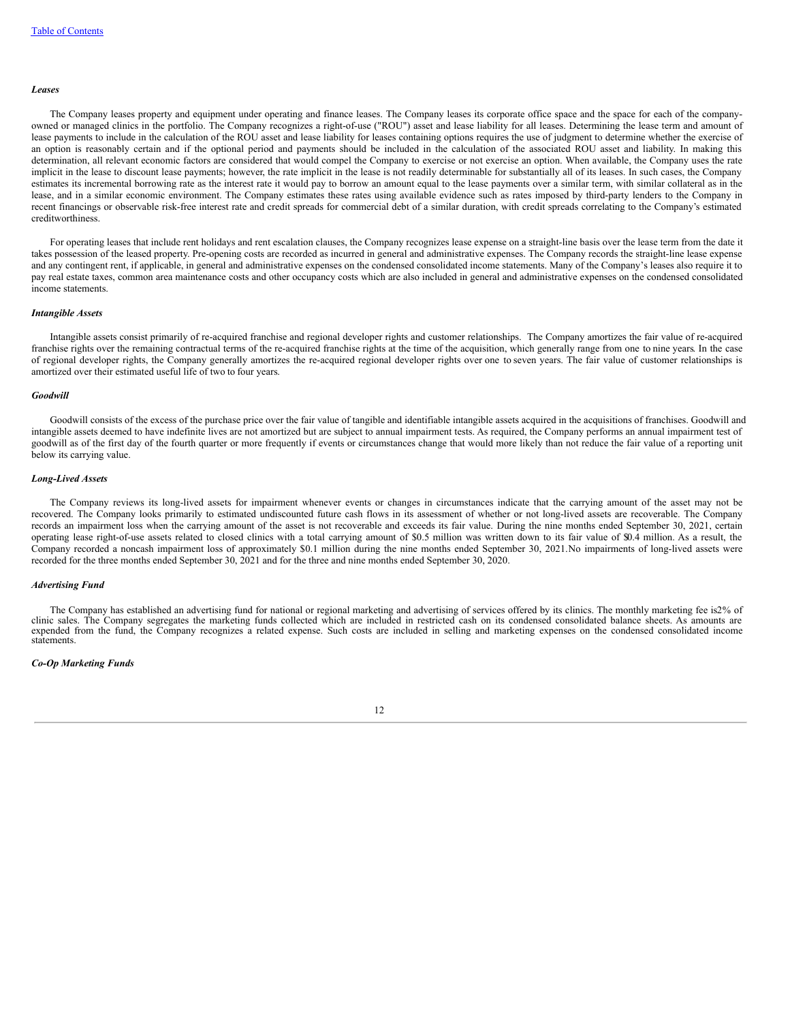#### *Leases*

The Company leases property and equipment under operating and finance leases. The Company leases its corporate office space and the space for each of the companyowned or managed clinics in the portfolio. The Company recognizes a right-of-use ("ROU") asset and lease liability for all leases. Determining the lease term and amount of lease payments to include in the calculation of the ROU asset and lease liability for leases containing options requires the use of judgment to determine whether the exercise of an option is reasonably certain and if the optional period and payments should be included in the calculation of the associated ROU asset and liability. In making this determination, all relevant economic factors are considered that would compel the Company to exercise or not exercise an option. When available, the Company uses the rate implicit in the lease to discount lease payments; however, the rate implicit in the lease is not readily determinable for substantially all of its leases. In such cases, the Company estimates its incremental borrowing rate as the interest rate it would pay to borrow an amount equal to the lease payments over a similar term, with similar collateral as in the lease, and in a similar economic environment. The Company estimates these rates using available evidence such as rates imposed by third-party lenders to the Company in recent financings or observable risk-free interest rate and credit spreads for commercial debt of a similar duration, with credit spreads correlating to the Company's estimated creditworthiness.

For operating leases that include rent holidays and rent escalation clauses, the Company recognizes lease expense on a straight-line basis over the lease term from the date it takes possession of the leased property. Pre-opening costs are recorded as incurred in general and administrative expenses. The Company records the straight-line lease expense and any contingent rent, if applicable, in general and administrative expenses on the condensed consolidated income statements. Many of the Company's leases also require it to pay real estate taxes, common area maintenance costs and other occupancy costs which are also included in general and administrative expenses on the condensed consolidated income statements.

#### *Intangible Assets*

Intangible assets consist primarily of re-acquired franchise and regional developer rights and customer relationships. The Company amortizes the fair value of re-acquired franchise rights over the remaining contractual terms of the re-acquired franchise rights at the time of the acquisition, which generally range from one to nine years. In the case of regional developer rights, the Company generally amortizes the re-acquired regional developer rights over one to seven years. The fair value of customer relationships is amortized over their estimated useful life of two to four years.

#### *Goodwill*

Goodwill consists of the excess of the purchase price over the fair value of tangible and identifiable intangible assets acquired in the acquisitions of franchises. Goodwill and intangible assets deemed to have indefinite lives are not amortized but are subject to annual impairment tests. As required, the Company performs an annual impairment test of goodwill as of the first day of the fourth quarter or more frequently if events or circumstances change that would more likely than not reduce the fair value of a reporting unit below its carrying value.

#### *Long-Lived Assets*

The Company reviews its long-lived assets for impairment whenever events or changes in circumstances indicate that the carrying amount of the asset may not be recovered. The Company looks primarily to estimated undiscounted future cash flows in its assessment of whether or not long-lived assets are recoverable. The Company records an impairment loss when the carrying amount of the asset is not recoverable and exceeds its fair value. During the nine months ended September 30, 2021, certain operating lease right-of-use assets related to closed clinics with a total carrying amount of \$0.5 million was written down to its fair value of \$0.4 million. As a result, the Company recorded a noncash impairment loss of approximately \$0.1 million during the nine months ended September 30, 2021.No impairments of long-lived assets were recorded for the three months ended September 30, 2021 and for the three and nine months ended September 30, 2020.

#### *Advertising Fund*

The Company has established an advertising fund for national or regional marketing and advertising of services offered by its clinics. The monthly marketing fee is2% of clinic sales. The Company segregates the marketing funds collected which are included in restricted cash on its condensed consolidated balance sheets. As amounts are expended from the fund, the Company recognizes a related expense. Such costs are included in selling and marketing expenses on the condensed consolidated income statements.

12

#### *Co-Op Marketing Funds*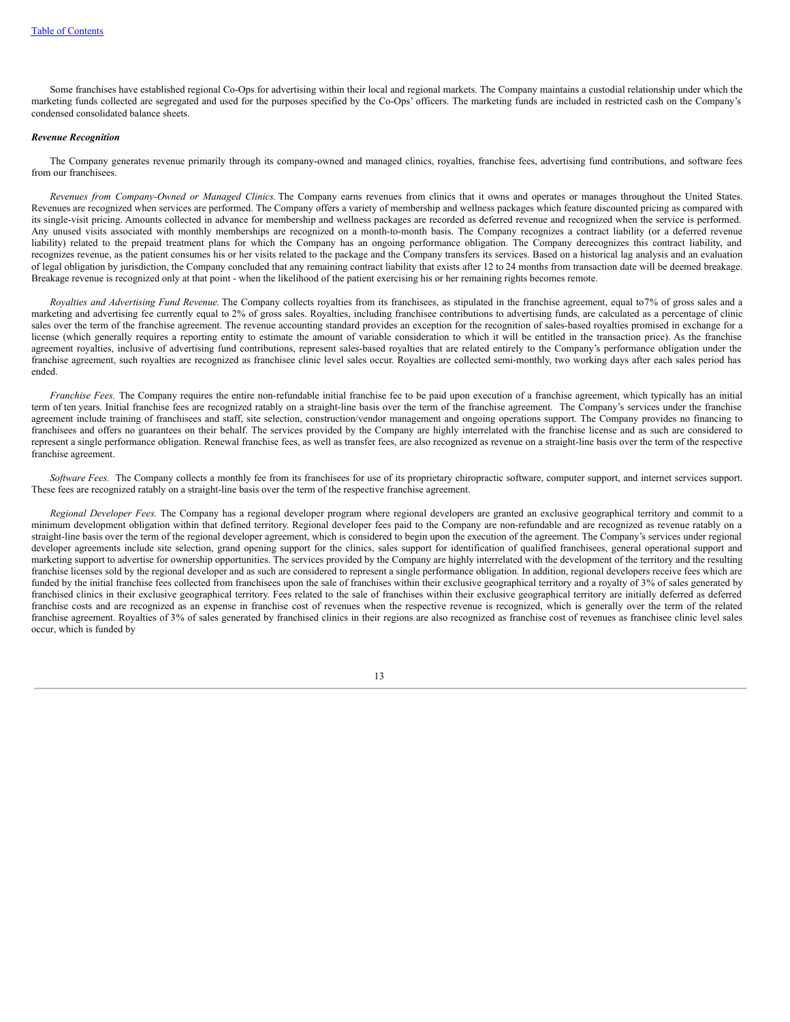Some franchises have established regional Co-Ops for advertising within their local and regional markets. The Company maintains a custodial relationship under which the marketing funds collected are segregated and used for the purposes specified by the Co-Ops' officers. The marketing funds are included in restricted cash on the Company's condensed consolidated balance sheets.

### *Revenue Recognition*

The Company generates revenue primarily through its company-owned and managed clinics, royalties, franchise fees, advertising fund contributions, and software fees from our franchisees.

*Revenues from Company-Owned or Managed Clinics.* The Company earns revenues from clinics that it owns and operates or manages throughout the United States. Revenues are recognized when services are performed. The Company offers a variety of membership and wellness packages which feature discounted pricing as compared with its single-visit pricing. Amounts collected in advance for membership and wellness packages are recorded as deferred revenue and recognized when the service is performed. Any unused visits associated with monthly memberships are recognized on a month-to-month basis. The Company recognizes a contract liability (or a deferred revenue liability) related to the prepaid treatment plans for which the Company has an ongoing performance obligation. The Company derecognizes this contract liability, and recognizes revenue, as the patient consumes his or her visits related to the package and the Company transfers its services. Based on a historical lag analysis and an evaluation of legal obligation by jurisdiction, the Company concluded that any remaining contract liability that exists after 12 to 24 months from transaction date will be deemed breakage. Breakage revenue is recognized only at that point - when the likelihood of the patient exercising his or her remaining rights becomes remote.

*Royalties and Advertising Fund Revenue.* The Company collects royalties from its franchisees, as stipulated in the franchise agreement, equal to7% of gross sales and a marketing and advertising fee currently equal to 2% of gross sales. Royalties, including franchisee contributions to advertising funds, are calculated as a percentage of clinic sales over the term of the franchise agreement. The revenue accounting standard provides an exception for the recognition of sales-based royalties promised in exchange for a license (which generally requires a reporting entity to estimate the amount of variable consideration to which it will be entitled in the transaction price). As the franchise agreement royalties, inclusive of advertising fund contributions, represent sales-based royalties that are related entirely to the Company's performance obligation under the franchise agreement, such royalties are recognized as franchisee clinic level sales occur. Royalties are collected semi-monthly, two working days after each sales period has ended.

*Franchise Fees.* The Company requires the entire non-refundable initial franchise fee to be paid upon execution of a franchise agreement, which typically has an initial term of ten years. Initial franchise fees are recognized ratably on a straight-line basis over the term of the franchise agreement. The Company's services under the franchise agreement include training of franchisees and staff, site selection, construction/vendor management and ongoing operations support. The Company provides no financing to franchisees and offers no guarantees on their behalf. The services provided by the Company are highly interrelated with the franchise license and as such are considered to represent a single performance obligation. Renewal franchise fees, as well as transfer fees, are also recognized as revenue on a straight-line basis over the term of the respective franchise agreement.

*Software Fees.* The Company collects a monthly fee from its franchisees for use of its proprietary chiropractic software, computer support, and internet services support. These fees are recognized ratably on a straight-line basis over the term of the respective franchise agreement.

*Regional Developer Fees.* The Company has a regional developer program where regional developers are granted an exclusive geographical territory and commit to a minimum development obligation within that defined territory. Regional developer fees paid to the Company are non-refundable and are recognized as revenue ratably on a straight-line basis over the term of the regional developer agreement, which is considered to begin upon the execution of the agreement. The Company's services under regional developer agreements include site selection, grand opening support for the clinics, sales support for identification of qualified franchisees, general operational support and marketing support to advertise for ownership opportunities. The services provided by the Company are highly interrelated with the development of the territory and the resulting franchise licenses sold by the regional developer and as such are considered to represent a single performance obligation. In addition, regional developers receive fees which are funded by the initial franchise fees collected from franchisees upon the sale of franchises within their exclusive geographical territory and a royalty of 3% of sales generated by franchised clinics in their exclusive geographical territory. Fees related to the sale of franchises within their exclusive geographical territory are initially deferred as deferred franchise costs and are recognized as an expense in franchise cost of revenues when the respective revenue is recognized, which is generally over the term of the related franchise agreement. Royalties of 3% of sales generated by franchised clinics in their regions are also recognized as franchise cost of revenues as franchisee clinic level sales occur, which is funded by

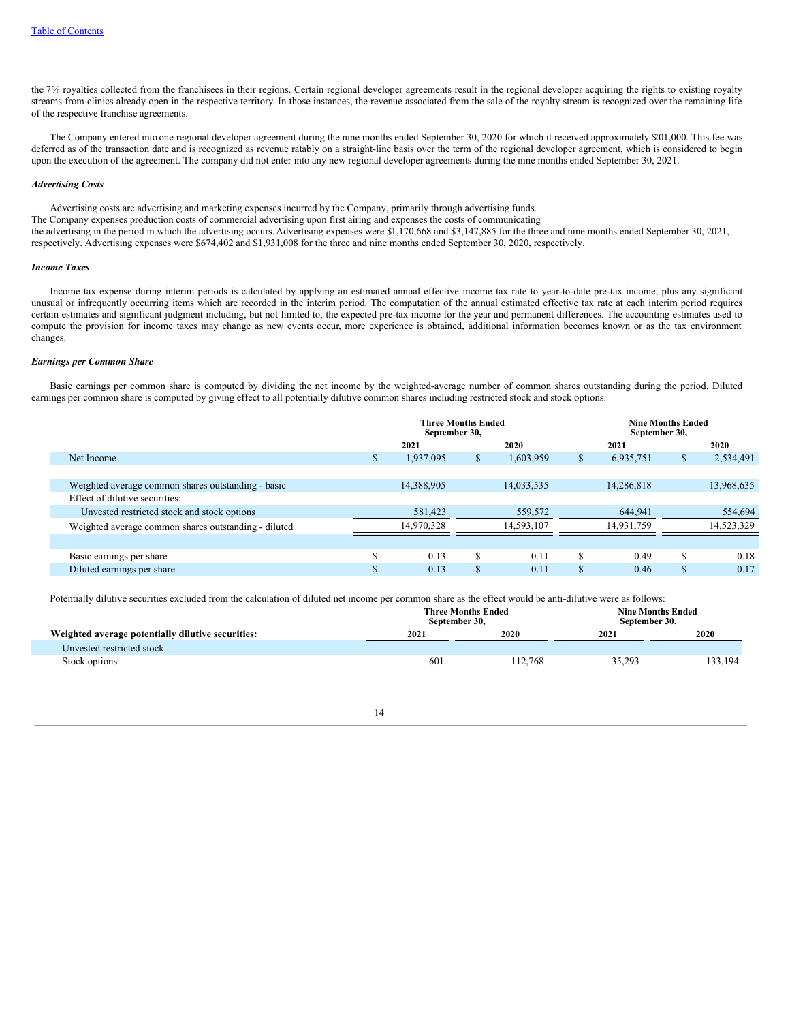the 7% royalties collected from the franchisees in their regions. Certain regional developer agreements result in the regional developer acquiring the rights to existing royalty streams from clinics already open in the respective territory. In those instances, the revenue associated from the sale of the royalty stream is recognized over the remaining life of the respective franchise agreements.

The Company entered into one regional developer agreement during the nine months ended September 30, 2020 for which it received approximately \$201,000. This fee was deferred as of the transaction date and is recognized as revenue ratably on a straight-line basis over the term of the regional developer agreement, which is considered to begin upon the execution of the agreement. The company did not enter into any new regional developer agreements during the nine months ended September 30, 2021.

### *Advertising Costs*

Advertising costs are advertising and marketing expenses incurred by the Company, primarily through advertising funds. The Company expenses production costs of commercial advertising upon first airing and expenses the costs of communicating the advertising in the period in which the advertising occurs. Advertising expenses were \$1,170,668 and \$3,147,885 for the three and nine months ended September 30, 2021, respectively. Advertising expenses were \$674,402 and \$1,931,008 for the three and nine months ended September 30, 2020, respectively.

### *Income Taxes*

Income tax expense during interim periods is calculated by applying an estimated annual effective income tax rate to year-to-date pre-tax income, plus any significant unusual or infrequently occurring items which are recorded in the interim period. The computation of the annual estimated effective tax rate at each interim period requires certain estimates and significant judgment including, but not limited to, the expected pre-tax income for the year and permanent differences. The accounting estimates used to compute the provision for income taxes may change as new events occur, more experience is obtained, additional information becomes known or as the tax environment changes.

### *Earnings per Common Share*

Basic earnings per common share is computed by dividing the net income by the weighted-average number of common shares outstanding during the period. Diluted earnings per common share is computed by giving effect to all potentially dilutive common shares including restricted stock and stock options.

|                                                      | <b>Three Months Ended</b><br>September 30,<br>September 30, |            |   |            |    |            | <b>Nine Months Ended</b> |            |  |
|------------------------------------------------------|-------------------------------------------------------------|------------|---|------------|----|------------|--------------------------|------------|--|
|                                                      |                                                             | 2021       |   | 2020       |    | 2021       |                          | 2020       |  |
| Net Income                                           | \$                                                          | 1,937,095  | S | 1,603,959  | \$ | 6,935,751  | ъ                        | 2,534,491  |  |
|                                                      |                                                             |            |   |            |    |            |                          |            |  |
| Weighted average common shares outstanding - basic   |                                                             | 14,388,905 |   | 14,033,535 |    | 14,286,818 |                          | 13,968,635 |  |
| Effect of dilutive securities:                       |                                                             |            |   |            |    |            |                          |            |  |
| Unvested restricted stock and stock options          |                                                             | 581,423    |   | 559,572    |    | 644,941    |                          | 554,694    |  |
| Weighted average common shares outstanding - diluted |                                                             | 14,970,328 |   | 14,593,107 |    | 14.931.759 |                          | 14,523,329 |  |
|                                                      |                                                             |            |   |            |    |            |                          |            |  |
| Basic earnings per share                             | S                                                           | 0.13       | S | 0.11       |    | 0.49       |                          | 0.18       |  |
| Diluted earnings per share                           | \$                                                          | 0.13       | S | 0.11       | \$ | 0.46       | ъ                        | 0.17       |  |
|                                                      |                                                             |            |   |            |    |            |                          |            |  |

Potentially dilutive securities excluded from the calculation of diluted net income per common share as the effect would be anti-dilutive were as follows: **Nine Months Ended**

|                                                   | <b>Three Months Ended</b><br>September 30, |                          | <b>Nine Months Ended</b><br>September 30. |                          |  |  |
|---------------------------------------------------|--------------------------------------------|--------------------------|-------------------------------------------|--------------------------|--|--|
| Weighted average potentially dilutive securities: | 2021                                       | 2020                     | 2021                                      | 2020                     |  |  |
| Unvested restricted stock                         | $\overline{\phantom{a}}$                   | $\overline{\phantom{a}}$ | $\overline{\phantom{a}}$                  | $\overline{\phantom{a}}$ |  |  |
| Stock options                                     | 601                                        | 112.768                  | 35,293                                    | 133,194                  |  |  |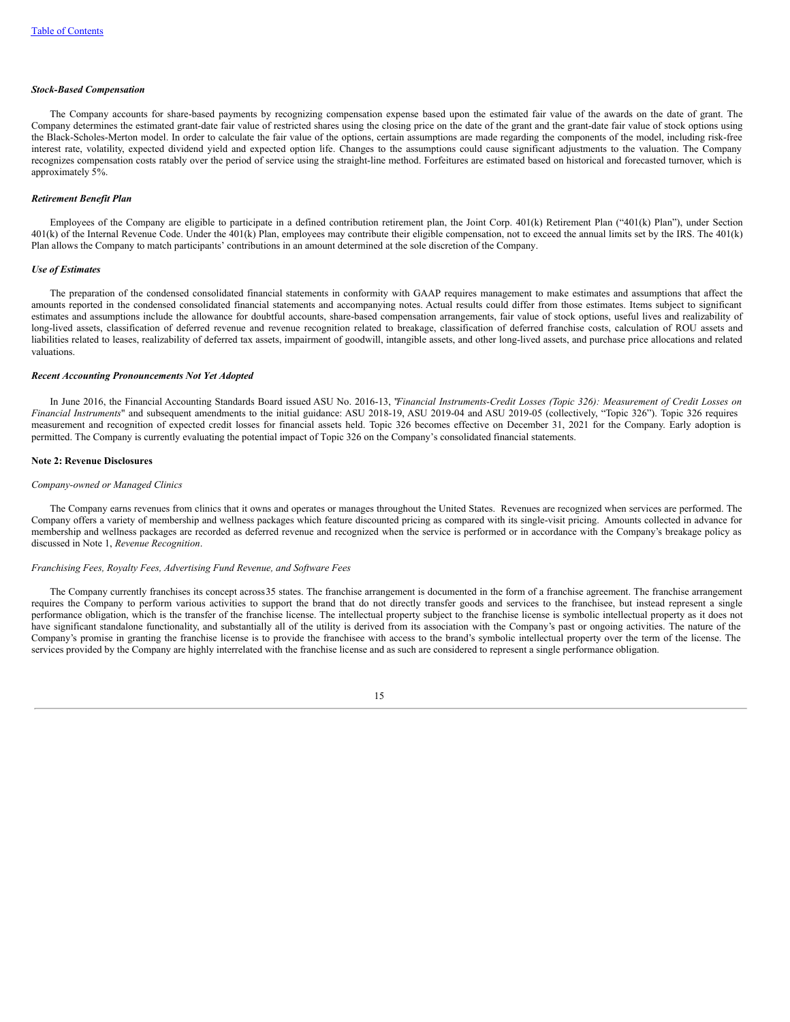#### *Stock-Based Compensation*

The Company accounts for share-based payments by recognizing compensation expense based upon the estimated fair value of the awards on the date of grant. The Company determines the estimated grant-date fair value of restricted shares using the closing price on the date of the grant and the grant-date fair value of stock options using the Black-Scholes-Merton model. In order to calculate the fair value of the options, certain assumptions are made regarding the components of the model, including risk-free interest rate, volatility, expected dividend yield and expected option life. Changes to the assumptions could cause significant adjustments to the valuation. The Company recognizes compensation costs ratably over the period of service using the straight-line method. Forfeitures are estimated based on historical and forecasted turnover, which is approximately 5%.

### *Retirement Benefit Plan*

Employees of the Company are eligible to participate in a defined contribution retirement plan, the Joint Corp. 401(k) Retirement Plan ("401(k) Plan"), under Section 401(k) of the Internal Revenue Code. Under the 401(k) Plan, employees may contribute their eligible compensation, not to exceed the annual limits set by the IRS. The 401(k) Plan allows the Company to match participants' contributions in an amount determined at the sole discretion of the Company.

#### *Use of Estimates*

The preparation of the condensed consolidated financial statements in conformity with GAAP requires management to make estimates and assumptions that affect the amounts reported in the condensed consolidated financial statements and accompanying notes. Actual results could differ from those estimates. Items subject to significant estimates and assumptions include the allowance for doubtful accounts, share-based compensation arrangements, fair value of stock options, useful lives and realizability of long-lived assets, classification of deferred revenue and revenue recognition related to breakage, classification of deferred franchise costs, calculation of ROU assets and liabilities related to leases, realizability of deferred tax assets, impairment of goodwill, intangible assets, and other long-lived assets, and purchase price allocations and related valuations.

#### *Recent Accounting Pronouncements Not Yet Adopted*

In June 2016, the Financial Accounting Standards Board issued ASU No. 2016-13, "Financial Instruments-Credit Losses (Topic 326): Measurement of Credit Losses on *Financial Instruments*" and subsequent amendments to the initial guidance: ASU 2018-19, ASU 2019-04 and ASU 2019-05 (collectively, "Topic 326"). Topic 326 requires measurement and recognition of expected credit losses for financial assets held. Topic 326 becomes effective on December 31, 2021 for the Company. Early adoption is permitted. The Company is currently evaluating the potential impact of Topic 326 on the Company's consolidated financial statements.

#### **Note 2: Revenue Disclosures**

#### *Company-owned or Managed Clinics*

The Company earns revenues from clinics that it owns and operates or manages throughout the United States. Revenues are recognized when services are performed. The Company offers a variety of membership and wellness packages which feature discounted pricing as compared with its single-visit pricing. Amounts collected in advance for membership and wellness packages are recorded as deferred revenue and recognized when the service is performed or in accordance with the Company's breakage policy as discussed in Note 1, *Revenue Recognition*.

#### *Franchising Fees, Royalty Fees, Advertising Fund Revenue, and Software Fees*

The Company currently franchises its concept across35 states. The franchise arrangement is documented in the form of a franchise agreement. The franchise arrangement requires the Company to perform various activities to support the brand that do not directly transfer goods and services to the franchisee, but instead represent a single performance obligation, which is the transfer of the franchise license. The intellectual property subject to the franchise license is symbolic intellectual property as it does not have significant standalone functionality, and substantially all of the utility is derived from its association with the Company's past or ongoing activities. The nature of the Company's promise in granting the franchise license is to provide the franchisee with access to the brand's symbolic intellectual property over the term of the license. The services provided by the Company are highly interrelated with the franchise license and as such are considered to represent a single performance obligation.

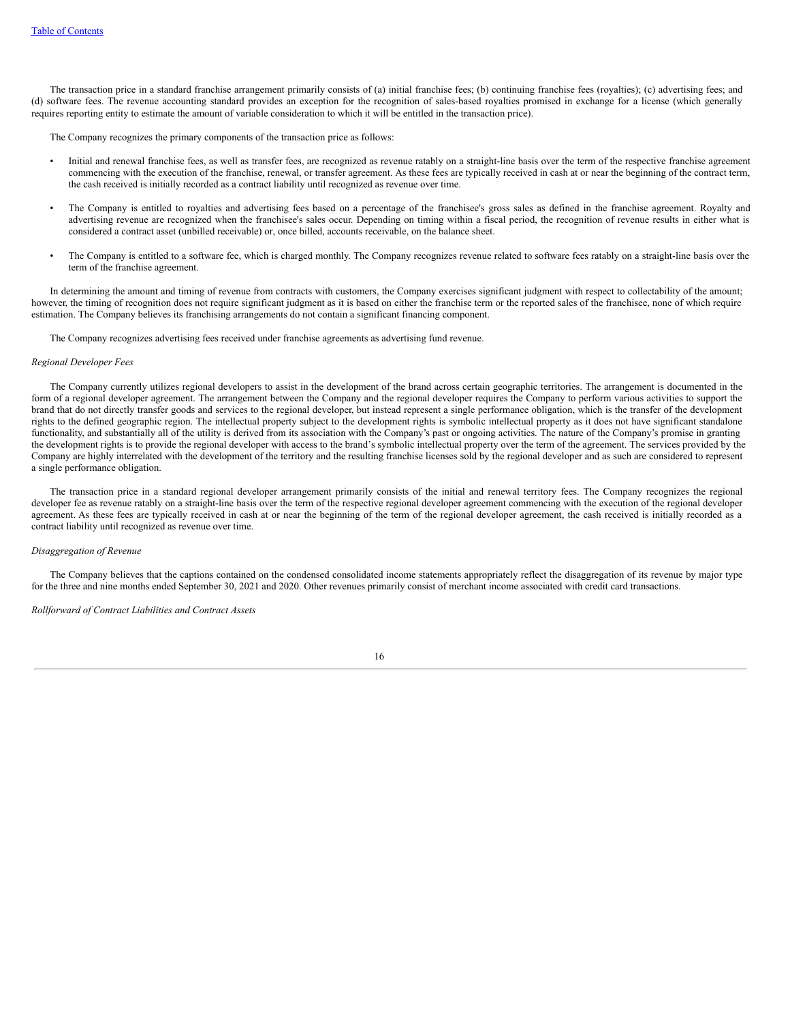The transaction price in a standard franchise arrangement primarily consists of (a) initial franchise fees; (b) continuing franchise fees (royalties); (c) advertising fees; and (d) software fees. The revenue accounting standard provides an exception for the recognition of sales-based royalties promised in exchange for a license (which generally requires reporting entity to estimate the amount of variable consideration to which it will be entitled in the transaction price).

The Company recognizes the primary components of the transaction price as follows:

- Initial and renewal franchise fees, as well as transfer fees, are recognized as revenue ratably on a straight-line basis over the term of the respective franchise agreement commencing with the execution of the franchise, renewal, or transfer agreement. As these fees are typically received in cash at or near the beginning of the contract term, the cash received is initially recorded as a contract liability until recognized as revenue over time.
- The Company is entitled to royalties and advertising fees based on a percentage of the franchisee's gross sales as defined in the franchise agreement. Royalty and advertising revenue are recognized when the franchisee's sales occur. Depending on timing within a fiscal period, the recognition of revenue results in either what is considered a contract asset (unbilled receivable) or, once billed, accounts receivable, on the balance sheet.
- The Company is entitled to a software fee, which is charged monthly. The Company recognizes revenue related to software fees ratably on a straight-line basis over the term of the franchise agreement.

In determining the amount and timing of revenue from contracts with customers, the Company exercises significant judgment with respect to collectability of the amount; however, the timing of recognition does not require significant judgment as it is based on either the franchise term or the reported sales of the franchisee, none of which require estimation. The Company believes its franchising arrangements do not contain a significant financing component.

The Company recognizes advertising fees received under franchise agreements as advertising fund revenue.

#### *Regional Developer Fees*

The Company currently utilizes regional developers to assist in the development of the brand across certain geographic territories. The arrangement is documented in the form of a regional developer agreement. The arrangement between the Company and the regional developer requires the Company to perform various activities to support the brand that do not directly transfer goods and services to the regional developer, but instead represent a single performance obligation, which is the transfer of the development rights to the defined geographic region. The intellectual property subject to the development rights is symbolic intellectual property as it does not have significant standalone functionality, and substantially all of the utility is derived from its association with the Company's past or ongoing activities. The nature of the Company's promise in granting the development rights is to provide the regional developer with access to the brand's symbolic intellectual property over the term of the agreement. The services provided by the Company are highly interrelated with the development of the territory and the resulting franchise licenses sold by the regional developer and as such are considered to represent a single performance obligation.

The transaction price in a standard regional developer arrangement primarily consists of the initial and renewal territory fees. The Company recognizes the regional developer fee as revenue ratably on a straight-line basis over the term of the respective regional developer agreement commencing with the execution of the regional developer agreement. As these fees are typically received in cash at or near the beginning of the term of the regional developer agreement, the cash received is initially recorded as a contract liability until recognized as revenue over time.

### *Disaggregation of Revenue*

The Company believes that the captions contained on the condensed consolidated income statements appropriately reflect the disaggregation of its revenue by major type for the three and nine months ended September 30, 2021 and 2020. Other revenues primarily consist of merchant income associated with credit card transactions.

#### *Rollforward of Contract Liabilities and Contract Assets*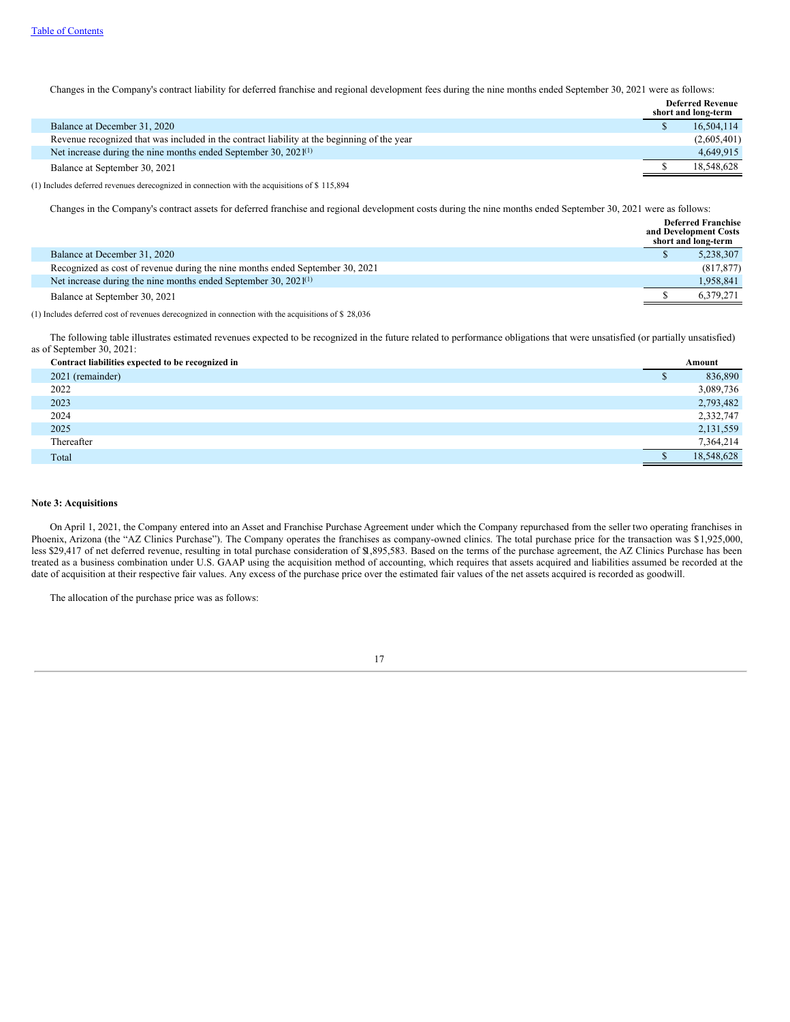Changes in the Company's contract liability for deferred franchise and regional development fees during the nine months ended September 30, 2021 were as follows:

|                                                                                             | <b>Deferred Revenue</b><br>short and long-term |
|---------------------------------------------------------------------------------------------|------------------------------------------------|
| Balance at December 31, 2020                                                                | 16,504,114                                     |
| Revenue recognized that was included in the contract liability at the beginning of the year | (2,605,401)                                    |
| Net increase during the nine months ended September 30, $2021^{(1)}$                        | 4.649.915                                      |
| Balance at September 30, 2021                                                               | 18,548,628                                     |

(1) Includes deferred revenues derecognized in connection with the acquisitions of \$ 115,894

Changes in the Company's contract assets for deferred franchise and regional development costs during the nine months ended September 30, 2021 were as follows:

|                                                                               | <b>Deferred Franchise</b><br>and Development Costs<br>short and long-term |
|-------------------------------------------------------------------------------|---------------------------------------------------------------------------|
| Balance at December 31, 2020                                                  | 5,238,307                                                                 |
| Recognized as cost of revenue during the nine months ended September 30, 2021 | (817, 877)                                                                |
| Net increase during the nine months ended September 30, $2021^{(1)}$          | 1,958,841                                                                 |
| Balance at September 30, 2021                                                 | 6,379,271                                                                 |

(1) Includes deferred cost of revenues derecognized in connection with the acquisitions of \$ 28,036

The following table illustrates estimated revenues expected to be recognized in the future related to performance obligations that were unsatisfied (or partially unsatisfied) as of September 30, 2021:

| Contract liabilities expected to be recognized in | Amount     |
|---------------------------------------------------|------------|
| 2021 (remainder)                                  | 836,890    |
| 2022                                              | 3,089,736  |
| 2023                                              | 2,793,482  |
| 2024                                              | 2,332,747  |
| 2025                                              | 2,131,559  |
| Thereafter                                        | 7,364,214  |
| Total                                             | 18,548,628 |

### **Note 3: Acquisitions**

On April 1, 2021, the Company entered into an Asset and Franchise Purchase Agreement under which the Company repurchased from the seller two operating franchises in Phoenix, Arizona (the "AZ Clinics Purchase"). The Company operates the franchises as company-owned clinics. The total purchase price for the transaction was \$1,925,000, less \$29,417 of net deferred revenue, resulting in total purchase consideration of \$1,895,583. Based on the terms of the purchase agreement, the AZ Clinics Purchase has been treated as a business combination under U.S. GAAP using the acquisition method of accounting, which requires that assets acquired and liabilities assumed be recorded at the date of acquisition at their respective fair values. Any excess of the purchase price over the estimated fair values of the net assets acquired is recorded as goodwill.

The allocation of the purchase price was as follows: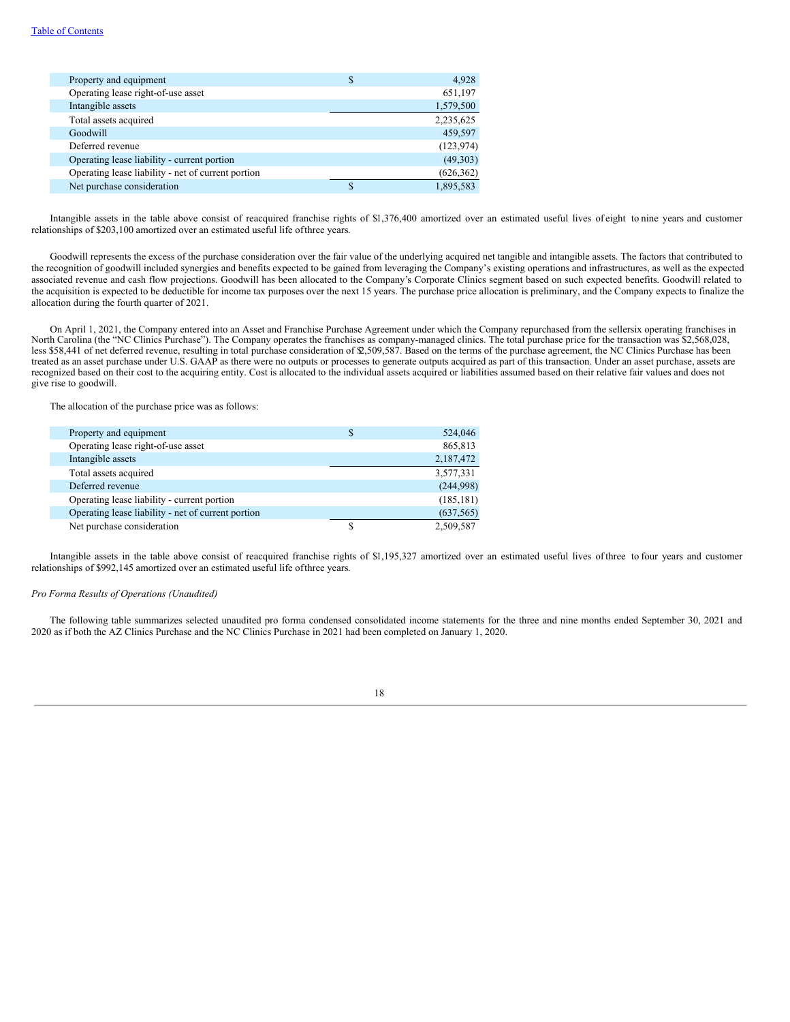| Property and equipment                             | \$ | 4,928      |
|----------------------------------------------------|----|------------|
| Operating lease right-of-use asset                 |    | 651,197    |
| Intangible assets                                  |    | 1,579,500  |
| Total assets acquired                              |    | 2,235,625  |
| Goodwill                                           |    | 459,597    |
| Deferred revenue                                   |    | (123, 974) |
| Operating lease liability - current portion        |    | (49,303)   |
| Operating lease liability - net of current portion |    | (626, 362) |
| Net purchase consideration                         | S  | 1.895.583  |

Intangible assets in the table above consist of reacquired franchise rights of \$1,376,400 amortized over an estimated useful lives of eight to nine years and customer relationships of \$203,100 amortized over an estimated useful life ofthree years.

Goodwill represents the excess of the purchase consideration over the fair value of the underlying acquired net tangible and intangible assets. The factors that contributed to the recognition of goodwill included synergies and benefits expected to be gained from leveraging the Company's existing operations and infrastructures, as well as the expected associated revenue and cash flow projections. Goodwill has been allocated to the Company's Corporate Clinics segment based on such expected benefits. Goodwill related to the acquisition is expected to be deductible for income tax purposes over the next 15 years. The purchase price allocation is preliminary, and the Company expects to finalize the allocation during the fourth quarter of 2021.

On April 1, 2021, the Company entered into an Asset and Franchise Purchase Agreement under which the Company repurchased from the sellersix operating franchises in North Carolina (the "NC Clinics Purchase"). The Company operates the franchises as company-managed clinics. The total purchase price for the transaction was \$2,568,028, less \$58,441 of net deferred revenue, resulting in total purchase consideration of \$2,509,587. Based on the terms of the purchase agreement, the NC Clinics Purchase has been treated as an asset purchase under U.S. GAAP as there were no outputs or processes to generate outputs acquired as part of this transaction. Under an asset purchase, assets are recognized based on their cost to the acquiring entity. Cost is allocated to the individual assets acquired or liabilities assumed based on their relative fair values and does not give rise to goodwill.

The allocation of the purchase price was as follows:

| Property and equipment                             | \$<br>524,046 |
|----------------------------------------------------|---------------|
| Operating lease right-of-use asset                 | 865,813       |
| Intangible assets                                  | 2,187,472     |
| Total assets acquired                              | 3,577,331     |
| Deferred revenue                                   | (244,998)     |
| Operating lease liability - current portion        | (185, 181)    |
| Operating lease liability - net of current portion | (637, 565)    |
| Net purchase consideration                         | 2,509,587     |

Intangible assets in the table above consist of reacquired franchise rights of \$1,195,327 amortized over an estimated useful lives ofthree to four years and customer relationships of \$992,145 amortized over an estimated useful life ofthree years.

### *Pro Forma Results of Operations (Unaudited)*

The following table summarizes selected unaudited pro forma condensed consolidated income statements for the three and nine months ended September 30, 2021 and 2020 as if both the AZ Clinics Purchase and the NC Clinics Purchase in 2021 had been completed on January 1, 2020.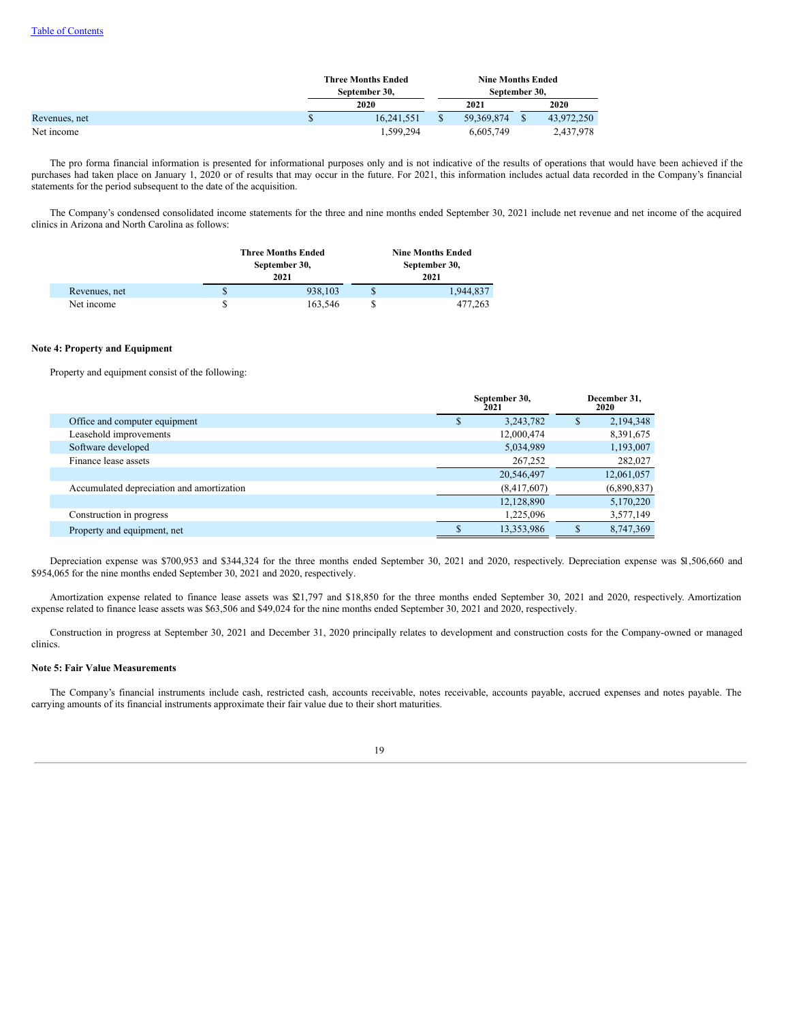|               | <b>Three Months Ended</b><br>September 30, | <b>Nine Months Ended</b><br>September 30, |            |  |            |
|---------------|--------------------------------------------|-------------------------------------------|------------|--|------------|
|               | 2020                                       |                                           | 2021       |  | 2020       |
| Revenues, net | 16.241.551                                 |                                           | 59.369.874 |  | 43,972,250 |
| Net income    | 1.599.294                                  |                                           | 6,605,749  |  | 2,437,978  |

The pro forma financial information is presented for informational purposes only and is not indicative of the results of operations that would have been achieved if the purchases had taken place on January 1, 2020 or of results that may occur in the future. For 2021, this information includes actual data recorded in the Company's financial statements for the period subsequent to the date of the acquisition.

The Company's condensed consolidated income statements for the three and nine months ended September 30, 2021 include net revenue and net income of the acquired clinics in Arizona and North Carolina as follows:

|               |   | <b>Three Months Ended</b><br>September 30, |    | <b>Nine Months Ended</b><br>September 30, |
|---------------|---|--------------------------------------------|----|-------------------------------------------|
|               |   | 2021                                       |    | 2021                                      |
| Revenues, net | S | 938,103                                    | \$ | 1.944.837                                 |
| Net income    | S | 163.546                                    | S  | 477.263                                   |

### **Note 4: Property and Equipment**

Property and equipment consist of the following:

|                                           |             | September 30,<br>2021 |   | December 31,<br>2020 |  |           |
|-------------------------------------------|-------------|-----------------------|---|----------------------|--|-----------|
| Office and computer equipment             | Ф           | 3,243,782             | S | 2,194,348            |  |           |
| Leasehold improvements                    |             | 12,000,474            |   | 8,391,675            |  |           |
| Software developed                        | 5,034,989   |                       |   |                      |  | 1,193,007 |
| Finance lease assets                      |             | 267,252               |   |                      |  | 282,027   |
|                                           |             | 20,546,497            |   | 12,061,057           |  |           |
| Accumulated depreciation and amortization | (8,417,607) |                       |   | (6,890,837)          |  |           |
|                                           |             | 12,128,890            |   | 5,170,220            |  |           |
| Construction in progress                  |             | 1.225.096             |   | 3,577,149            |  |           |
| Property and equipment, net               |             | 13,353,986            |   | 8,747,369            |  |           |

Depreciation expense was \$700,953 and \$344,324 for the three months ended September 30, 2021 and 2020, respectively. Depreciation expense was \$1,506,660 and \$954,065 for the nine months ended September 30, 2021 and 2020, respectively.

Amortization expense related to finance lease assets was \$21,797 and \$18,850 for the three months ended September 30, 2021 and 2020, respectively. Amortization expense related to finance lease assets was \$63,506 and \$49,024 for the nine months ended September 30, 2021 and 2020, respectively.

Construction in progress at September 30, 2021 and December 31, 2020 principally relates to development and construction costs for the Company-owned or managed clinics.

### **Note 5: Fair Value Measurements**

The Company's financial instruments include cash, restricted cash, accounts receivable, notes receivable, accounts payable, accrued expenses and notes payable. The carrying amounts of its financial instruments approximate their fair value due to their short maturities.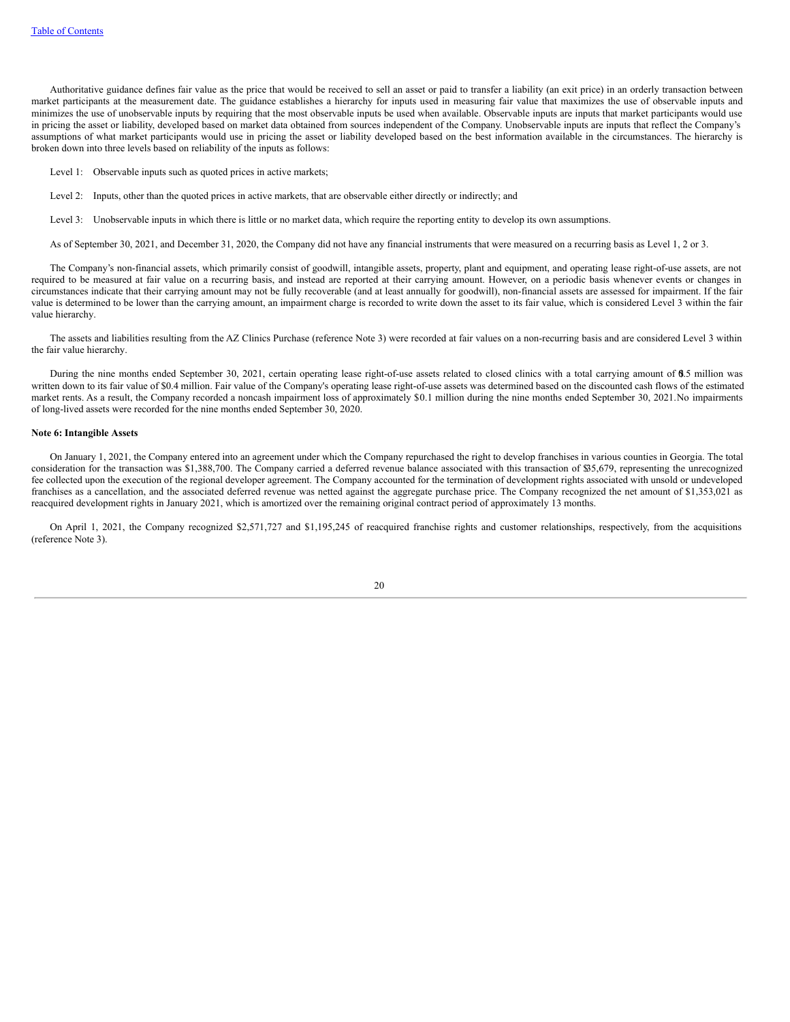Authoritative guidance defines fair value as the price that would be received to sell an asset or paid to transfer a liability (an exit price) in an orderly transaction between market participants at the measurement date. The guidance establishes a hierarchy for inputs used in measuring fair value that maximizes the use of observable inputs and minimizes the use of unobservable inputs by requiring that the most observable inputs be used when available. Observable inputs are inputs that market participants would use in pricing the asset or liability, developed based on market data obtained from sources independent of the Company. Unobservable inputs are inputs that reflect the Company's assumptions of what market participants would use in pricing the asset or liability developed based on the best information available in the circumstances. The hierarchy is broken down into three levels based on reliability of the inputs as follows:

Level 1: Observable inputs such as quoted prices in active markets;

Level 2: Inputs, other than the quoted prices in active markets, that are observable either directly or indirectly; and

Level 3: Unobservable inputs in which there is little or no market data, which require the reporting entity to develop its own assumptions.

As of September 30, 2021, and December 31, 2020, the Company did not have any financial instruments that were measured on a recurring basis as Level 1, 2 or 3.

The Company's non-financial assets, which primarily consist of goodwill, intangible assets, property, plant and equipment, and operating lease right-of-use assets, are not required to be measured at fair value on a recurring basis, and instead are reported at their carrying amount. However, on a periodic basis whenever events or changes in circumstances indicate that their carrying amount may not be fully recoverable (and at least annually for goodwill), non-financial assets are assessed for impairment. If the fair value is determined to be lower than the carrying amount, an impairment charge is recorded to write down the asset to its fair value, which is considered Level 3 within the fair value hierarchy.

The assets and liabilities resulting from the AZ Clinics Purchase (reference Note 3) were recorded at fair values on a non-recurring basis and are considered Level 3 within the fair value hierarchy.

During the nine months ended September 30, 2021, certain operating lease right-of-use assets related to closed clinics with a total carrying amount of 0.5 million was written down to its fair value of \$0.4 million. Fair value of the Company's operating lease right-of-use assets was determined based on the discounted cash flows of the estimated market rents. As a result, the Company recorded a noncash impairment loss of approximately \$0.1 million during the nine months ended September 30, 2021.No impairments of long-lived assets were recorded for the nine months ended September 30, 2020.

### **Note 6: Intangible Assets**

On January 1, 2021, the Company entered into an agreement under which the Company repurchased the right to develop franchises in various counties in Georgia. The total consideration for the transaction was \$1,388,700. The Company carried a deferred revenue balance associated with this transaction of \$35,679, representing the unrecognized fee collected upon the execution of the regional developer agreement. The Company accounted for the termination of development rights associated with unsold or undeveloped franchises as a cancellation, and the associated deferred revenue was netted against the aggregate purchase price. The Company recognized the net amount of \$1,353,021 as reacquired development rights in January 2021, which is amortized over the remaining original contract period of approximately 13 months.

On April 1, 2021, the Company recognized \$2,571,727 and \$1,195,245 of reacquired franchise rights and customer relationships, respectively, from the acquisitions (reference Note 3).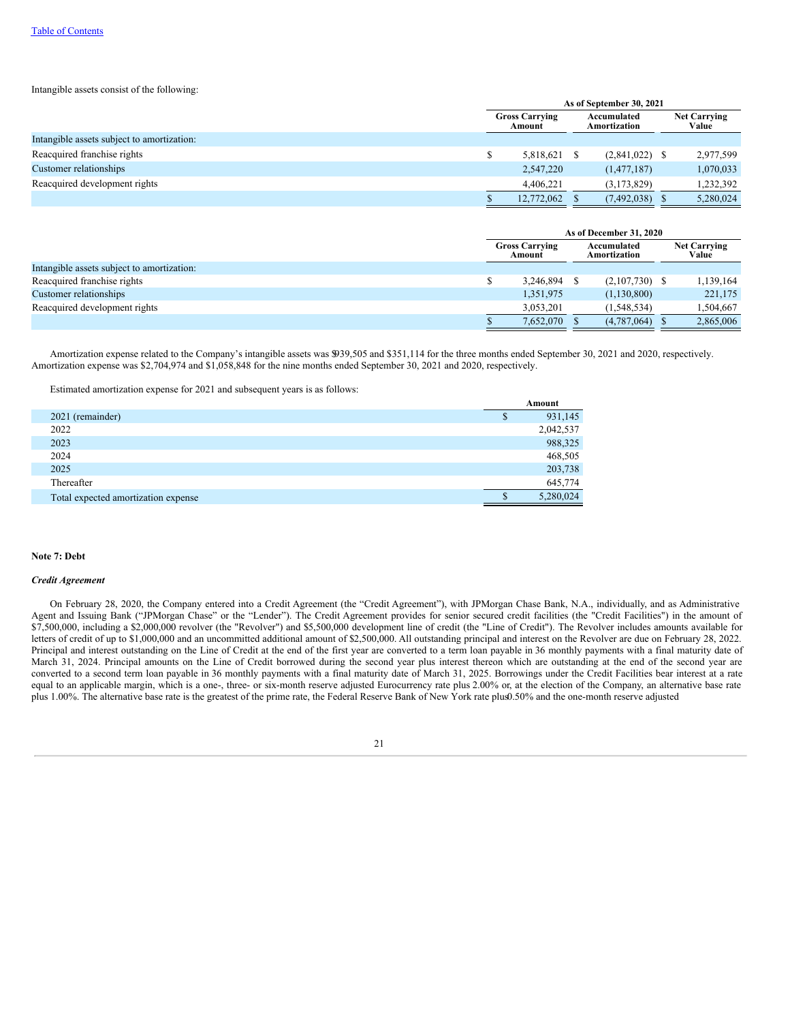### Intangible assets consist of the following:

|                                            | As of September 30, 2021 |                                 |  |                             |  |                              |
|--------------------------------------------|--------------------------|---------------------------------|--|-----------------------------|--|------------------------------|
|                                            |                          | <b>Gross Carrying</b><br>Amount |  | Accumulated<br>Amortization |  | <b>Net Carrying</b><br>Value |
| Intangible assets subject to amortization: |                          |                                 |  |                             |  |                              |
| Reacquired franchise rights                |                          | 5,818,621                       |  | $(2,841,022)$ \$            |  | 2,977,599                    |
| Customer relationships                     |                          | 2,547,220                       |  | (1,477,187)                 |  | 1,070,033                    |
| Reacquired development rights              |                          | 4.406.221                       |  | (3,173,829)                 |  | 1,232,392                    |
|                                            |                          | 12,772,062                      |  | $(7,492,038)$ \$            |  | 5,280,024                    |

|                                            | As of December 31, 2020         |           |                             |                  |  |                              |
|--------------------------------------------|---------------------------------|-----------|-----------------------------|------------------|--|------------------------------|
|                                            | <b>Gross Carrying</b><br>Amount |           | Accumulated<br>Amortization |                  |  | <b>Net Carrying</b><br>Value |
| Intangible assets subject to amortization: |                                 |           |                             |                  |  |                              |
| Reacquired franchise rights                |                                 | 3.246.894 |                             | $(2,107,730)$ \$ |  | 1,139,164                    |
| Customer relationships                     |                                 | 1,351,975 |                             | (1,130,800)      |  | 221,175                      |
| Reacquired development rights              |                                 | 3.053.201 |                             | (1.548.534)      |  | 1,504,667                    |
|                                            |                                 | 7,652,070 |                             | $(4,787,064)$ \$ |  | 2,865,006                    |

Amortization expense related to the Company's intangible assets was \$939,505 and \$351,114 for the three months ended September 30, 2021 and 2020, respectively. Amortization expense was \$2,704,974 and \$1,058,848 for the nine months ended September 30, 2021 and 2020, respectively.

Estimated amortization expense for 2021 and subsequent years is as follows:

|                                     |   | Amount    |
|-------------------------------------|---|-----------|
| 2021 (remainder)                    | Ф | 931,145   |
| 2022                                |   | 2,042,537 |
| 2023                                |   | 988,325   |
| 2024                                |   | 468,505   |
| 2025                                |   | 203,738   |
| Thereafter                          |   | 645,774   |
| Total expected amortization expense |   | 5,280,024 |

### **Note 7: Debt**

### *Credit Agreement*

On February 28, 2020, the Company entered into a Credit Agreement (the "Credit Agreement"), with JPMorgan Chase Bank, N.A., individually, and as Administrative Agent and Issuing Bank ("JPMorgan Chase" or the "Lender"). The Credit Agreement provides for senior secured credit facilities (the "Credit Facilities") in the amount of \$7,500,000, including a \$2,000,000 revolver (the "Revolver") and \$5,500,000 development line of credit (the "Line of Credit"). The Revolver includes amounts available for letters of credit of up to \$1,000,000 and an uncommitted additional amount of \$2,500,000. All outstanding principal and interest on the Revolver are due on February 28, 2022. Principal and interest outstanding on the Line of Credit at the end of the first year are converted to a term loan payable in 36 monthly payments with a final maturity date of March 31, 2024. Principal amounts on the Line of Credit borrowed during the second year plus interest thereon which are outstanding at the end of the second year are converted to a second term loan payable in 36 monthly payments with a final maturity date of March 31, 2025. Borrowings under the Credit Facilities bear interest at a rate equal to an applicable margin, which is a one-, three- or six-month reserve adjusted Eurocurrency rate plus 2.00% or, at the election of the Company, an alternative base rate plus 1.00%. The alternative base rate is the greatest of the prime rate, the Federal Reserve Bank of New York rate plus0.50% and the one-month reserve adjusted

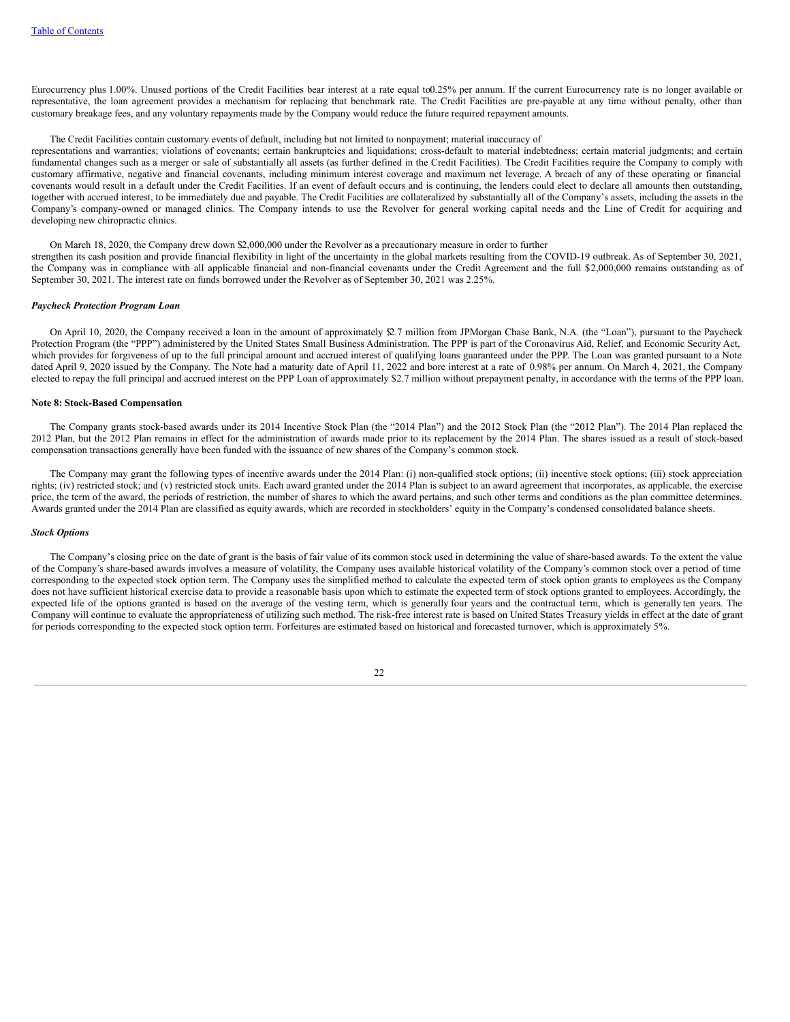Eurocurrency plus 1.00%. Unused portions of the Credit Facilities bear interest at a rate equal to0.25% per annum. If the current Eurocurrency rate is no longer available or representative, the loan agreement provides a mechanism for replacing that benchmark rate. The Credit Facilities are pre-payable at any time without penalty, other than customary breakage fees, and any voluntary repayments made by the Company would reduce the future required repayment amounts.

The Credit Facilities contain customary events of default, including but not limited to nonpayment; material inaccuracy of

representations and warranties; violations of covenants; certain bankruptcies and liquidations; cross-default to material indebtedness; certain material judgments; and certain fundamental changes such as a merger or sale of substantially all assets (as further defined in the Credit Facilities). The Credit Facilities require the Company to comply with customary affirmative, negative and financial covenants, including minimum interest coverage and maximum net leverage. A breach of any of these operating or financial covenants would result in a default under the Credit Facilities. If an event of default occurs and is continuing, the lenders could elect to declare all amounts then outstanding, together with accrued interest, to be immediately due and payable. The Credit Facilities are collateralized by substantially all of the Company's assets, including the assets in the Company's company-owned or managed clinics. The Company intends to use the Revolver for general working capital needs and the Line of Credit for acquiring and developing new chiropractic clinics.

On March 18, 2020, the Company drew down \$2,000,000 under the Revolver as a precautionary measure in order to further strengthen its cash position and provide financial flexibility in light of the uncertainty in the global markets resulting from the COVID-19 outbreak. As of September 30, 2021, the Company was in compliance with all applicable financial and non-financial covenants under the Credit Agreement and the full \$2,000,000 remains outstanding as of September 30, 2021. The interest rate on funds borrowed under the Revolver as of September 30, 2021 was 2.25%.

#### *Paycheck Protection Program Loan*

On April 10, 2020, the Company received a loan in the amount of approximately \$2.7 million from JPMorgan Chase Bank, N.A. (the "Loan"), pursuant to the Paycheck Protection Program (the "PPP") administered by the United States Small Business Administration. The PPP is part of the Coronavirus Aid, Relief, and Economic Security Act, which provides for forgiveness of up to the full principal amount and accrued interest of qualifying loans guaranteed under the PPP. The Loan was granted pursuant to a Note dated April 9, 2020 issued by the Company. The Note had a maturity date of April 11, 2022 and bore interest at a rate of 0.98% per annum. On March 4, 2021, the Company elected to repay the full principal and accrued interest on the PPP Loan of approximately \$2.7 million without prepayment penalty, in accordance with the terms of the PPP loan.

#### **Note 8: Stock-Based Compensation**

The Company grants stock-based awards under its 2014 Incentive Stock Plan (the "2014 Plan") and the 2012 Stock Plan (the "2012 Plan"). The 2014 Plan replaced the 2012 Plan, but the 2012 Plan remains in effect for the administration of awards made prior to its replacement by the 2014 Plan. The shares issued as a result of stock-based compensation transactions generally have been funded with the issuance of new shares of the Company's common stock.

The Company may grant the following types of incentive awards under the 2014 Plan: (i) non-qualified stock options; (ii) incentive stock options; (iii) stock appreciation rights; (iv) restricted stock; and (v) restricted stock units. Each award granted under the 2014 Plan is subject to an award agreement that incorporates, as applicable, the exercise price, the term of the award, the periods of restriction, the number of shares to which the award pertains, and such other terms and conditions as the plan committee determines. Awards granted under the 2014 Plan are classified as equity awards, which are recorded in stockholders' equity in the Company's condensed consolidated balance sheets.

#### *Stock Options*

The Company's closing price on the date of grant is the basis of fair value of its common stock used in determining the value of share-based awards. To the extent the value of the Company's share-based awards involves a measure of volatility, the Company uses available historical volatility of the Company's common stock over a period of time corresponding to the expected stock option term. The Company uses the simplified method to calculate the expected term of stock option grants to employees as the Company does not have sufficient historical exercise data to provide a reasonable basis upon which to estimate the expected term of stock options granted to employees. Accordingly, the expected life of the options granted is based on the average of the vesting term, which is generally four years and the contractual term, which is generally ten years. The Company will continue to evaluate the appropriateness of utilizing such method. The risk-free interest rate is based on United States Treasury yields in effect at the date of grant for periods corresponding to the expected stock option term. Forfeitures are estimated based on historical and forecasted turnover, which is approximately 5%.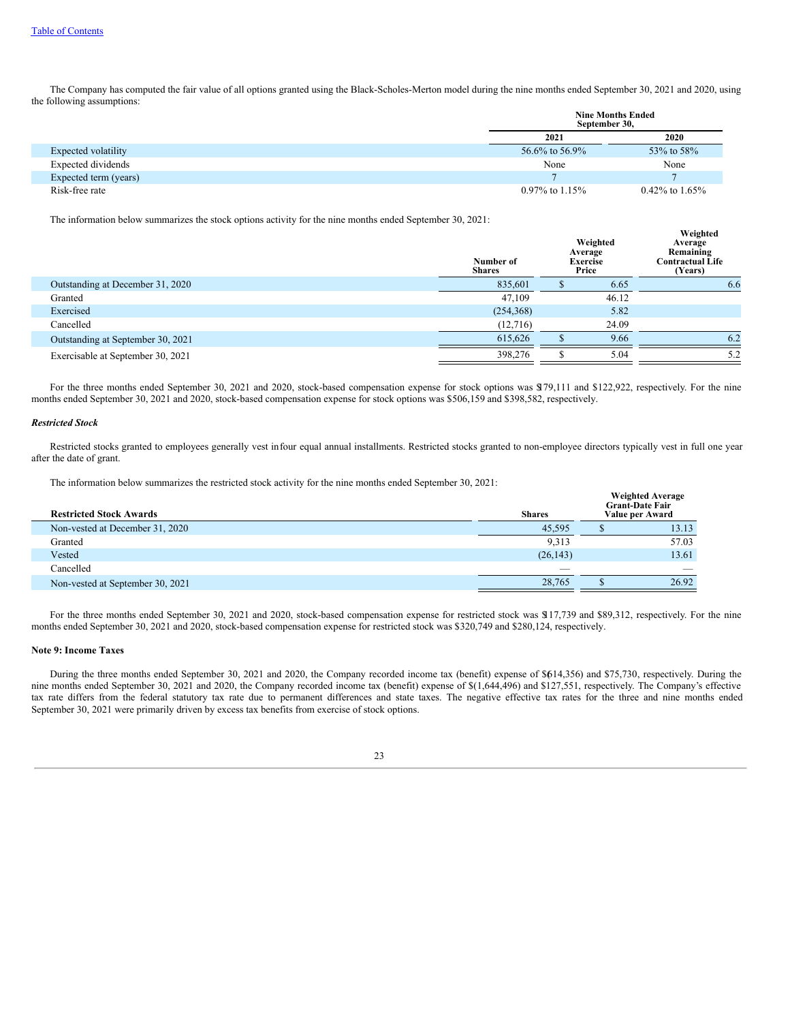The Company has computed the fair value of all options granted using the Black-Scholes-Merton model during the nine months ended September 30, 2021 and 2020, using the following assumptions:

|                       | September 30.        | <b>Nine Months Ended</b> |
|-----------------------|----------------------|--------------------------|
|                       | 2021                 | 2020                     |
| Expected volatility   | 56.6% to 56.9%       | 53% to 58%               |
| Expected dividends    | None                 | None                     |
| Expected term (years) |                      |                          |
| Risk-free rate        | $0.97\%$ to $1.15\%$ | 0.42\% to 1.65\%         |

The information below summarizes the stock options activity for the nine months ended September 30, 2021:

|                                   | Number of<br><b>Shares</b> | Weighted<br>Average<br>Exercise<br>Price | weignted<br>Average<br>Remaining<br>Contractual Life<br>(Years) |  |  |
|-----------------------------------|----------------------------|------------------------------------------|-----------------------------------------------------------------|--|--|
| Outstanding at December 31, 2020  | 835,601                    | 6.65                                     | 6.6                                                             |  |  |
| Granted                           | 47,109                     | 46.12                                    |                                                                 |  |  |
| Exercised                         | (254, 368)                 | 5.82                                     |                                                                 |  |  |
| Cancelled                         | (12,716)                   | 24.09                                    |                                                                 |  |  |
| Outstanding at September 30, 2021 | 615.626                    | 9.66                                     | 6.2                                                             |  |  |
| Exercisable at September 30, 2021 | 398,276                    | 5.04                                     | 5.2                                                             |  |  |
|                                   |                            |                                          |                                                                 |  |  |

**Weighted**

For the three months ended September 30, 2021 and 2020, stock-based compensation expense for stock options was \$179,111 and \$122,922, respectively. For the nine months ended September 30, 2021 and 2020, stock-based compensation expense for stock options was \$506,159 and \$398,582, respectively.

#### *Restricted Stock*

Restricted stocks granted to employees generally vest infour equal annual installments. Restricted stocks granted to non-employee directors typically vest in full one year after the date of grant.

The information below summarizes the restricted stock activity for the nine months ended September 30, 2021:

| <b>Restricted Stock Awards</b>   | <b>Shares</b> | <b>Weighted Average</b><br><b>Grant-Date Fair</b><br>Value per Award |
|----------------------------------|---------------|----------------------------------------------------------------------|
| Non-vested at December 31, 2020  | 45.595        | 13.13                                                                |
| Granted                          | 9,313         | 57.03                                                                |
| Vested                           | (26, 143)     | 13.61                                                                |
| Cancelled                        | -             | $\overline{\phantom{a}}$                                             |
| Non-vested at September 30, 2021 | 28,765        | 26.92                                                                |

For the three months ended September 30, 2021 and 2020, stock-based compensation expense for restricted stock was \$117,739 and \$89,312, respectively. For the nine months ended September 30, 2021 and 2020, stock-based compensation expense for restricted stock was \$320,749 and \$280,124, respectively.

### **Note 9: Income Taxes**

During the three months ended September 30, 2021 and 2020, the Company recorded income tax (benefit) expense of \$(614,356) and \$75,730, respectively. During the nine months ended September 30, 2021 and 2020, the Company recorded income tax (benefit) expense of \$(1,644,496) and \$127,551, respectively. The Company's effective tax rate differs from the federal statutory tax rate due to permanent differences and state taxes. The negative effective tax rates for the three and nine months ended September 30, 2021 were primarily driven by excess tax benefits from exercise of stock options.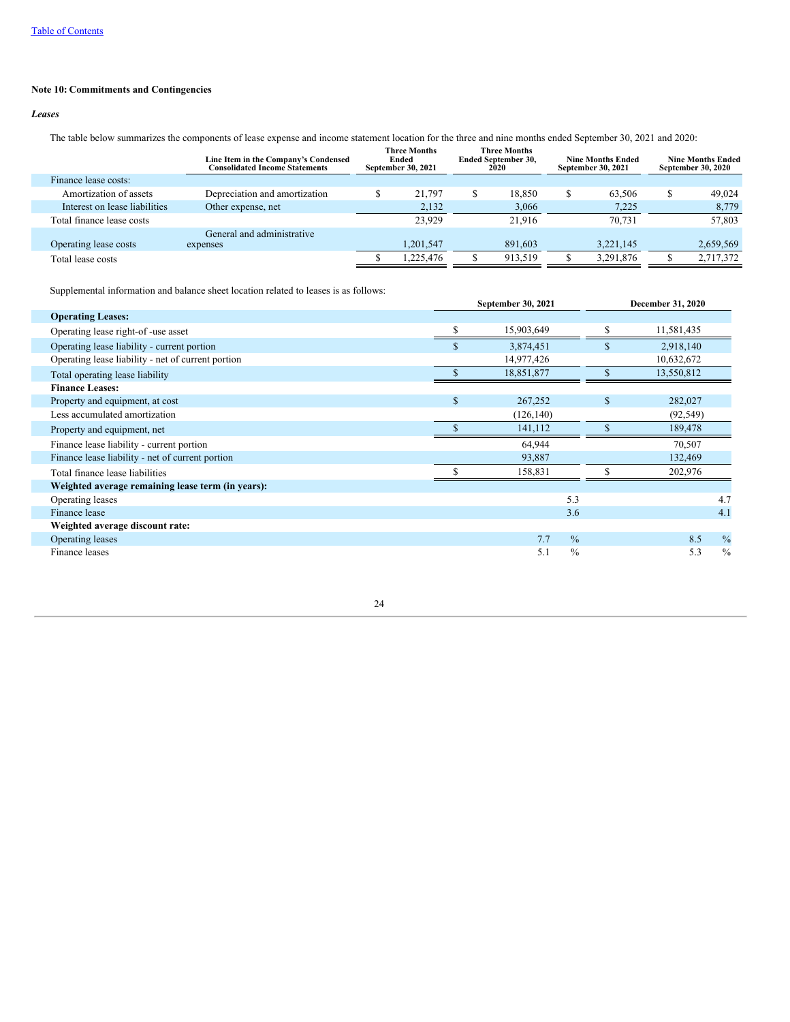## **Note 10: Commitments and Contingencies**

## *Leases*

The table below summarizes the components of lease expense and income statement location for the three and nine months ended September 30, 2021 and 2020:

|                               | Line Item in the Company's Condensed<br><b>Consolidated Income Statements</b> | <b>Three Months</b><br>Ended<br>September 30, 2021 |           |   |         |   |           | <b>Three Months</b><br><b>Ended September 30,</b><br>2020 |           |  |  | <b>Nine Months Ended</b><br>September 30, 2021 |  | <b>Nine Months Ended</b><br>September 30, 2020 |  |
|-------------------------------|-------------------------------------------------------------------------------|----------------------------------------------------|-----------|---|---------|---|-----------|-----------------------------------------------------------|-----------|--|--|------------------------------------------------|--|------------------------------------------------|--|
| Finance lease costs:          |                                                                               |                                                    |           |   |         |   |           |                                                           |           |  |  |                                                |  |                                                |  |
| Amortization of assets        | Depreciation and amortization                                                 |                                                    | 21.797    | S | 18.850  | S | 63,506    |                                                           | 49,024    |  |  |                                                |  |                                                |  |
| Interest on lease liabilities | Other expense, net                                                            |                                                    | 2,132     |   | 3,066   |   | 7.225     |                                                           | 8,779     |  |  |                                                |  |                                                |  |
| Total finance lease costs     |                                                                               |                                                    | 23,929    |   | 21.916  |   | 70.731    |                                                           | 57,803    |  |  |                                                |  |                                                |  |
|                               | General and administrative                                                    |                                                    |           |   |         |   |           |                                                           |           |  |  |                                                |  |                                                |  |
| Operating lease costs         | expenses                                                                      |                                                    | 1,201,547 |   | 891,603 |   | 3,221,145 |                                                           | 2,659,569 |  |  |                                                |  |                                                |  |
| Total lease costs             |                                                                               |                                                    | 1.225.476 |   | 913.519 |   | 3.291.876 |                                                           | 2.717.372 |  |  |                                                |  |                                                |  |
|                               |                                                                               |                                                    |           |   |         |   |           |                                                           |           |  |  |                                                |  |                                                |  |

Supplemental information and balance sheet location related to leases is as follows:

|                                                    | September 30, 2021 |               |               | <b>December 31, 2020</b> |               |  |  |
|----------------------------------------------------|--------------------|---------------|---------------|--------------------------|---------------|--|--|
| <b>Operating Leases:</b>                           |                    |               |               |                          |               |  |  |
| Operating lease right-of-use asset                 | 15,903,649         |               |               | 11,581,435               |               |  |  |
| Operating lease liability - current portion        | 3,874,451          |               |               | 2,918,140                |               |  |  |
| Operating lease liability - net of current portion | 14,977,426         |               |               | 10,632,672               |               |  |  |
| Total operating lease liability                    | 18,851,877         |               |               | 13,550,812               |               |  |  |
| <b>Finance Leases:</b>                             |                    |               |               |                          |               |  |  |
| Property and equipment, at cost                    | \$<br>267,252      |               | <sup>\$</sup> | 282,027                  |               |  |  |
| Less accumulated amortization                      | (126, 140)         |               |               | (92, 549)                |               |  |  |
| Property and equipment, net                        | 141,112            |               |               | 189,478                  |               |  |  |
| Finance lease liability - current portion          | 64,944             |               |               | 70,507                   |               |  |  |
| Finance lease liability - net of current portion   | 93,887             |               |               | 132,469                  |               |  |  |
| Total finance lease liabilities                    | 158,831            |               |               | 202,976                  |               |  |  |
| Weighted average remaining lease term (in years):  |                    |               |               |                          |               |  |  |
| Operating leases                                   |                    | 5.3           |               |                          | 4.7           |  |  |
| Finance lease                                      |                    | 3.6           |               |                          | 4.1           |  |  |
| Weighted average discount rate:                    |                    |               |               |                          |               |  |  |
| Operating leases                                   | 7.7                | $\frac{0}{0}$ |               | 8.5                      | $\frac{0}{0}$ |  |  |
| Finance leases                                     | 5.1                | $\%$          |               | 5.3                      | $\frac{0}{0}$ |  |  |

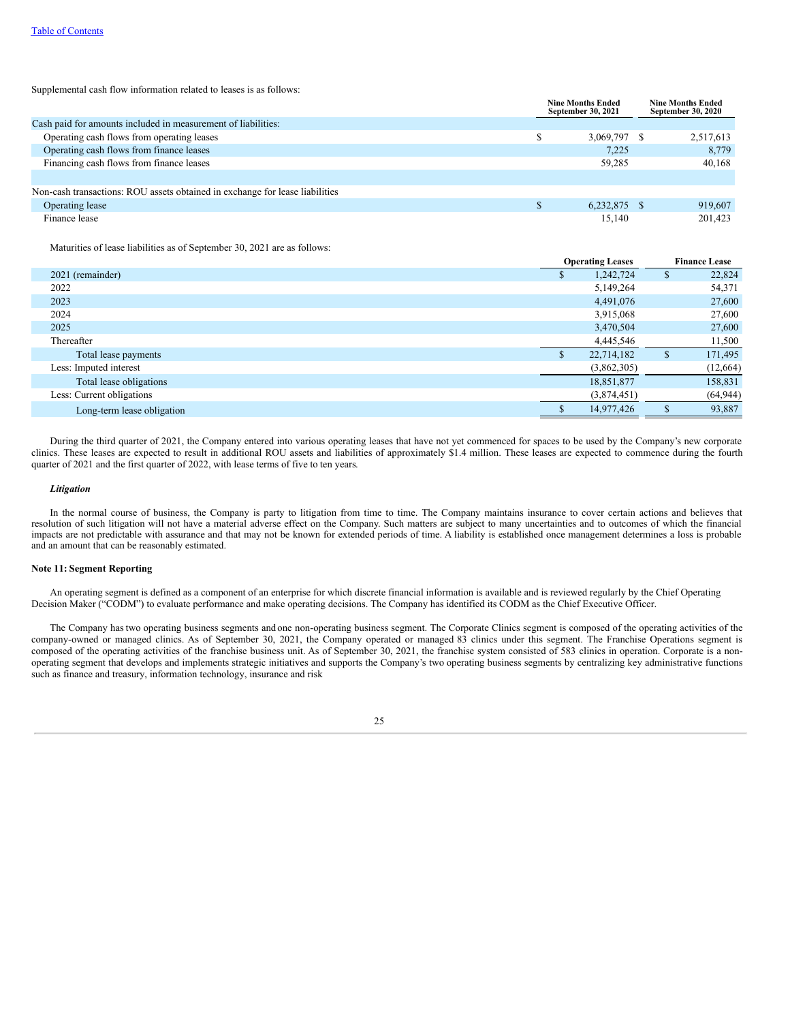### Supplemental cash flow information related to leases is as follows:

|                                                                              | <b>Nine Months Ended</b><br>September 30, 2021 | <b>Nine Months Ended</b><br><b>September 30, 2020</b> |
|------------------------------------------------------------------------------|------------------------------------------------|-------------------------------------------------------|
| Cash paid for amounts included in measurement of liabilities:                |                                                |                                                       |
| Operating cash flows from operating leases                                   | 3,069,797 \$                                   | 2,517,613                                             |
| Operating cash flows from finance leases                                     | 7,225                                          | 8,779                                                 |
| Financing cash flows from finance leases                                     | 59.285                                         | 40,168                                                |
|                                                                              |                                                |                                                       |
| Non-cash transactions: ROU assets obtained in exchange for lease liabilities |                                                |                                                       |
| Operating lease                                                              | 6,232,875 \$                                   | 919,607                                               |
| Finance lease                                                                | 15.140                                         | 201,423                                               |

Maturities of lease liabilities as of September 30, 2021 are as follows:

|                            | <b>Operating Leases</b> |              | <b>Finance Lease</b> |  |
|----------------------------|-------------------------|--------------|----------------------|--|
| 2021 (remainder)           | 1,242,724               | <sup>S</sup> | 22,824               |  |
| 2022                       | 5,149,264               |              | 54,371               |  |
| 2023                       | 4,491,076               |              | 27,600               |  |
| 2024                       | 3,915,068               |              | 27,600               |  |
| 2025                       | 3,470,504               |              | 27,600               |  |
| Thereafter                 | 4,445,546               |              | 11,500               |  |
| Total lease payments       | 22,714,182              | <sup>S</sup> | 171,495              |  |
| Less: Imputed interest     | (3,862,305)             |              | (12,664)             |  |
| Total lease obligations    | 18,851,877              |              | 158,831              |  |
| Less: Current obligations  | (3,874,451)             |              | (64, 944)            |  |
| Long-term lease obligation | 14,977,426              |              | 93,887               |  |
|                            |                         |              |                      |  |

During the third quarter of 2021, the Company entered into various operating leases that have not yet commenced for spaces to be used by the Company's new corporate clinics. These leases are expected to result in additional ROU assets and liabilities of approximately \$1.4 million. These leases are expected to commence during the fourth quarter of 2021 and the first quarter of 2022, with lease terms of five to ten years.

#### *Litigation*

In the normal course of business, the Company is party to litigation from time to time. The Company maintains insurance to cover certain actions and believes that resolution of such litigation will not have a material adverse effect on the Company. Such matters are subject to many uncertainties and to outcomes of which the financial impacts are not predictable with assurance and that may not be known for extended periods of time. A liability is established once management determines a loss is probable and an amount that can be reasonably estimated.

### **Note 11: Segment Reporting**

An operating segment is defined as a component of an enterprise for which discrete financial information is available and is reviewed regularly by the Chief Operating Decision Maker ("CODM") to evaluate performance and make operating decisions. The Company has identified its CODM as the Chief Executive Officer.

The Company hastwo operating business segments and one non-operating business segment. The Corporate Clinics segment is composed of the operating activities of the company-owned or managed clinics. As of September 30, 2021, the Company operated or managed 83 clinics under this segment. The Franchise Operations segment is composed of the operating activities of the franchise business unit. As of September 30, 2021, the franchise system consisted of 583 clinics in operation. Corporate is a nonoperating segment that develops and implements strategic initiatives and supports the Company's two operating business segments by centralizing key administrative functions such as finance and treasury, information technology, insurance and risk

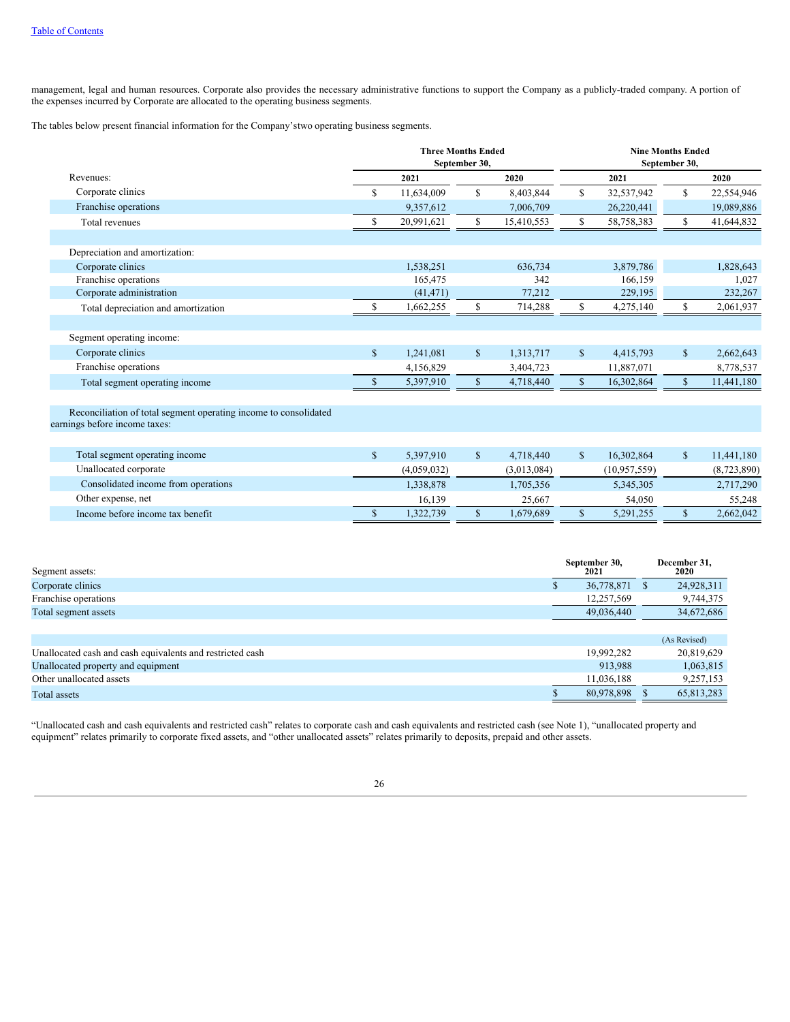management, legal and human resources. Corporate also provides the necessary administrative functions to support the Company as a publicly-traded company. A portion of the expenses incurred by Corporate are allocated to the operating business segments.

The tables below present financial information for the Company'stwo operating business segments.

| Revenues:                                                        |              | <b>Three Months Ended</b> | September 30, |             |              | <b>Nine Months Ended</b><br>September 30, |              |             |  |  |
|------------------------------------------------------------------|--------------|---------------------------|---------------|-------------|--------------|-------------------------------------------|--------------|-------------|--|--|
|                                                                  |              | 2021                      |               | 2020        |              | 2021                                      |              | 2020        |  |  |
| Corporate clinics                                                | \$           | 11,634,009                | \$            | 8,403,844   | \$           | 32,537,942                                | \$           | 22,554,946  |  |  |
| Franchise operations                                             |              | 9,357,612                 |               | 7,006,709   |              | 26,220,441                                |              | 19,089,886  |  |  |
| Total revenues                                                   | \$           | 20,991,621                | S             | 15,410,553  | \$           | 58,758,383                                | \$           | 41,644,832  |  |  |
|                                                                  |              |                           |               |             |              |                                           |              |             |  |  |
| Depreciation and amortization:                                   |              |                           |               |             |              |                                           |              |             |  |  |
| Corporate clinics                                                |              | 1,538,251                 |               | 636,734     |              | 3,879,786                                 |              | 1,828,643   |  |  |
| Franchise operations                                             |              | 165,475                   |               | 342         |              | 166,159                                   |              | 1,027       |  |  |
| Corporate administration                                         |              | (41, 471)                 |               | 77,212      |              | 229,195                                   |              | 232,267     |  |  |
| Total depreciation and amortization                              |              | 1,662,255                 | \$            | 714,288     | \$           | 4,275,140                                 | S            | 2,061,937   |  |  |
|                                                                  |              |                           |               |             |              |                                           |              |             |  |  |
| Segment operating income:                                        |              |                           |               |             |              |                                           |              |             |  |  |
| Corporate clinics                                                | $\mathbb{S}$ | 1,241,081                 | $\mathbb{S}$  | 1,313,717   | $\mathbb{S}$ | 4,415,793                                 | $\mathbb{S}$ | 2,662,643   |  |  |
| Franchise operations                                             |              | 4,156,829                 |               | 3,404,723   |              | 11,887,071                                |              | 8,778,537   |  |  |
| Total segment operating income                                   | \$           | 5,397,910                 | $\mathbb{S}$  | 4,718,440   | $\mathbb{S}$ | 16,302,864                                | \$           | 11,441,180  |  |  |
| Reconciliation of total segment operating income to consolidated |              |                           |               |             |              |                                           |              |             |  |  |
| earnings before income taxes:                                    |              |                           |               |             |              |                                           |              |             |  |  |
|                                                                  |              |                           |               |             |              |                                           |              |             |  |  |
| Total segment operating income                                   | $\mathbb{S}$ | 5,397,910                 | $\mathbb{S}$  | 4,718,440   | $\mathbb{S}$ | 16,302,864                                | $\mathbb{S}$ | 11,441,180  |  |  |
| Unallocated corporate                                            |              | (4,059,032)               |               | (3,013,084) |              | (10, 957, 559)                            |              | (8,723,890) |  |  |
| Consolidated income from operations                              |              | 1,338,878                 |               | 1,705,356   |              | 5,345,305                                 |              | 2,717,290   |  |  |
| Other expense, net                                               |              | 16.139                    |               | 25,667      |              | 54,050                                    |              | 55,248      |  |  |
| Income before income tax benefit                                 | $\mathbf S$  | 1,322,739                 | S             | 1,679,689   | $\mathbb{S}$ | 5,291,255                                 | $\mathbf S$  | 2,662,042   |  |  |

| Segment assets:                                           |    | September 30,<br>2021 | December 31,<br><b>2020</b> |
|-----------------------------------------------------------|----|-----------------------|-----------------------------|
| Corporate clinics                                         | ٠D | 36,778,871 \$         | 24,928,311                  |
| Franchise operations                                      |    | 12,257,569            | 9,744,375                   |
| Total segment assets                                      |    | 49,036,440            | 34,672,686                  |
|                                                           |    |                       |                             |
|                                                           |    |                       | (As Revised)                |
| Unallocated cash and cash equivalents and restricted cash |    | 19,992,282            | 20,819,629                  |
| Unallocated property and equipment                        |    | 913,988               | 1,063,815                   |
| Other unallocated assets                                  |    | 11,036,188            | 9,257,153                   |
| Total assets                                              |    | 80.978.898            | 65,813,283                  |

"Unallocated cash and cash equivalents and restricted cash" relates to corporate cash and cash equivalents and restricted cash (see Note 1), "unallocated property and equipment" relates primarily to corporate fixed assets, and "other unallocated assets" relates primarily to deposits, prepaid and other assets.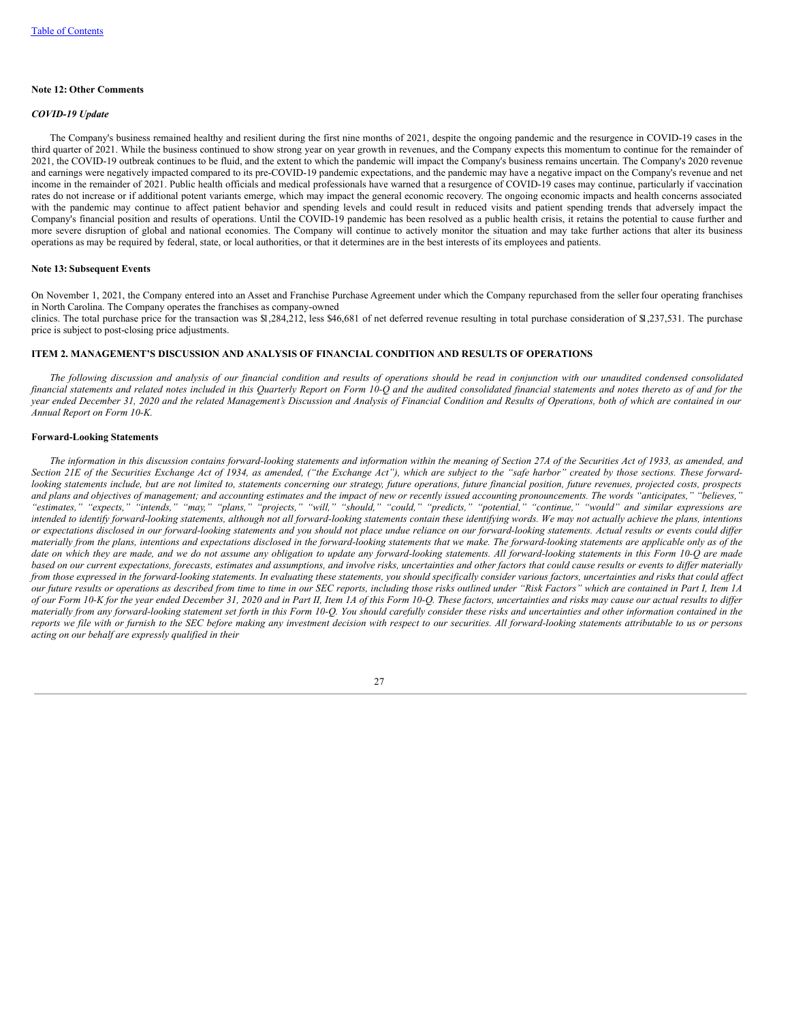#### **Note 12: Other Comments**

### *COVID-19 Update*

The Company's business remained healthy and resilient during the first nine months of 2021, despite the ongoing pandemic and the resurgence in COVID-19 cases in the third quarter of 2021. While the business continued to show strong year on year growth in revenues, and the Company expects this momentum to continue for the remainder of 2021, the COVID-19 outbreak continues to be fluid, and the extent to which the pandemic will impact the Company's business remains uncertain. The Company's 2020 revenue and earnings were negatively impacted compared to its pre-COVID-19 pandemic expectations, and the pandemic may have a negative impact on the Company's revenue and net income in the remainder of 2021. Public health officials and medical professionals have warned that a resurgence of COVID-19 cases may continue, particularly if vaccination rates do not increase or if additional potent variants emerge, which may impact the general economic recovery. The ongoing economic impacts and health concerns associated with the pandemic may continue to affect patient behavior and spending levels and could result in reduced visits and patient spending trends that adversely impact the Company's financial position and results of operations. Until the COVID-19 pandemic has been resolved as a public health crisis, it retains the potential to cause further and more severe disruption of global and national economies. The Company will continue to actively monitor the situation and may take further actions that alter its business operations as may be required by federal, state, or local authorities, or that it determines are in the best interests of its employees and patients.

### **Note 13: Subsequent Events**

On November 1, 2021, the Company entered into an Asset and Franchise Purchase Agreement under which the Company repurchased from the seller four operating franchises in North Carolina. The Company operates the franchises as company-owned

clinics. The total purchase price for the transaction was \$1,284,212, less \$46,681 of net deferred revenue resulting in total purchase consideration of \$1,237,531. The purchase price is subject to post-closing price adjustments.

#### <span id="page-29-0"></span>**ITEM 2. MANAGEMENT'S DISCUSSION AND ANALYSIS OF FINANCIAL CONDITION AND RESULTS OF OPERATIONS**

The following discussion and analysis of our financial condition and results of operations should be read in conjunction with our unaudited condensed consolidated financial statements and related notes included in this Quarterly Report on Form 10-Q and the audited consolidated financial statements and notes thereto as of and for the year ended December 31, 2020 and the related Management's Discussion and Analysis of Financial Condition and Results of Operations, both of which are contained in our *Annual Report on Form 10-K.*

#### **Forward-Looking Statements**

The information in this discussion contains forward-looking statements and information within the meaning of Section 27A of the Securities Act of 1933, as amended, and Section 21E of the Securities Exchange Act of 1934, as amended, ("the Exchange Act"), which are subject to the "safe harbor" created by those sections. These forwardlooking statements include, but are not limited to, statements concerning our strategy, future operations, future financial position, future revenues, projected costs, prospects and plans and objectives of management; and accounting estimates and the impact of new or recently issued accounting pronouncements. The words "anticipates," "believes," "estimates," "expects," "intends," "may," "plans," "projects," "will," "should," "could," "predicts," "potential," "continue," "would" and similar expressions are intended to identify forward-looking statements, although not all forward-looking statements contain these identifying words. We may not actually achieve the plans, intentions or expectations disclosed in our forward-looking statements and you should not place undue reliance on our forward-looking statements. Actual results or events could differ materially from the plans, intentions and expectations disclosed in the forward-looking statements that we make. The forward-looking statements are applicable only as of the date on which they are made, and we do not assume any obligation to update any forward-looking statements. All forward-looking statements in this Form 10-Q are made based on our current expectations, forecasts, estimates and assumptions, and involve risks, uncertainties and other factors that could cause results or events to differ materially from those expressed in the forward-looking statements. In evaluating these statements, you should specifically consider various factors, uncertainties and risks that could affect our future results or operations as described from time to time in our SEC reports, including those risks outlined under "Risk Factors" which are contained in Part I, Item 1A of our Form 10-K for the year ended December 31, 2020 and in Part II, Item 1A of this Form 10-Q. These factors, uncertainties and risks may cause our actual results to differ materially from any forward-looking statement set forth in this Form 10-Q. You should carefully consider these risks and uncertainties and other information contained in the reports we file with or furnish to the SEC before making any investment decision with respect to our securities. All forward-looking statements attributable to us or persons *acting on our behalf are expressly qualified in their*

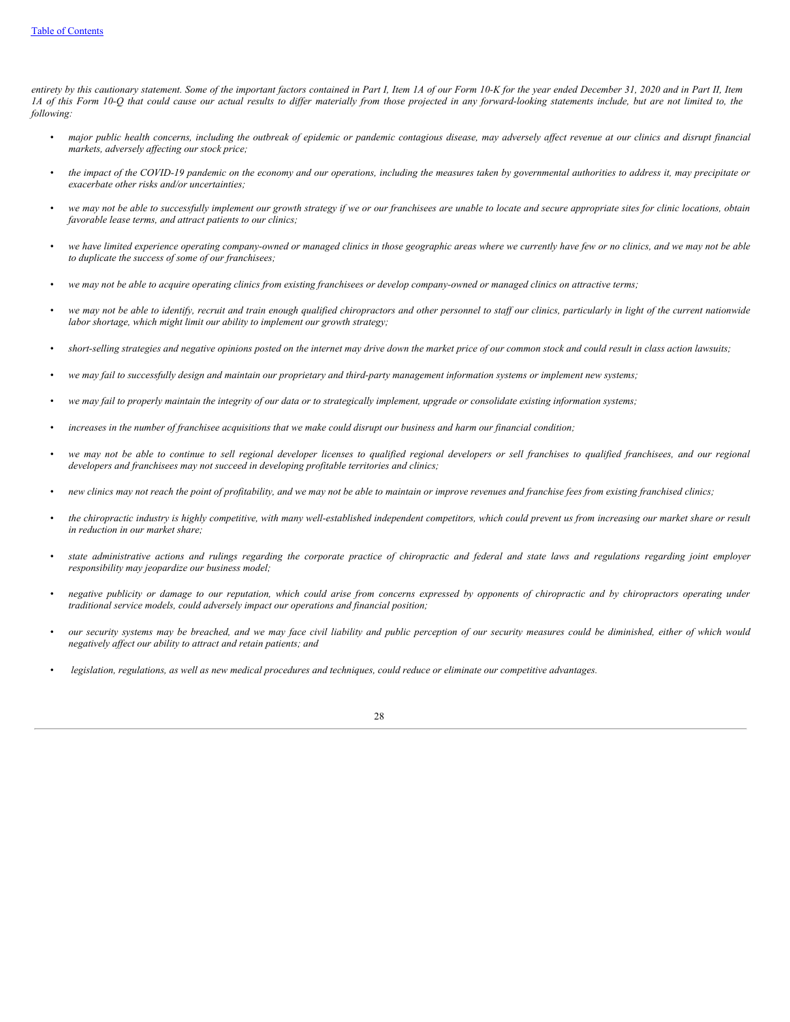entirety by this cautionary statement. Some of the important factors contained in Part I, Item 1A of our Form 10-K for the year ended December 31, 2020 and in Part II, Item 1A of this Form 10-Q that could cause our actual results to differ materially from those projected in any forward-looking statements include, but are not limited to, the *following:*

- major public health concerns, including the outbreak of epidemic or pandemic contagious disease, may adversely affect revenue at our clinics and disrupt financial *markets, adversely af ecting our stock price;*
- the impact of the COVID-19 pandemic on the economy and our operations, including the measures taken by governmental authorities to address it, may precipitate or *exacerbate other risks and/or uncertainties;*
- we may not be able to successfully implement our growth strategy if we or our franchisees are unable to locate and secure appropriate sites for clinic locations, obtain *favorable lease terms, and attract patients to our clinics;*
- we have limited experience operating company-owned or managed clinics in those geographic areas where we currently have few or no clinics, and we may not be able *to duplicate the success of some of our franchisees;*
- we may not be able to acquire operating clinics from existing franchisees or develop company-owned or managed clinics on attractive terms;
- we may not be able to identify, recruit and train enough qualified chiropractors and other personnel to staff our clinics, particularly in light of the current nationwide *labor shortage, which might limit our ability to implement our growth strategy;*
- short-selling strategies and negative opinions posted on the internet may drive down the market price of our common stock and could result in class action lawsuits;
- we may fail to successfully design and maintain our proprietary and third-party management information systems or implement new systems;
- we may fail to properly maintain the integrity of our data or to strategically implement, upgrade or consolidate existing information systems;
- increases in the number of franchisee acquisitions that we make could disrupt our business and harm our financial condition;
- we may not be able to continue to sell regional developer licenses to qualified regional developers or sell franchises to qualified franchisees, and our regional *developers and franchisees may not succeed in developing profitable territories and clinics;*
- new clinics may not reach the point of profitability, and we may not be able to maintain or improve revenues and franchise fees from existing franchised clinics;
- the chiropractic industry is highly competitive, with many well-established independent competitors, which could prevent us from increasing our market share or result *in reduction in our market share;*
- state administrative actions and rulings regarding the corporate practice of chiropractic and federal and state laws and regulations regarding joint employer *responsibility may jeopardize our business model;*
- negative publicity or damage to our reputation, which could arise from concerns expressed by opponents of chiropractic and by chiropractors operating under *traditional service models, could adversely impact our operations and financial position;*
- our security systems may be breached, and we may face civil liability and public perception of our security measures could be diminished, either of which would *negatively af ect our ability to attract and retain patients; and*
- legislation, regulations, as well as new medical procedures and techniques, could reduce or eliminate our competitive advantages.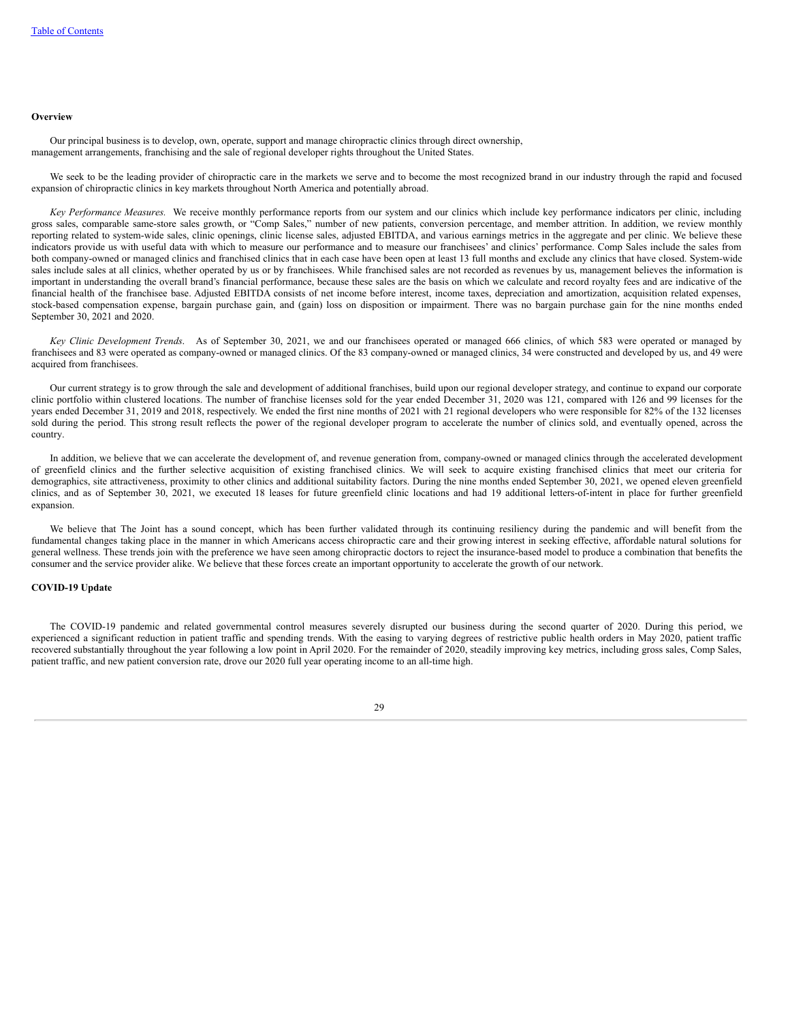#### **Overview**

Our principal business is to develop, own, operate, support and manage chiropractic clinics through direct ownership, management arrangements, franchising and the sale of regional developer rights throughout the United States.

We seek to be the leading provider of chiropractic care in the markets we serve and to become the most recognized brand in our industry through the rapid and focused expansion of chiropractic clinics in key markets throughout North America and potentially abroad.

*Key Performance Measures.* We receive monthly performance reports from our system and our clinics which include key performance indicators per clinic, including gross sales, comparable same-store sales growth, or "Comp Sales," number of new patients, conversion percentage, and member attrition. In addition, we review monthly reporting related to system-wide sales, clinic openings, clinic license sales, adjusted EBITDA, and various earnings metrics in the aggregate and per clinic. We believe these indicators provide us with useful data with which to measure our performance and to measure our franchisees' and clinics' performance. Comp Sales include the sales from both company-owned or managed clinics and franchised clinics that in each case have been open at least 13 full months and exclude any clinics that have closed. System-wide sales include sales at all clinics, whether operated by us or by franchisees. While franchised sales are not recorded as revenues by us, management believes the information is important in understanding the overall brand's financial performance, because these sales are the basis on which we calculate and record royalty fees and are indicative of the financial health of the franchisee base. Adjusted EBITDA consists of net income before interest, income taxes, depreciation and amortization, acquisition related expenses, stock-based compensation expense, bargain purchase gain, and (gain) loss on disposition or impairment. There was no bargain purchase gain for the nine months ended September 30, 2021 and 2020.

*Key Clinic Development Trends*. As of September 30, 2021, we and our franchisees operated or managed 666 clinics, of which 583 were operated or managed by franchisees and 83 were operated as company-owned or managed clinics. Of the 83 company-owned or managed clinics, 34 were constructed and developed by us, and 49 were acquired from franchisees.

Our current strategy is to grow through the sale and development of additional franchises, build upon our regional developer strategy, and continue to expand our corporate clinic portfolio within clustered locations. The number of franchise licenses sold for the year ended December 31, 2020 was 121, compared with 126 and 99 licenses for the years ended December 31, 2019 and 2018, respectively. We ended the first nine months of 2021 with 21 regional developers who were responsible for 82% of the 132 licenses sold during the period. This strong result reflects the power of the regional developer program to accelerate the number of clinics sold, and eventually opened, across the country.

In addition, we believe that we can accelerate the development of, and revenue generation from, company-owned or managed clinics through the accelerated development of greenfield clinics and the further selective acquisition of existing franchised clinics. We will seek to acquire existing franchised clinics that meet our criteria for demographics, site attractiveness, proximity to other clinics and additional suitability factors. During the nine months ended September 30, 2021, we opened eleven greenfield clinics, and as of September 30, 2021, we executed 18 leases for future greenfield clinic locations and had 19 additional letters-of-intent in place for further greenfield expansion.

We believe that The Joint has a sound concept, which has been further validated through its continuing resiliency during the pandemic and will benefit from the fundamental changes taking place in the manner in which Americans access chiropractic care and their growing interest in seeking effective, affordable natural solutions for general wellness. These trends join with the preference we have seen among chiropractic doctors to reject the insurance-based model to produce a combination that benefits the consumer and the service provider alike. We believe that these forces create an important opportunity to accelerate the growth of our network.

#### **COVID-19 Update**

The COVID-19 pandemic and related governmental control measures severely disrupted our business during the second quarter of 2020. During this period, we experienced a significant reduction in patient traffic and spending trends. With the easing to varying degrees of restrictive public health orders in May 2020, patient traffic recovered substantially throughout the year following a low point in April 2020. For the remainder of 2020, steadily improving key metrics, including gross sales, Comp Sales, patient traffic, and new patient conversion rate, drove our 2020 full year operating income to an all-time high.

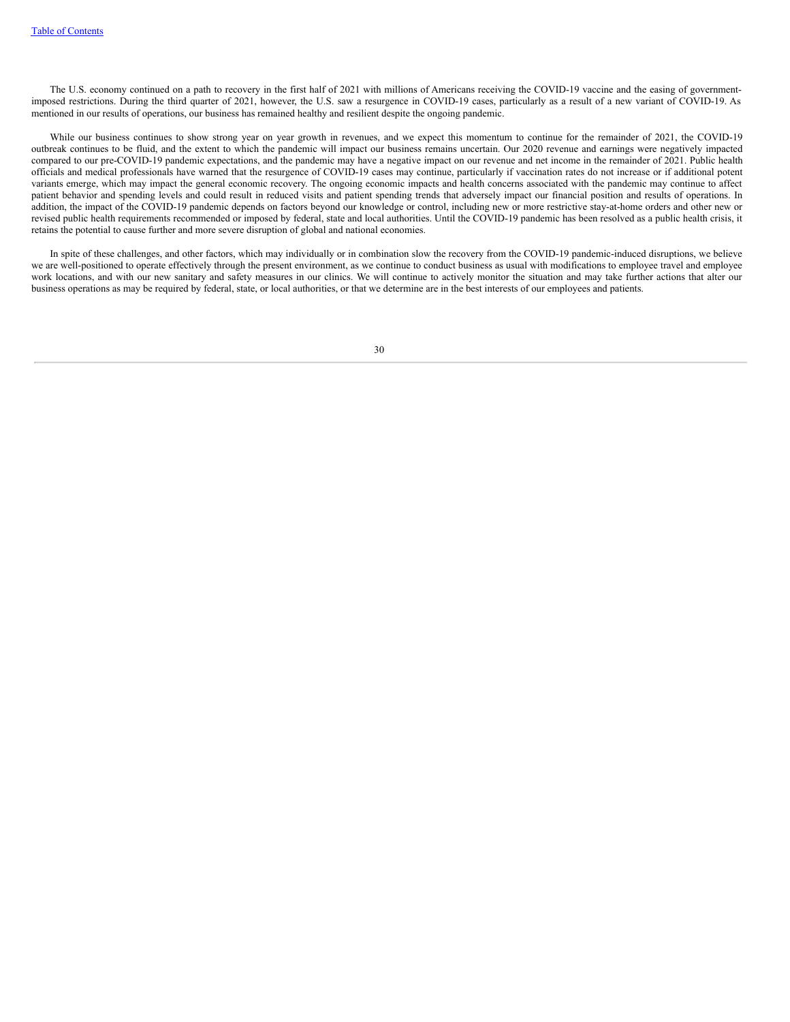The U.S. economy continued on a path to recovery in the first half of 2021 with millions of Americans receiving the COVID-19 vaccine and the easing of governmentimposed restrictions. During the third quarter of 2021, however, the U.S. saw a resurgence in COVID-19 cases, particularly as a result of a new variant of COVID-19. As mentioned in our results of operations, our business has remained healthy and resilient despite the ongoing pandemic.

While our business continues to show strong year on year growth in revenues, and we expect this momentum to continue for the remainder of 2021, the COVID-19 outbreak continues to be fluid, and the extent to which the pandemic will impact our business remains uncertain. Our 2020 revenue and earnings were negatively impacted compared to our pre-COVID-19 pandemic expectations, and the pandemic may have a negative impact on our revenue and net income in the remainder of 2021. Public health officials and medical professionals have warned that the resurgence of COVID-19 cases may continue, particularly if vaccination rates do not increase or if additional potent variants emerge, which may impact the general economic recovery. The ongoing economic impacts and health concerns associated with the pandemic may continue to affect patient behavior and spending levels and could result in reduced visits and patient spending trends that adversely impact our financial position and results of operations. In addition, the impact of the COVID-19 pandemic depends on factors beyond our knowledge or control, including new or more restrictive stay-at-home orders and other new or revised public health requirements recommended or imposed by federal, state and local authorities. Until the COVID-19 pandemic has been resolved as a public health crisis, it retains the potential to cause further and more severe disruption of global and national economies.

In spite of these challenges, and other factors, which may individually or in combination slow the recovery from the COVID-19 pandemic-induced disruptions, we believe we are well-positioned to operate effectively through the present environment, as we continue to conduct business as usual with modifications to employee travel and employee work locations, and with our new sanitary and safety measures in our clinics. We will continue to actively monitor the situation and may take further actions that alter our business operations as may be required by federal, state, or local authorities, or that we determine are in the best interests of our employees and patients.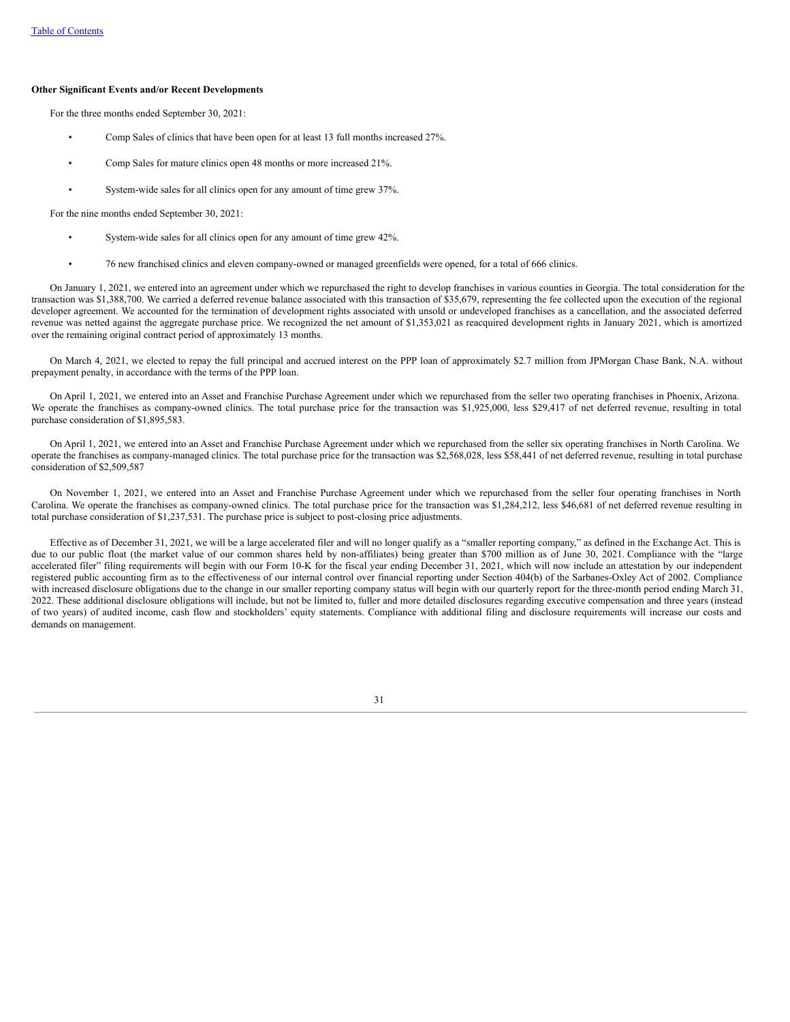### **Other Significant Events and/or Recent Developments**

For the three months ended September 30, 2021:

- Comp Sales of clinics that have been open for at least 13 full months increased 27%.
- Comp Sales for mature clinics open 48 months or more increased 21%.
- System-wide sales for all clinics open for any amount of time grew 37%.

For the nine months ended September 30, 2021:

- System-wide sales for all clinics open for any amount of time grew 42%.
- 76 new franchised clinics and eleven company-owned or managed greenfields were opened, for a total of 666 clinics.

On January 1, 2021, we entered into an agreement under which we repurchased the right to develop franchises in various counties in Georgia. The total consideration for the transaction was \$1,388,700. We carried a deferred revenue balance associated with this transaction of \$35,679, representing the fee collected upon the execution of the regional developer agreement. We accounted for the termination of development rights associated with unsold or undeveloped franchises as a cancellation, and the associated deferred revenue was netted against the aggregate purchase price. We recognized the net amount of \$1,353,021 as reacquired development rights in January 2021, which is amortized over the remaining original contract period of approximately 13 months.

On March 4, 2021, we elected to repay the full principal and accrued interest on the PPP loan of approximately \$2.7 million from JPMorgan Chase Bank, N.A. without prepayment penalty, in accordance with the terms of the PPP loan.

On April 1, 2021, we entered into an Asset and Franchise Purchase Agreement under which we repurchased from the seller two operating franchises in Phoenix, Arizona. We operate the franchises as company-owned clinics. The total purchase price for the transaction was \$1,925,000, less \$29,417 of net deferred revenue, resulting in total purchase consideration of \$1,895,583.

On April 1, 2021, we entered into an Asset and Franchise Purchase Agreement under which we repurchased from the seller six operating franchises in North Carolina. We operate the franchises as company-managed clinics. The total purchase price for the transaction was \$2,568,028, less \$58,441 of net deferred revenue, resulting in total purchase consideration of \$2,509,587

On November 1, 2021, we entered into an Asset and Franchise Purchase Agreement under which we repurchased from the seller four operating franchises in North Carolina. We operate the franchises as company-owned clinics. The total purchase price for the transaction was \$1,284,212, less \$46,681 of net deferred revenue resulting in total purchase consideration of \$1,237,531. The purchase price is subject to post-closing price adjustments.

Effective as of December 31, 2021, we will be a large accelerated filer and will no longer qualify as a "smaller reporting company," as defined in the Exchange Act. This is due to our public float (the market value of our common shares held by non-affiliates) being greater than \$700 million as of June 30, 2021. Compliance with the "large accelerated filer" filing requirements will begin with our Form 10-K for the fiscal year ending December 31, 2021, which will now include an attestation by our independent registered public accounting firm as to the effectiveness of our internal control over financial reporting under Section 404(b) of the Sarbanes-Oxley Act of 2002. Compliance with increased disclosure obligations due to the change in our smaller reporting company status will begin with our quarterly report for the three-month period ending March 31, 2022. These additional disclosure obligations will include, but not be limited to, fuller and more detailed disclosures regarding executive compensation and three years (instead of two years) of audited income, cash flow and stockholders' equity statements. Compliance with additional filing and disclosure requirements will increase our costs and demands on management.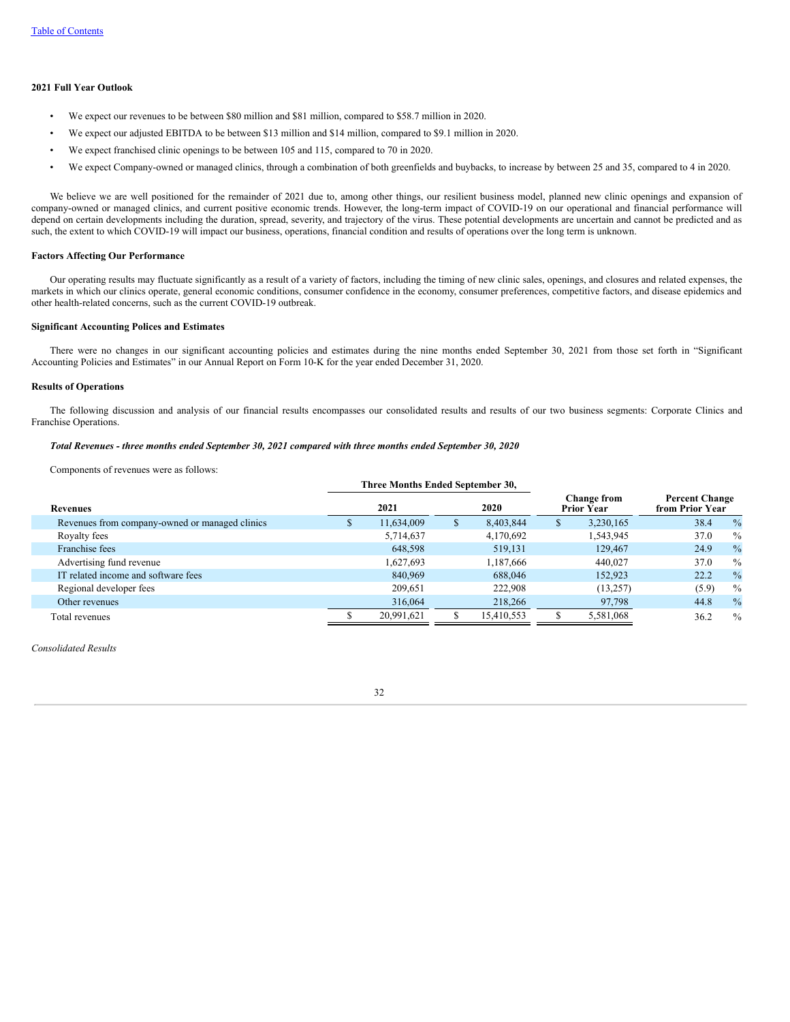### **2021 Full Year Outlook**

- We expect our revenues to be between \$80 million and \$81 million, compared to \$58.7 million in 2020.
- We expect our adjusted EBITDA to be between \$13 million and \$14 million, compared to \$9.1 million in 2020.
- We expect franchised clinic openings to be between 105 and 115, compared to 70 in 2020.
- We expect Company-owned or managed clinics, through a combination of both greenfields and buybacks, to increase by between 25 and 35, compared to 4 in 2020.

We believe we are well positioned for the remainder of 2021 due to, among other things, our resilient business model, planned new clinic openings and expansion of company-owned or managed clinics, and current positive economic trends. However, the long-term impact of COVID-19 on our operational and financial performance will depend on certain developments including the duration, spread, severity, and trajectory of the virus. These potential developments are uncertain and cannot be predicted and as such, the extent to which COVID-19 will impact our business, operations, financial condition and results of operations over the long term is unknown.

### **Factors Affecting Our Performance**

Our operating results may fluctuate significantly as a result of a variety of factors, including the timing of new clinic sales, openings, and closures and related expenses, the markets in which our clinics operate, general economic conditions, consumer confidence in the economy, consumer preferences, competitive factors, and disease epidemics and other health-related concerns, such as the current COVID-19 outbreak.

### **Significant Accounting Polices and Estimates**

There were no changes in our significant accounting policies and estimates during the nine months ended September 30, 2021 from those set forth in "Significant Accounting Policies and Estimates" in our Annual Report on Form 10-K for the year ended December 31, 2020.

#### **Results of Operations**

The following discussion and analysis of our financial results encompasses our consolidated results and results of our two business segments: Corporate Clinics and Franchise Operations.

### Total Revenues - three months ended September 30, 2021 compared with three months ended September 30, 2020

Components of revenues were as follows:

| . .                                            | Three Months Ended September 30, |                 |     |                                         |                                          |               |
|------------------------------------------------|----------------------------------|-----------------|-----|-----------------------------------------|------------------------------------------|---------------|
| <b>Revenues</b>                                | 2021                             | 2020            |     | <b>Change from</b><br><b>Prior Year</b> | <b>Percent Change</b><br>from Prior Year |               |
| Revenues from company-owned or managed clinics | 11,634,009                       | \$<br>8,403,844 | -D. | 3,230,165                               | 38.4                                     | $\%$          |
| Royalty fees                                   | 5,714,637                        | 4,170,692       |     | 1,543,945                               | 37.0                                     | $\%$          |
| Franchise fees                                 | 648,598                          | 519,131         |     | 129.467                                 | 24.9                                     | $\%$          |
| Advertising fund revenue                       | 1,627,693                        | 1,187,666       |     | 440.027                                 | 37.0                                     | $\frac{0}{0}$ |
| IT related income and software fees            | 840,969                          | 688,046         |     | 152,923                                 | 22.2                                     | $\frac{0}{0}$ |
| Regional developer fees                        | 209,651                          | 222,908         |     | (13,257)                                | (5.9)                                    | $\%$          |
| Other revenues                                 | 316,064                          | 218,266         |     | 97,798                                  | 44.8                                     | $\frac{0}{0}$ |
| Total revenues                                 | 20,991,621                       | 15,410,553      |     | 5,581,068                               | 36.2                                     | $\frac{0}{0}$ |

*Consolidated Results*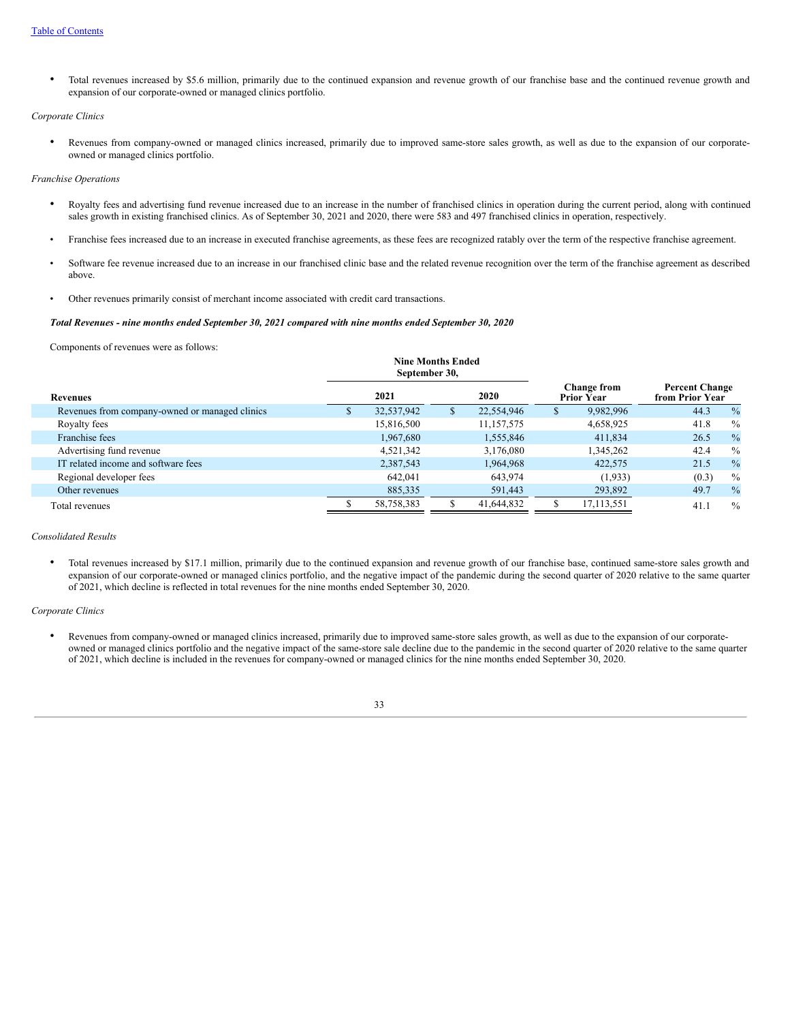• Total revenues increased by \$5.6 million, primarily due to the continued expansion and revenue growth of our franchise base and the continued revenue growth and expansion of our corporate-owned or managed clinics portfolio.

## *Corporate Clinics*

*•* Revenues from company-owned or managed clinics increased, primarily due to improved same-store sales growth, as well as due to the expansion of our corporateowned or managed clinics portfolio.

### *Franchise Operations*

- Royalty fees and advertising fund revenue increased due to an increase in the number of franchised clinics in operation during the current period, along with continued sales growth in existing franchised clinics. As of September 30, 2021 and 2020, there were 583 and 497 franchised clinics in operation, respectively.
- Franchise fees increased due to an increase in executed franchise agreements, as these fees are recognized ratably over the term of the respective franchise agreement.
- Software fee revenue increased due to an increase in our franchised clinic base and the related revenue recognition over the term of the franchise agreement as described above.
- Other revenues primarily consist of merchant income associated with credit card transactions.

#### *Total Revenues - nine months ended September 30, 2021 compared with nine months ended September 30, 2020*

Components of revenues were as follows:

|                                                |  | <b>Nine Months Ended</b><br>September 30, |                  |    |                                         |                                          |               |
|------------------------------------------------|--|-------------------------------------------|------------------|----|-----------------------------------------|------------------------------------------|---------------|
| <b>Revenues</b>                                |  | 2021                                      | 2020             |    | <b>Change from</b><br><b>Prior Year</b> | <b>Percent Change</b><br>from Prior Year |               |
| Revenues from company-owned or managed clinics |  | 32,537,942                                | \$<br>22,554,946 | Ъ. | 9,982,996                               | 44.3                                     | $\frac{0}{0}$ |
| Royalty fees                                   |  | 15,816,500                                | 11,157,575       |    | 4,658,925                               | 41.8                                     | $\frac{0}{0}$ |
| Franchise fees                                 |  | 1,967,680                                 | 1,555,846        |    | 411.834                                 | 26.5                                     | $\frac{0}{0}$ |
| Advertising fund revenue                       |  | 4,521,342                                 | 3,176,080        |    | 1,345,262                               | 42.4                                     | $\frac{0}{0}$ |
| IT related income and software fees            |  | 2,387,543                                 | 1,964,968        |    | 422,575                                 | 21.5                                     | $\frac{0}{0}$ |
| Regional developer fees                        |  | 642,041                                   | 643,974          |    | (1,933)                                 | (0.3)                                    | $\%$          |
| Other revenues                                 |  | 885,335                                   | 591,443          |    | 293,892                                 | 49.7                                     | $\frac{0}{0}$ |
| Total revenues                                 |  | 58,758,383                                | 41,644,832       |    | 17,113,551                              | 41.1                                     | $\frac{0}{0}$ |

#### *Consolidated Results*

*•* Total revenues increased by \$17.1 million, primarily due to the continued expansion and revenue growth of our franchise base, continued same-store sales growth and expansion of our corporate-owned or managed clinics portfolio, and the negative impact of the pandemic during the second quarter of 2020 relative to the same quarter of 2021, which decline is reflected in total revenues for the nine months ended September 30, 2020.

#### *Corporate Clinics*

*•* Revenues from company-owned or managed clinics increased, primarily due to improved same-store sales growth, as well as due to the expansion of our corporateowned or managed clinics portfolio and the negative impact of the same-store sale decline due to the pandemic in the second quarter of 2020 relative to the same quarter of 2021, which decline is included in the revenues for company-owned or managed clinics for the nine months ended September 30, 2020.

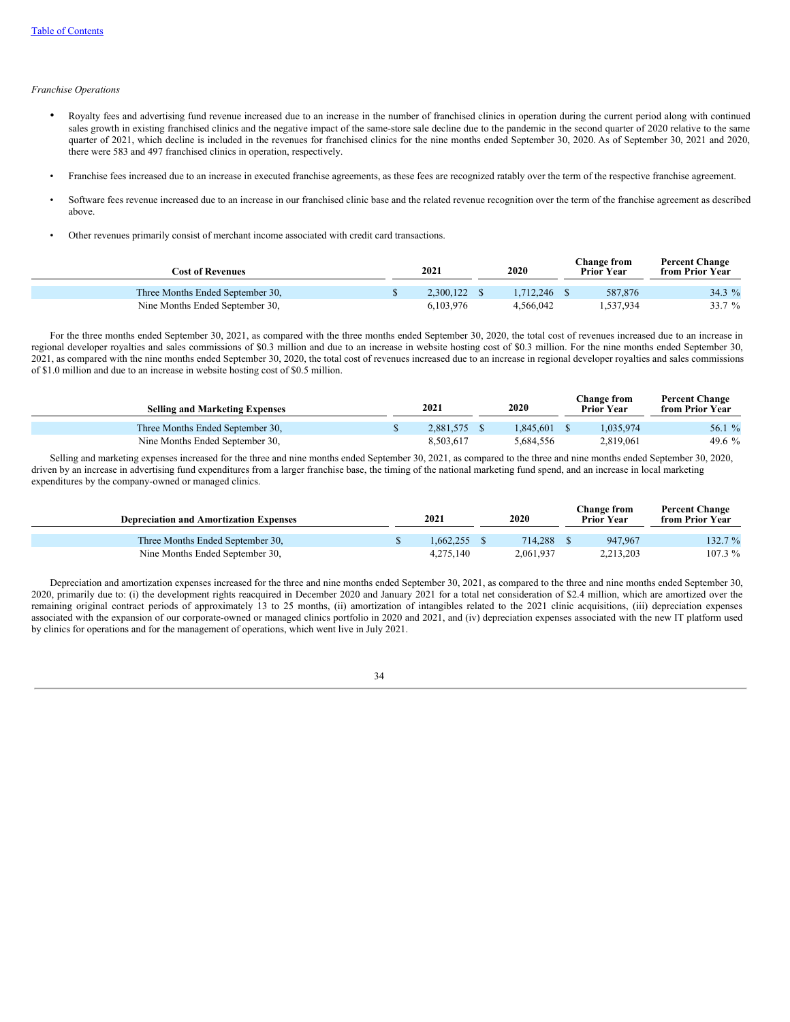#### *Franchise Operations*

- *•* Royalty fees and advertising fund revenue increased due to an increase in the number of franchised clinics in operation during the current period along with continued sales growth in existing franchised clinics and the negative impact of the same-store sale decline due to the pandemic in the second quarter of 2020 relative to the same quarter of 2021, which decline is included in the revenues for franchised clinics for the nine months ended September 30, 2020. As of September 30, 2021 and 2020, there were 583 and 497 franchised clinics in operation, respectively.
- Franchise fees increased due to an increase in executed franchise agreements, as these fees are recognized ratably over the term of the respective franchise agreement.
- Software fees revenue increased due to an increase in our franchised clinic base and the related revenue recognition over the term of the franchise agreement as described above.
- Other revenues primarily consist of merchant income associated with credit card transactions.

| Cost of Revenues                 | 2021      | 2020      | Change from<br><b>Prior Year</b> | <b>Percent Change</b><br>from Prior Year |
|----------------------------------|-----------|-----------|----------------------------------|------------------------------------------|
| Three Months Ended September 30, | 2.300.122 | 1.712.246 | 587,876                          | 34.3 $%$                                 |
| Nine Months Ended September 30,  | 6,103,976 | 4.566.042 | .537,934                         | 33.7 $%$                                 |

For the three months ended September 30, 2021, as compared with the three months ended September 30, 2020, the total cost of revenues increased due to an increase in regional developer royalties and sales commissions of \$0.3 million and due to an increase in website hosting cost of \$0.3 million. For the nine months ended September 30, 2021, as compared with the nine months ended September 30, 2020, the total cost of revenues increased due to an increase in regional developer royalties and sales commissions of \$1.0 million and due to an increase in website hosting cost of \$0.5 million.

| <b>Selling and Marketing Expenses</b> | 2021      | 2020      | Change from<br><b>Prior Year</b> | <b>Percent Change</b><br>from Prior Year |
|---------------------------------------|-----------|-----------|----------------------------------|------------------------------------------|
| Three Months Ended September 30,      | 2.881.575 | 1.845.601 | 1.035.974                        | 56.1 $%$                                 |
| Nine Months Ended September 30.       | 8,503,617 | 5,684,556 | 2,819,061                        | 49.6 %                                   |

Selling and marketing expenses increased for the three and nine months ended September 30, 2021, as compared to the three and nine months ended September 30, 2020, driven by an increase in advertising fund expenditures from a larger franchise base, the timing of the national marketing fund spend, and an increase in local marketing expenditures by the company-owned or managed clinics.

| <b>Depreciation and Amortization Expenses</b> | 2021           | 2020      | Change from<br><b>Prior Year</b> | <b>Percent Change</b><br>from Prior Year |
|-----------------------------------------------|----------------|-----------|----------------------------------|------------------------------------------|
| Three Months Ended September 30,              | $1.662.255$ \$ | 714.288   | 947.967                          | 132.7 %                                  |
| Nine Months Ended September 30,               | 4.275.140      | 2.061.937 | 2,213,203                        | $107.3\%$                                |

Depreciation and amortization expenses increased for the three and nine months ended September 30, 2021, as compared to the three and nine months ended September 30, 2020, primarily due to: (i) the development rights reacquired in December 2020 and January 2021 for a total net consideration of \$2.4 million, which are amortized over the remaining original contract periods of approximately 13 to 25 months, (ii) amortization of intangibles related to the 2021 clinic acquisitions, (iii) depreciation expenses associated with the expansion of our corporate-owned or managed clinics portfolio in 2020 and 2021, and (iv) depreciation expenses associated with the new IT platform used by clinics for operations and for the management of operations, which went live in July 2021.

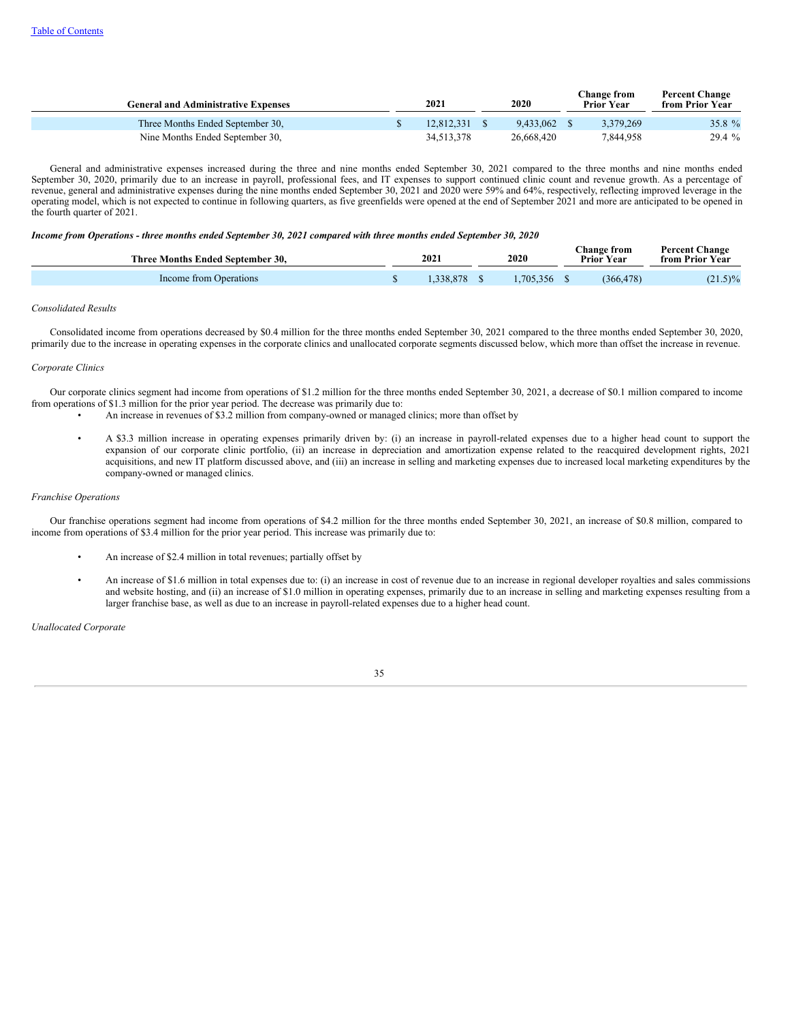| <b>General and Administrative Expenses</b> | 2021       | 2020 |            | Change from<br><b>Prior Year</b> | <b>Percent Change</b><br>from Prior Year |  |
|--------------------------------------------|------------|------|------------|----------------------------------|------------------------------------------|--|
| Three Months Ended September 30,           | 12.812.331 |      | 9.433.062  | 3.379.269                        | 35.8 %                                   |  |
| Nine Months Ended September 30,            | 34,513,378 |      | 26,668,420 | 7,844,958                        | 29.4%                                    |  |

General and administrative expenses increased during the three and nine months ended September 30, 2021 compared to the three months and nine months ended September 30, 2020, primarily due to an increase in payroll, professional fees, and IT expenses to support continued clinic count and revenue growth. As a percentage of revenue, general and administrative expenses during the nine months ended September 30, 2021 and 2020 were 59% and 64%, respectively, reflecting improved leverage in the operating model, which is not expected to continue in following quarters, as five greenfields were opened at the end of September 2021 and more are anticipated to be opened in the fourth quarter of 2021.

### Income from Operations - three months ended September 30, 2021 compared with three months ended September 30, 2020

| Three Months Ended September 30. | 2021    | 2020 |            | <b>Change from</b><br><b>Prior Year</b> | <b>Percent Change</b><br>from Prior Year |  |
|----------------------------------|---------|------|------------|-----------------------------------------|------------------------------------------|--|
| Income from Operations           | 338.878 |      | $-705.356$ | (366, 478)                              | $(21.5)\%$                               |  |

#### *Consolidated Results*

Consolidated income from operations decreased by \$0.4 million for the three months ended September 30, 2021 compared to the three months ended September 30, 2020, primarily due to the increase in operating expenses in the corporate clinics and unallocated corporate segments discussed below, which more than offset the increase in revenue.

### *Corporate Clinics*

Our corporate clinics segment had income from operations of \$1.2 million for the three months ended September 30, 2021, a decrease of \$0.1 million compared to income from operations of \$1.3 million for the prior year period. The decrease was primarily due to:

- An increase in revenues of \$3.2 million from company-owned or managed clinics; more than offset by
- A \$3.3 million increase in operating expenses primarily driven by: (i) an increase in payroll-related expenses due to a higher head count to support the expansion of our corporate clinic portfolio, (ii) an increase in depreciation and amortization expense related to the reacquired development rights, 2021 acquisitions, and new IT platform discussed above, and (iii) an increase in selling and marketing expenses due to increased local marketing expenditures by the company-owned or managed clinics.

### *Franchise Operations*

Our franchise operations segment had income from operations of \$4.2 million for the three months ended September 30, 2021, an increase of \$0.8 million, compared to income from operations of \$3.4 million for the prior year period. This increase was primarily due to:

- An increase of \$2.4 million in total revenues; partially offset by
- An increase of \$1.6 million in total expenses due to: (i) an increase in cost of revenue due to an increase in regional developer royalties and sales commissions and website hosting, and (ii) an increase of \$1.0 million in operating expenses, primarily due to an increase in selling and marketing expenses resulting from a larger franchise base, as well as due to an increase in payroll-related expenses due to a higher head count.

*Unallocated Corporate*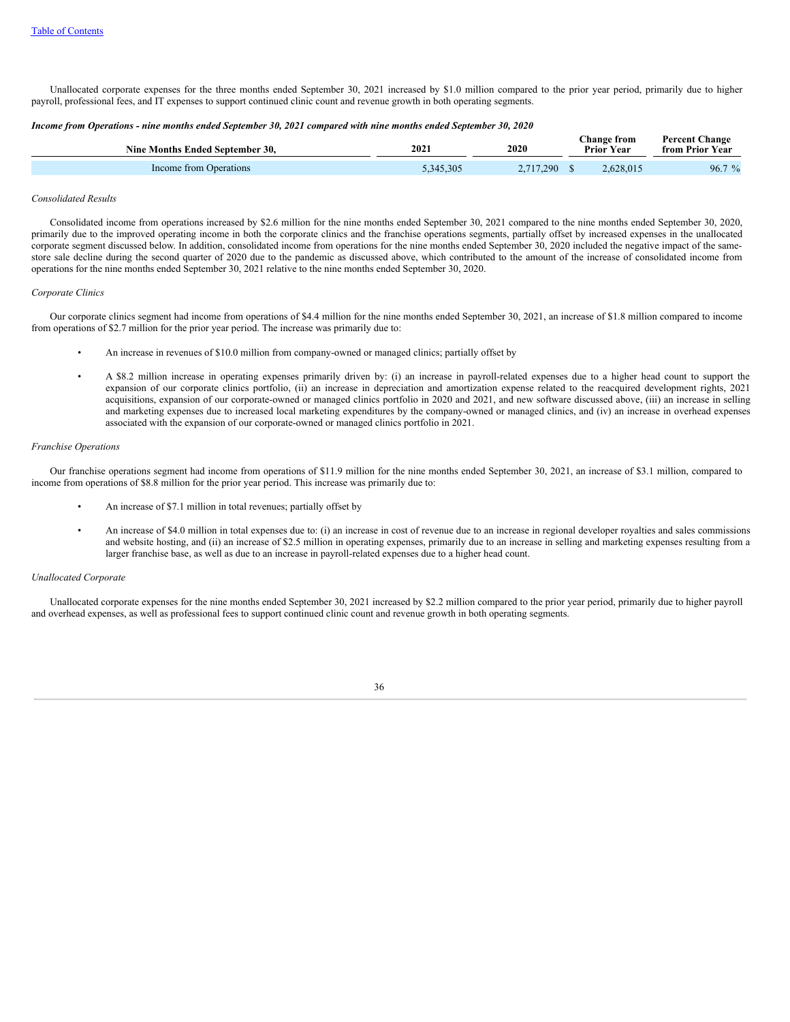Unallocated corporate expenses for the three months ended September 30, 2021 increased by \$1.0 million compared to the prior year period, primarily due to higher payroll, professional fees, and IT expenses to support continued clinic count and revenue growth in both operating segments.

### Income from Operations - nine months ended September 30, 2021 compared with nine months ended September 30, 2020

| Nine Months Ended September 30. | 2021      | 2020      | Change from<br><b>Prior Year</b> | <b>Percent Change</b><br>from Prior Year |  |
|---------------------------------|-----------|-----------|----------------------------------|------------------------------------------|--|
| Income from Operations          | 5,345,305 | 2,717,290 |                                  | $7\frac{9}{6}$<br>96.7                   |  |

### *Consolidated Results*

Consolidated income from operations increased by \$2.6 million for the nine months ended September 30, 2021 compared to the nine months ended September 30, 2020, primarily due to the improved operating income in both the corporate clinics and the franchise operations segments, partially offset by increased expenses in the unallocated corporate segment discussed below. In addition, consolidated income from operations for the nine months ended September 30, 2020 included the negative impact of the samestore sale decline during the second quarter of 2020 due to the pandemic as discussed above, which contributed to the amount of the increase of consolidated income from operations for the nine months ended September 30, 2021 relative to the nine months ended September 30, 2020.

### *Corporate Clinics*

Our corporate clinics segment had income from operations of \$4.4 million for the nine months ended September 30, 2021, an increase of \$1.8 million compared to income from operations of \$2.7 million for the prior year period. The increase was primarily due to:

- An increase in revenues of \$10.0 million from company-owned or managed clinics; partially offset by
- A \$8.2 million increase in operating expenses primarily driven by: (i) an increase in payroll-related expenses due to a higher head count to support the expansion of our corporate clinics portfolio, (ii) an increase in depreciation and amortization expense related to the reacquired development rights, 2021 acquisitions, expansion of our corporate-owned or managed clinics portfolio in 2020 and 2021, and new software discussed above, (iii) an increase in selling and marketing expenses due to increased local marketing expenditures by the company-owned or managed clinics, and (iv) an increase in overhead expenses associated with the expansion of our corporate-owned or managed clinics portfolio in 2021.

#### *Franchise Operations*

Our franchise operations segment had income from operations of \$11.9 million for the nine months ended September 30, 2021, an increase of \$3.1 million, compared to income from operations of \$8.8 million for the prior year period. This increase was primarily due to:

- An increase of \$7.1 million in total revenues; partially offset by
- An increase of \$4.0 million in total expenses due to: (i) an increase in cost of revenue due to an increase in regional developer royalties and sales commissions and website hosting, and (ii) an increase of \$2.5 million in operating expenses, primarily due to an increase in selling and marketing expenses resulting from a larger franchise base, as well as due to an increase in payroll-related expenses due to a higher head count.

#### *Unallocated Corporate*

Unallocated corporate expenses for the nine months ended September 30, 2021 increased by \$2.2 million compared to the prior year period, primarily due to higher payroll and overhead expenses, as well as professional fees to support continued clinic count and revenue growth in both operating segments.

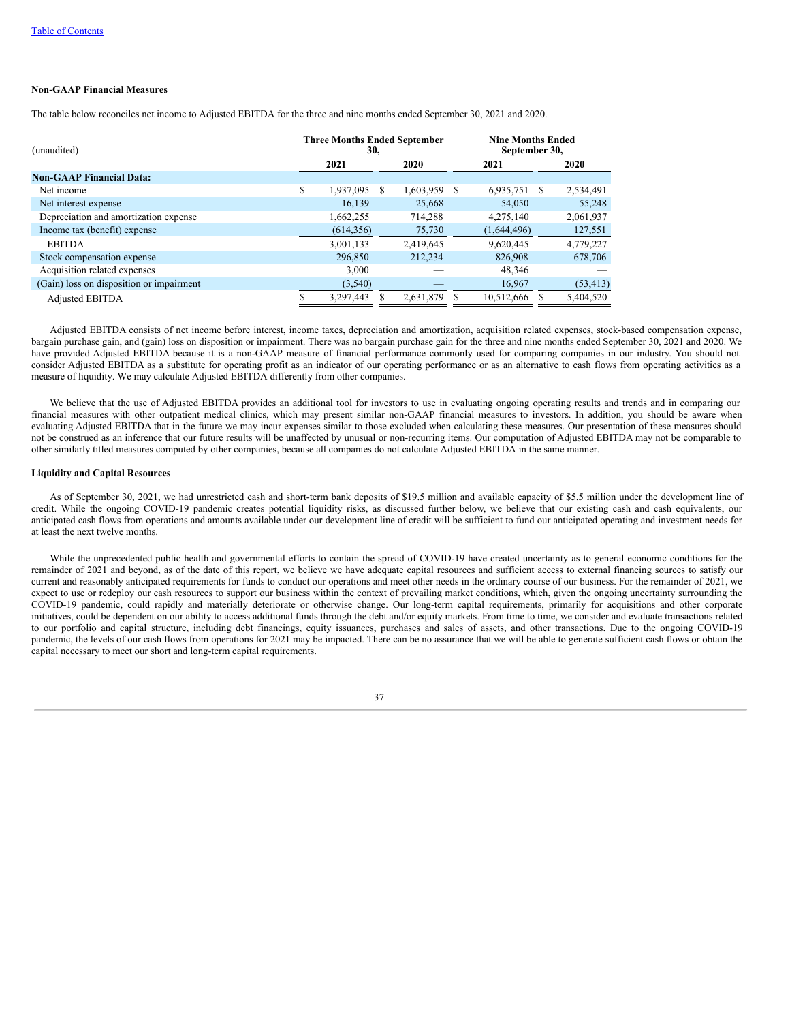### **Non-GAAP Financial Measures**

The table below reconciles net income to Adjusted EBITDA for the three and nine months ended September 30, 2021 and 2020.

| (unaudited)                              | <b>Three Months Ended September</b><br>30, |            |    |           |    | <b>Nine Months Ended</b><br>September 30, |   |           |  |
|------------------------------------------|--------------------------------------------|------------|----|-----------|----|-------------------------------------------|---|-----------|--|
|                                          | 2021                                       |            |    | 2020      |    | 2021                                      |   | 2020      |  |
| <b>Non-GAAP Financial Data:</b>          |                                            |            |    |           |    |                                           |   |           |  |
| Net income                               | S                                          | 1,937,095  | \$ | 1,603,959 | -S | 6,935,751                                 | S | 2,534,491 |  |
| Net interest expense                     |                                            | 16.139     |    | 25,668    |    | 54,050                                    |   | 55,248    |  |
| Depreciation and amortization expense    |                                            | 1,662,255  |    | 714.288   |    | 4,275,140                                 |   | 2,061,937 |  |
| Income tax (benefit) expense             |                                            | (614, 356) |    | 75,730    |    | (1,644,496)                               |   | 127,551   |  |
| <b>EBITDA</b>                            |                                            | 3,001,133  |    | 2,419,645 |    | 9.620.445                                 |   | 4,779,227 |  |
| Stock compensation expense               |                                            | 296,850    |    | 212.234   |    | 826,908                                   |   | 678,706   |  |
| Acquisition related expenses             |                                            | 3.000      |    |           |    | 48,346                                    |   |           |  |
| (Gain) loss on disposition or impairment |                                            | (3,540)    |    |           |    | 16,967                                    |   | (53, 413) |  |
| <b>Adjusted EBITDA</b>                   |                                            | 3,297,443  |    | 2,631,879 |    | 10.512.666                                |   | 5,404,520 |  |

Adjusted EBITDA consists of net income before interest, income taxes, depreciation and amortization, acquisition related expenses, stock-based compensation expense, bargain purchase gain, and (gain) loss on disposition or impairment. There was no bargain purchase gain for the three and nine months ended September 30, 2021 and 2020. We have provided Adjusted EBITDA because it is a non-GAAP measure of financial performance commonly used for comparing companies in our industry. You should not consider Adjusted EBITDA as a substitute for operating profit as an indicator of our operating performance or as an alternative to cash flows from operating activities as a measure of liquidity. We may calculate Adjusted EBITDA differently from other companies.

We believe that the use of Adjusted EBITDA provides an additional tool for investors to use in evaluating ongoing operating results and trends and in comparing our financial measures with other outpatient medical clinics, which may present similar non-GAAP financial measures to investors. In addition, you should be aware when evaluating Adjusted EBITDA that in the future we may incur expenses similar to those excluded when calculating these measures. Our presentation of these measures should not be construed as an inference that our future results will be unaffected by unusual or non-recurring items. Our computation of Adjusted EBITDA may not be comparable to other similarly titled measures computed by other companies, because all companies do not calculate Adjusted EBITDA in the same manner.

#### **Liquidity and Capital Resources**

As of September 30, 2021, we had unrestricted cash and short-term bank deposits of \$19.5 million and available capacity of \$5.5 million under the development line of credit. While the ongoing COVID-19 pandemic creates potential liquidity risks, as discussed further below, we believe that our existing cash and cash equivalents, our anticipated cash flows from operations and amounts available under our development line of credit will be sufficient to fund our anticipated operating and investment needs for at least the next twelve months.

While the unprecedented public health and governmental efforts to contain the spread of COVID-19 have created uncertainty as to general economic conditions for the remainder of 2021 and beyond, as of the date of this report, we believe we have adequate capital resources and sufficient access to external financing sources to satisfy our current and reasonably anticipated requirements for funds to conduct our operations and meet other needs in the ordinary course of our business. For the remainder of 2021, we expect to use or redeploy our cash resources to support our business within the context of prevailing market conditions, which, given the ongoing uncertainty surrounding the COVID-19 pandemic, could rapidly and materially deteriorate or otherwise change. Our long-term capital requirements, primarily for acquisitions and other corporate initiatives, could be dependent on our ability to access additional funds through the debt and/or equity markets. From time to time, we consider and evaluate transactions related to our portfolio and capital structure, including debt financings, equity issuances, purchases and sales of assets, and other transactions. Due to the ongoing COVID-19 pandemic, the levels of our cash flows from operations for 2021 may be impacted. There can be no assurance that we will be able to generate sufficient cash flows or obtain the capital necessary to meet our short and long-term capital requirements.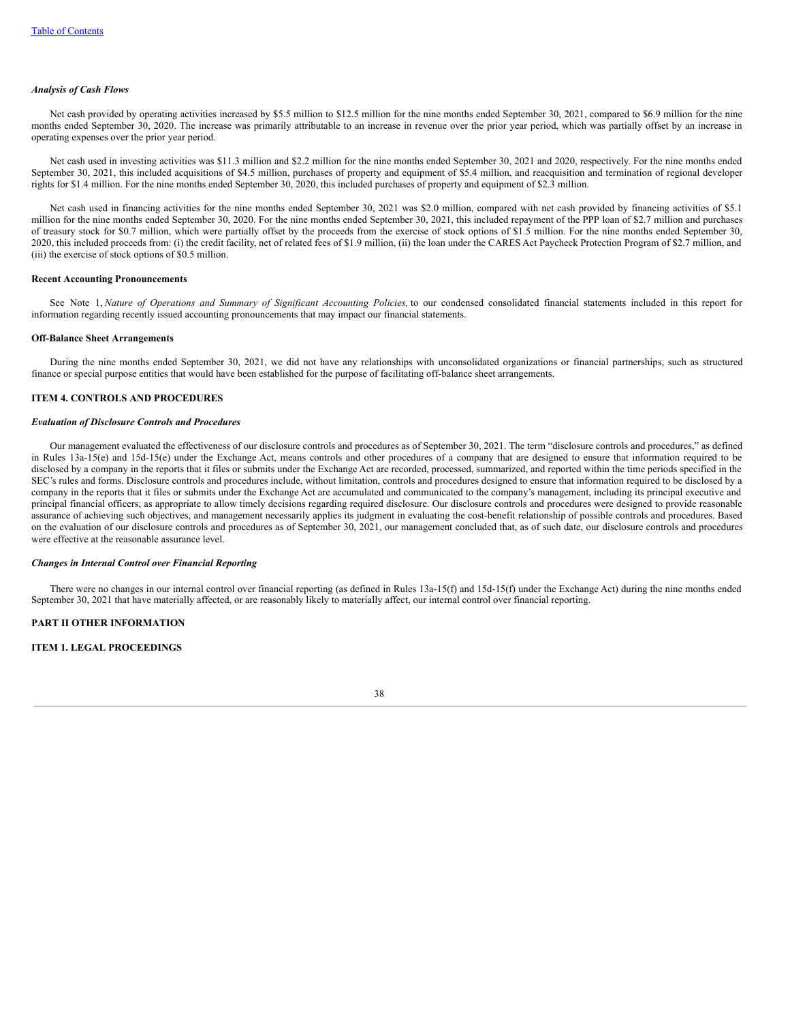#### *Analysis of Cash Flows*

Net cash provided by operating activities increased by \$5.5 million to \$12.5 million for the nine months ended September 30, 2021, compared to \$6.9 million for the nine months ended September 30, 2020. The increase was primarily attributable to an increase in revenue over the prior year period, which was partially offset by an increase in operating expenses over the prior year period.

Net cash used in investing activities was \$11.3 million and \$2.2 million for the nine months ended September 30, 2021 and 2020, respectively. For the nine months ended September 30, 2021, this included acquisitions of \$4.5 million, purchases of property and equipment of \$5.4 million, and reacquisition and termination of regional developer rights for \$1.4 million. For the nine months ended September 30, 2020, this included purchases of property and equipment of \$2.3 million.

Net cash used in financing activities for the nine months ended September 30, 2021 was \$2.0 million, compared with net cash provided by financing activities of \$5.1 million for the nine months ended September 30, 2020. For the nine months ended September 30, 2021, this included repayment of the PPP loan of \$2.7 million and purchases of treasury stock for \$0.7 million, which were partially offset by the proceeds from the exercise of stock options of \$1.5 million. For the nine months ended September 30, 2020, this included proceeds from: (i) the credit facility, net of related fees of \$1.9 million, (ii) the loan under the CARES Act Paycheck Protection Program of \$2.7 million, and (iii) the exercise of stock options of \$0.5 million.

#### **Recent Accounting Pronouncements**

See Note 1, *Nature of Operations and Summary of Significant Accounting Policies,* to our condensed consolidated financial statements included in this report for information regarding recently issued accounting pronouncements that may impact our financial statements.

### **Off-Balance Sheet Arrangements**

During the nine months ended September 30, 2021, we did not have any relationships with unconsolidated organizations or financial partnerships, such as structured finance or special purpose entities that would have been established for the purpose of facilitating off-balance sheet arrangements.

### <span id="page-40-0"></span>**ITEM 4. CONTROLS AND PROCEDURES**

#### *Evaluation of Disclosure Controls and Procedures*

Our management evaluated the effectiveness of our disclosure controls and procedures as of September 30, 2021. The term "disclosure controls and procedures," as defined in Rules 13a-15(e) and 15d-15(e) under the Exchange Act, means controls and other procedures of a company that are designed to ensure that information required to be disclosed by a company in the reports that it files or submits under the Exchange Act are recorded, processed, summarized, and reported within the time periods specified in the SEC's rules and forms. Disclosure controls and procedures include, without limitation, controls and procedures designed to ensure that information required to be disclosed by a company in the reports that it files or submits under the Exchange Act are accumulated and communicated to the company's management, including its principal executive and principal financial officers, as appropriate to allow timely decisions regarding required disclosure. Our disclosure controls and procedures were designed to provide reasonable assurance of achieving such objectives, and management necessarily applies its judgment in evaluating the cost-benefit relationship of possible controls and procedures. Based on the evaluation of our disclosure controls and procedures as of September 30, 2021, our management concluded that, as of such date, our disclosure controls and procedures were effective at the reasonable assurance level.

### *Changes in Internal Control over Financial Reporting*

There were no changes in our internal control over financial reporting (as defined in Rules 13a-15(f) and 15d-15(f) under the Exchange Act) during the nine months ended September 30, 2021 that have materially affected, or are reasonably likely to materially affect, our internal control over financial reporting.

#### <span id="page-40-2"></span><span id="page-40-1"></span>**PART II OTHER INFORMATION**

### **ITEM 1. LEGAL PROCEEDINGS**

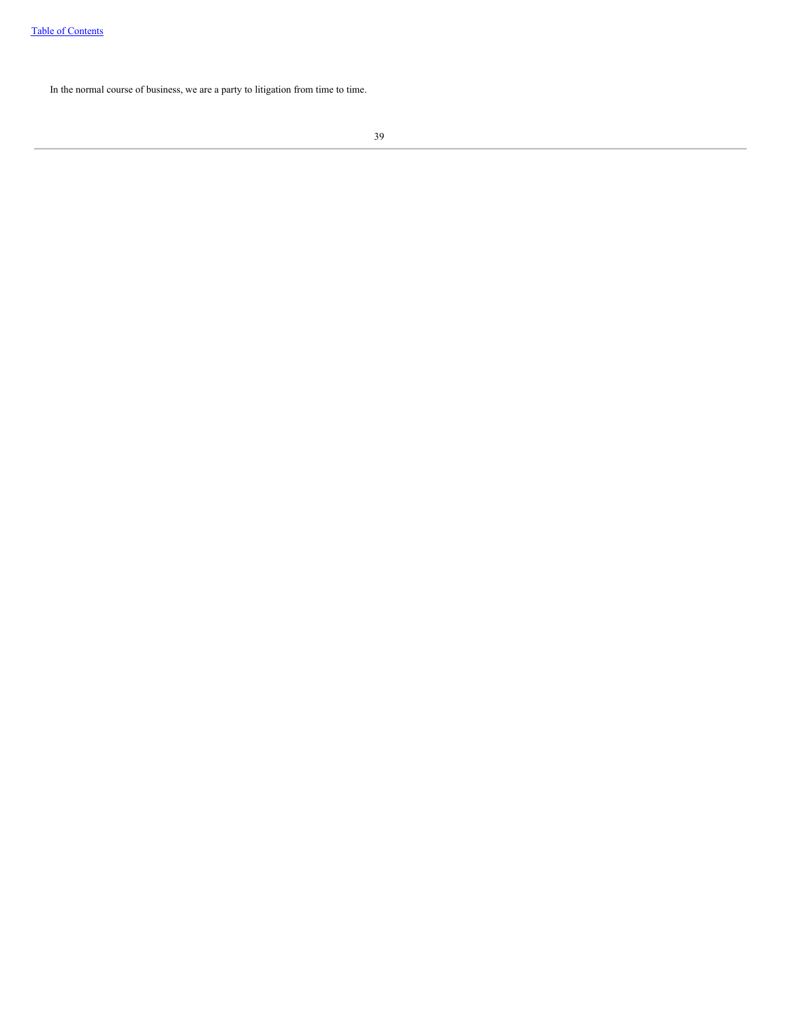<span id="page-41-0"></span>In the normal course of business, we are a party to litigation from time to time.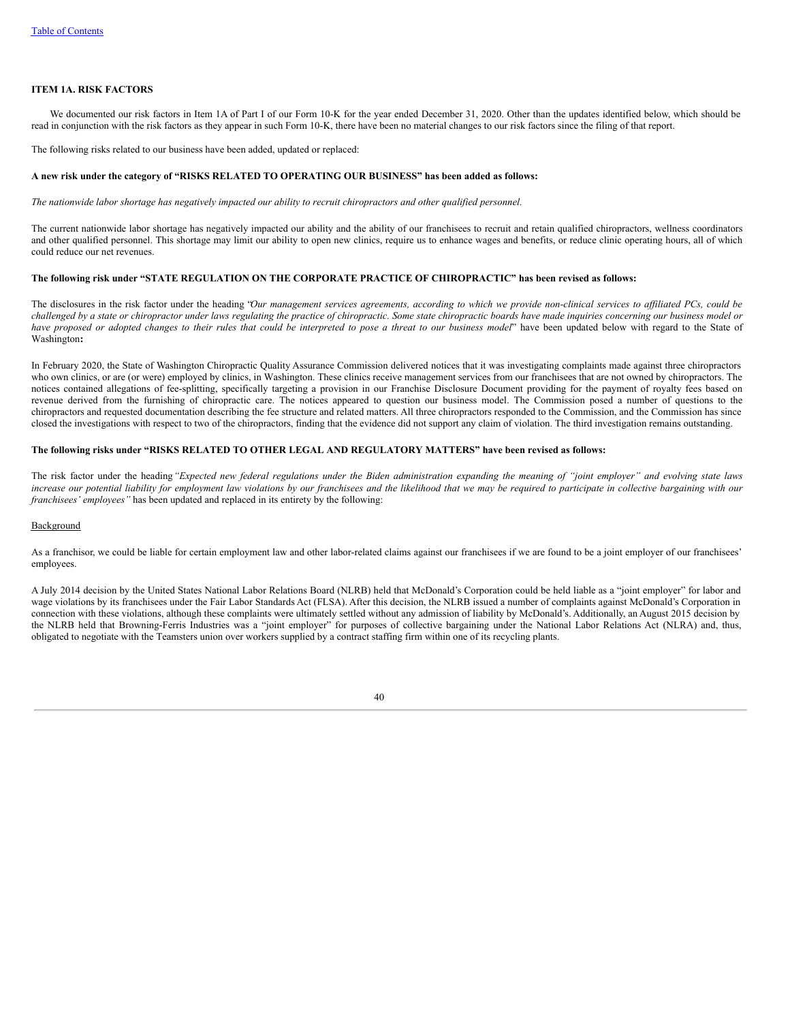### **ITEM 1A. RISK FACTORS**

We documented our risk factors in Item 1A of Part I of our Form 10-K for the year ended December 31, 2020. Other than the updates identified below, which should be read in conjunction with the risk factors as they appear in such Form 10-K, there have been no material changes to our risk factors since the filing of that report.

The following risks related to our business have been added, updated or replaced:

## A new risk under the category of "RISKS RELATED TO OPERATING OUR BUSINESS" has been added as follows:

The nationwide labor shortage has negatively impacted our ability to recruit chiropractors and other qualified personnel.

The current nationwide labor shortage has negatively impacted our ability and the ability of our franchisees to recruit and retain qualified chiropractors, wellness coordinators and other qualified personnel. This shortage may limit our ability to open new clinics, require us to enhance wages and benefits, or reduce clinic operating hours, all of which could reduce our net revenues.

### The following risk under "STATE REGULATION ON THE CORPORATE PRACTICE OF CHIROPRACTIC" has been revised as follows:

The disclosures in the risk factor under the heading 'Our management services agreements, according to which we provide non-clinical services to affiliated PCs, could be challenged by a state or chiropractor under laws regulating the practice of chiropractic. Some state chiropractic boards have made inquiries concerning our business model or have proposed or adopted changes to their rules that could be interpreted to pose a threat to our business model" have been updated below with regard to the State of Washington**:**

In February 2020, the State of Washington Chiropractic Quality Assurance Commission delivered notices that it was investigating complaints made against three chiropractors who own clinics, or are (or were) employed by clinics, in Washington. These clinics receive management services from our franchisees that are not owned by chiropractors. The notices contained allegations of fee-splitting, specifically targeting a provision in our Franchise Disclosure Document providing for the payment of royalty fees based on revenue derived from the furnishing of chiropractic care. The notices appeared to question our business model. The Commission posed a number of questions to the chiropractors and requested documentation describing the fee structure and related matters. All three chiropractors responded to the Commission, and the Commission has since closed the investigations with respect to two of the chiropractors, finding that the evidence did not support any claim of violation. The third investigation remains outstanding.

### The following risks under "RISKS RELATED TO OTHER LEGAL AND REGULATORY MATTERS" have been revised as follows:

The risk factor under the heading "Expected new federal regulations under the Biden administration expanding the meaning of "joint employer" and evolving state laws increase our potential liability for employment law violations by our franchisees and the likelihood that we may be required to participate in collective bargaining with our *franchisees' employees"* has been updated and replaced in its entirety by the following:

#### **Background**

As a franchisor, we could be liable for certain employment law and other labor-related claims against our franchisees if we are found to be a joint employer of our franchisees' employees.

A July 2014 decision by the United States National Labor Relations Board (NLRB) held that McDonald's Corporation could be held liable as a "joint employer" for labor and wage violations by its franchisees under the Fair Labor Standards Act (FLSA). After this decision, the NLRB issued a number of complaints against McDonald's Corporation in connection with these violations, although these complaints were ultimately settled without any admission of liability by McDonald's. Additionally, an August 2015 decision by the NLRB held that Browning-Ferris Industries was a "joint employer" for purposes of collective bargaining under the National Labor Relations Act (NLRA) and, thus, obligated to negotiate with the Teamsters union over workers supplied by a contract staffing firm within one of its recycling plants.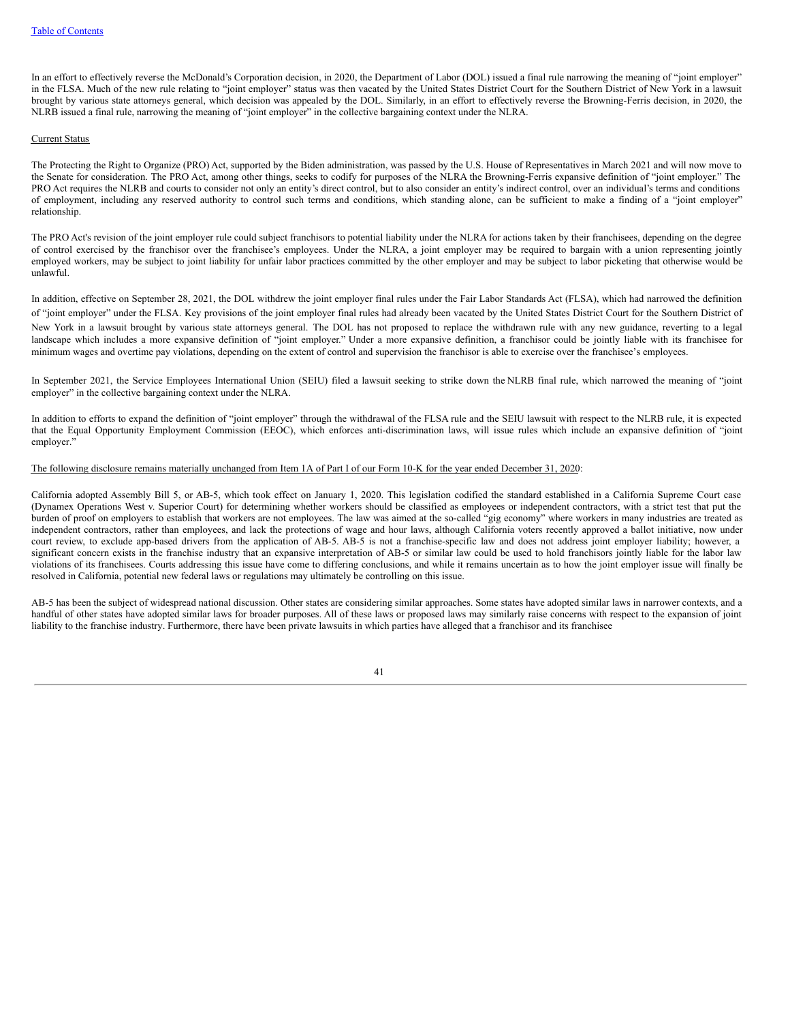In an effort to effectively reverse the McDonald's Corporation decision, in 2020, the Department of Labor (DOL) issued a final rule narrowing the meaning of "joint employer" in the FLSA. Much of the new rule relating to "joint employer" status was then vacated by the United States District Court for the Southern District of New York in a lawsuit brought by various state attorneys general, which decision was appealed by the DOL. Similarly, in an effort to effectively reverse the Browning-Ferris decision, in 2020, the NLRB issued a final rule, narrowing the meaning of "joint employer" in the collective bargaining context under the NLRA.

#### Current Status

The Protecting the Right to Organize (PRO) Act, supported by the Biden administration, was passed by the U.S. House of Representatives in March 2021 and will now move to the Senate for consideration. The PRO Act, among other things, seeks to codify for purposes of the NLRA the Browning-Ferris expansive definition of "joint employer." The PRO Act requires the NLRB and courts to consider not only an entity's direct control, but to also consider an entity's indirect control, over an individual's terms and conditions of employment, including any reserved authority to control such terms and conditions, which standing alone, can be sufficient to make a finding of a "joint employer" relationship.

The PRO Act's revision of the joint employer rule could subject franchisors to potential liability under the NLRA for actions taken by their franchisees, depending on the degree of control exercised by the franchisor over the franchisee's employees. Under the NLRA, a joint employer may be required to bargain with a union representing jointly employed workers, may be subject to joint liability for unfair labor practices committed by the other employer and may be subject to labor picketing that otherwise would be unlawful.

In addition, effective on September 28, 2021, the DOL withdrew the joint employer final rules under the Fair Labor Standards Act (FLSA), which had narrowed the definition of "joint employer" under the FLSA. Key provisions of the joint employer final rules had already been vacated by the United States District Court for the Southern District of New York in a lawsuit brought by various state attorneys general. The DOL has not proposed to replace the withdrawn rule with any new guidance, reverting to a legal landscape which includes a more expansive definition of "joint employer." Under a more expansive definition, a franchisor could be jointly liable with its franchisee for minimum wages and overtime pay violations, depending on the extent of control and supervision the franchisor is able to exercise over the franchisee's employees.

In September 2021, the Service Employees International Union (SEIU) filed a lawsuit seeking to strike down the NLRB final rule, which narrowed the meaning of "joint employer" in the collective bargaining context under the NLRA.

In addition to efforts to expand the definition of "joint employer" through the withdrawal of the FLSA rule and the SEIU lawsuit with respect to the NLRB rule, it is expected that the Equal Opportunity Employment Commission (EEOC), which enforces anti-discrimination laws, will issue rules which include an expansive definition of "joint employer."

#### The following disclosure remains materially unchanged from Item 1A of Part I of our Form 10-K for the year ended December 31, 2020:

California adopted Assembly Bill 5, or AB-5, which took effect on January 1, 2020. This legislation codified the standard established in a California Supreme Court case (Dynamex Operations West v. Superior Court) for determining whether workers should be classified as employees or independent contractors, with a strict test that put the burden of proof on employers to establish that workers are not employees. The law was aimed at the so-called "gig economy" where workers in many industries are treated as independent contractors, rather than employees, and lack the protections of wage and hour laws, although California voters recently approved a ballot initiative, now under court review, to exclude app-based drivers from the application of AB-5. AB-5 is not a franchise-specific law and does not address joint employer liability; however, a significant concern exists in the franchise industry that an expansive interpretation of AB-5 or similar law could be used to hold franchisors jointly liable for the labor law violations of its franchisees. Courts addressing this issue have come to differing conclusions, and while it remains uncertain as to how the joint employer issue will finally be resolved in California, potential new federal laws or regulations may ultimately be controlling on this issue.

AB-5 has been the subject of widespread national discussion. Other states are considering similar approaches. Some states have adopted similar laws in narrower contexts, and a handful of other states have adopted similar laws for broader purposes. All of these laws or proposed laws may similarly raise concerns with respect to the expansion of joint liability to the franchise industry. Furthermore, there have been private lawsuits in which parties have alleged that a franchisor and its franchisee

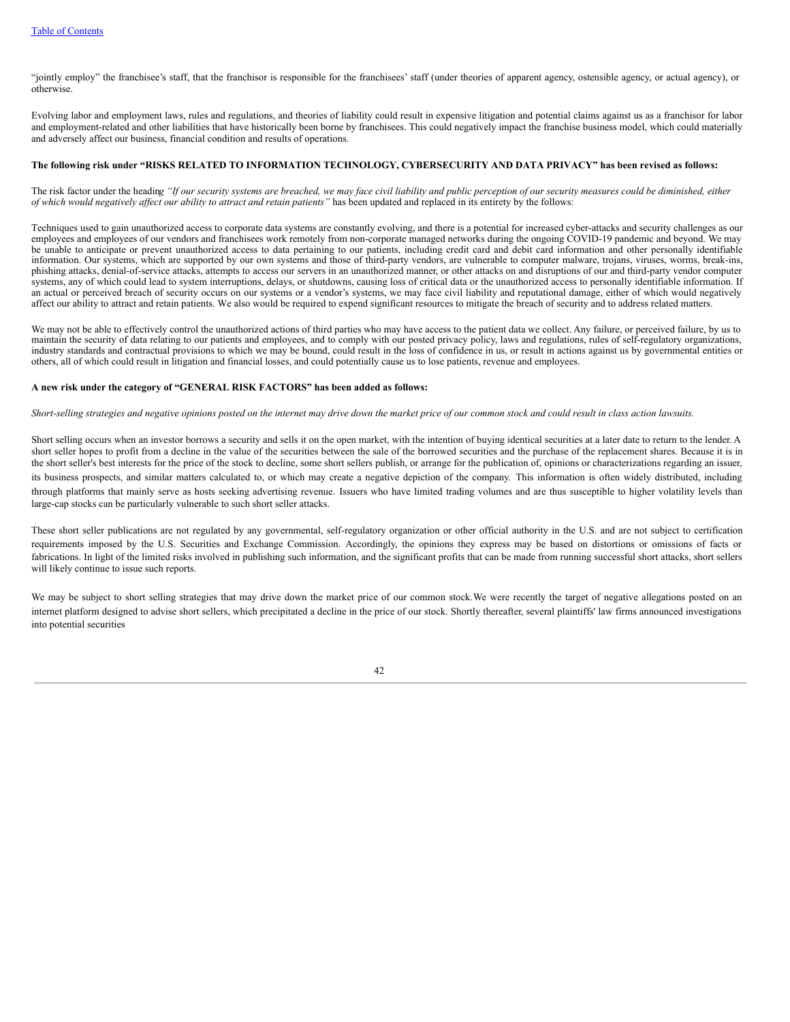"jointly employ" the franchisee's staff, that the franchisor is responsible for the franchisees' staff (under theories of apparent agency, ostensible agency, or actual agency), or otherwise.

Evolving labor and employment laws, rules and regulations, and theories of liability could result in expensive litigation and potential claims against us as a franchisor for labor and employment-related and other liabilities that have historically been borne by franchisees. This could negatively impact the franchise business model, which could materially and adversely affect our business, financial condition and results of operations.

## The following risk under "RISKS RELATED TO INFORMATION TECHNOLOGY, CYBERSECURITY AND DATA PRIVACY" has been revised as follows:

The risk factor under the heading "If our security systems are breached, we may face civil liability and public perception of our security measures could be diminished, either of which would negatively affect our ability to attract and retain patients" has been updated and replaced in its entirety by the follows:

Techniques used to gain unauthorized access to corporate data systems are constantly evolving, and there is a potential for increased cyber-attacks and security challenges as our employees and employees of our vendors and franchisees work remotely from non-corporate managed networks during the ongoing COVID-19 pandemic and beyond. We may be unable to anticipate or prevent unauthorized access to data pertaining to our patients, including credit card and debit card information and other personally identifiable information. Our systems, which are supported by our own systems and those of third-party vendors, are vulnerable to computer malware, trojans, viruses, worms, break-ins, phishing attacks, denial-of-service attacks, attempts to access our servers in an unauthorized manner, or other attacks on and disruptions of our and third-party vendor computer systems, any of which could lead to system interruptions, delays, or shutdowns, causing loss of critical data or the unauthorized access to personally identifiable information. If an actual or perceived breach of security occurs on our systems or a vendor's systems, we may face civil liability and reputational damage, either of which would negatively affect our ability to attract and retain patients. We also would be required to expend significant resources to mitigate the breach of security and to address related matters.

We may not be able to effectively control the unauthorized actions of third parties who may have access to the patient data we collect. Any failure, or perceived failure, by us to maintain the security of data relating to our patients and employees, and to comply with our posted privacy policy, laws and regulations, rules of self-regulatory organizations, industry standards and contractual provisions to which we may be bound, could result in the loss of confidence in us, or result in actions against us by governmental entities or others, all of which could result in litigation and financial losses, and could potentially cause us to lose patients, revenue and employees.

#### **A new risk under the category of "GENERAL RISK FACTORS" has been added as follows:**

Short-selling strategies and negative opinions posted on the internet may drive down the market price of our common stock and could result in class action lawsuits.

Short selling occurs when an investor borrows a security and sells it on the open market, with the intention of buying identical securities at a later date to return to the lender. A short seller hopes to profit from a decline in the value of the securities between the sale of the borrowed securities and the purchase of the replacement shares. Because it is in the short seller's best interests for the price of the stock to decline, some short sellers publish, or arrange for the publication of, opinions or characterizations regarding an issuer, its business prospects, and similar matters calculated to, or which may create a negative depiction of the company. This information is often widely distributed, including through platforms that mainly serve as hosts seeking advertising revenue. Issuers who have limited trading volumes and are thus susceptible to higher volatility levels than large-cap stocks can be particularly vulnerable to such short seller attacks.

These short seller publications are not regulated by any governmental, self-regulatory organization or other official authority in the U.S. and are not subject to certification requirements imposed by the U.S. Securities and Exchange Commission. Accordingly, the opinions they express may be based on distortions or omissions of facts or fabrications. In light of the limited risks involved in publishing such information, and the significant profits that can be made from running successful short attacks, short sellers will likely continue to issue such reports.

We may be subject to short selling strategies that may drive down the market price of our common stock. We were recently the target of negative allegations posted on an internet platform designed to advise short sellers, which precipitated a decline in the price of our stock. Shortly thereafter, several plaintiffs' law firms announced investigations into potential securities

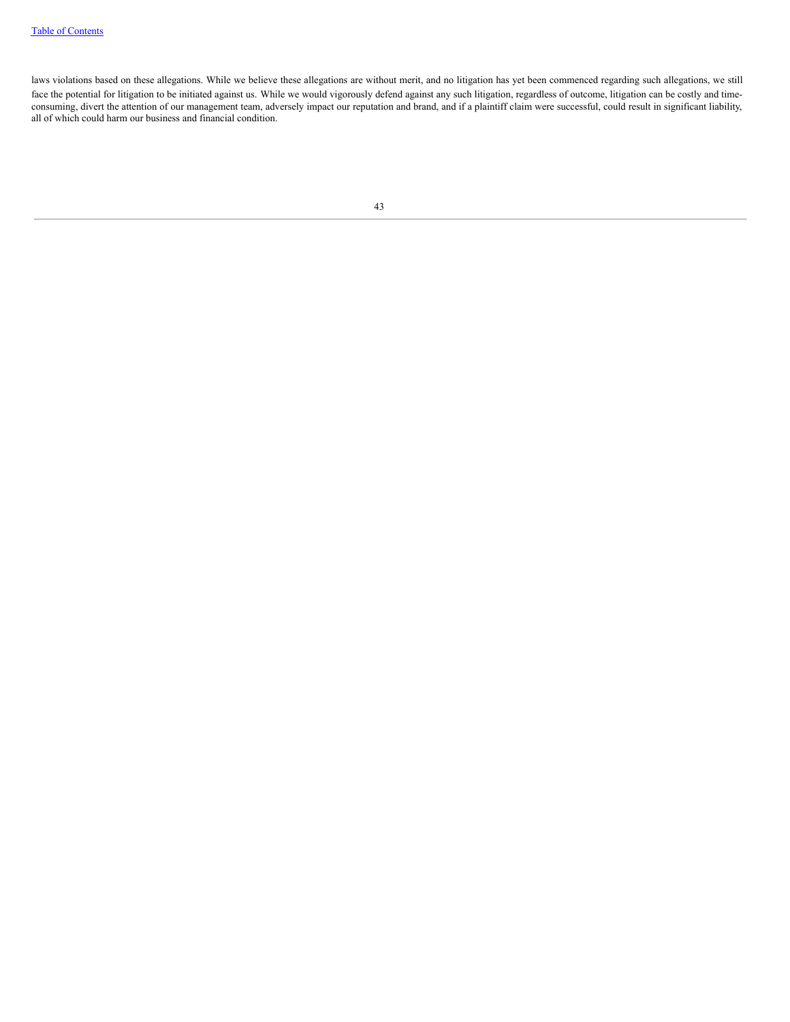<span id="page-45-0"></span>laws violations based on these allegations. While we believe these allegations are without merit, and no litigation has yet been commenced regarding such allegations, we still face the potential for litigation to be initiated against us. While we would vigorously defend against any such litigation, regardless of outcome, litigation can be costly and timeconsuming, divert the attention of our management team, adversely impact our reputation and brand, and if a plaintiff claim were successful, could result in significant liability, all of which could harm our business and financial condition.

```
43
```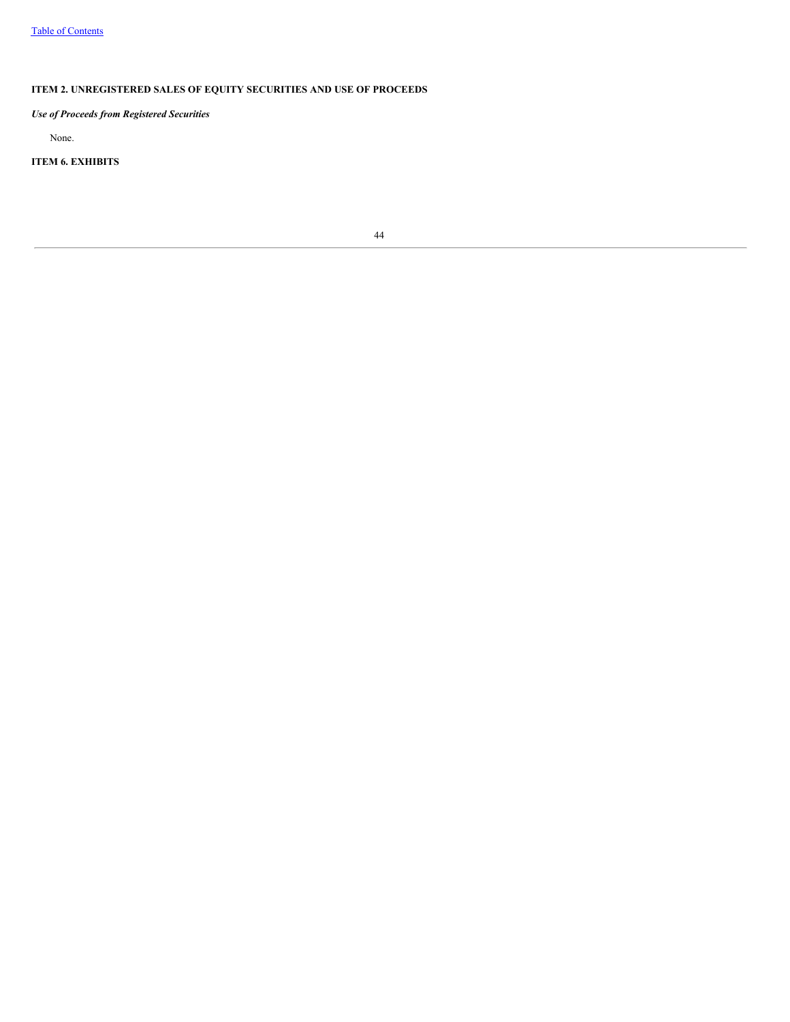# **ITEM 2. UNREGISTERED SALES OF EQUITY SECURITIES AND USE OF PROCEEDS**

# *Use of Proceeds from Registered Securities*

None.

# <span id="page-46-1"></span><span id="page-46-0"></span>**ITEM 6. EXHIBITS**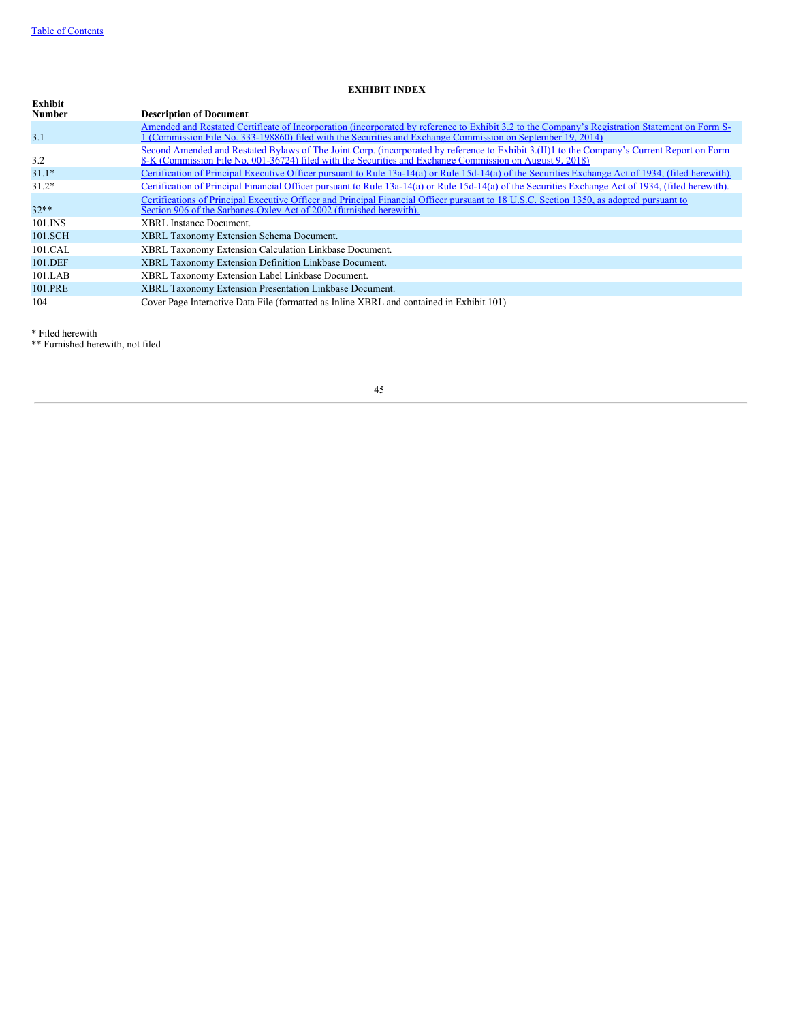## **EXHIBIT INDEX**

| <b>Exhibit</b><br><b>Number</b> | <b>Description of Document</b>                                                                                                                                                                                                                                |
|---------------------------------|---------------------------------------------------------------------------------------------------------------------------------------------------------------------------------------------------------------------------------------------------------------|
| 3.1                             | Amended and Restated Certificate of Incorporation (incorporated by reference to Exhibit 3.2 to the Company's Registration Statement on Form S-<br>1 (Commission File No. 333-198860) filed with the Securities and Exchange Commission on September 19, 2014) |
| 3.2                             | Second Amended and Restated Bylaws of The Joint Corp. (incorporated by reference to Exhibit 3.(II)1 to the Company's Current Report on Form<br>8-K (Commission File No. 001-36724) filed with the Securities and Exchange Commission on August 9, 2018)       |
| $31.1*$                         | Certification of Principal Executive Officer pursuant to Rule 13a-14(a) or Rule 15d-14(a) of the Securities Exchange Act of 1934, (filed herewith).                                                                                                           |
| $31.2*$                         | Certification of Principal Financial Officer pursuant to Rule 13a-14(a) or Rule 15d-14(a) of the Securities Exchange Act of 1934, (filed herewith).                                                                                                           |
| $32**$                          | Certifications of Principal Executive Officer and Principal Financial Officer pursuant to 18 U.S.C. Section 1350, as adopted pursuant to<br>Section 906 of the Sarbanes-Oxley Act of 2002 (furnished herewith).                                               |
| 101.INS                         | <b>XBRL</b> Instance Document.                                                                                                                                                                                                                                |
| 101.SCH                         | XBRL Taxonomy Extension Schema Document.                                                                                                                                                                                                                      |
| 101.CAL                         | XBRL Taxonomy Extension Calculation Linkbase Document.                                                                                                                                                                                                        |
| 101.DEF                         | XBRL Taxonomy Extension Definition Linkbase Document.                                                                                                                                                                                                         |
| 101.LAB                         | XBRL Taxonomy Extension Label Linkbase Document.                                                                                                                                                                                                              |
| 101.PRE                         | XBRL Taxonomy Extension Presentation Linkbase Document.                                                                                                                                                                                                       |
| 104                             | Cover Page Interactive Data File (formatted as Inline XBRL and contained in Exhibit 101)                                                                                                                                                                      |

\* Filed herewith

<span id="page-47-0"></span>\*\* Furnished herewith, not filed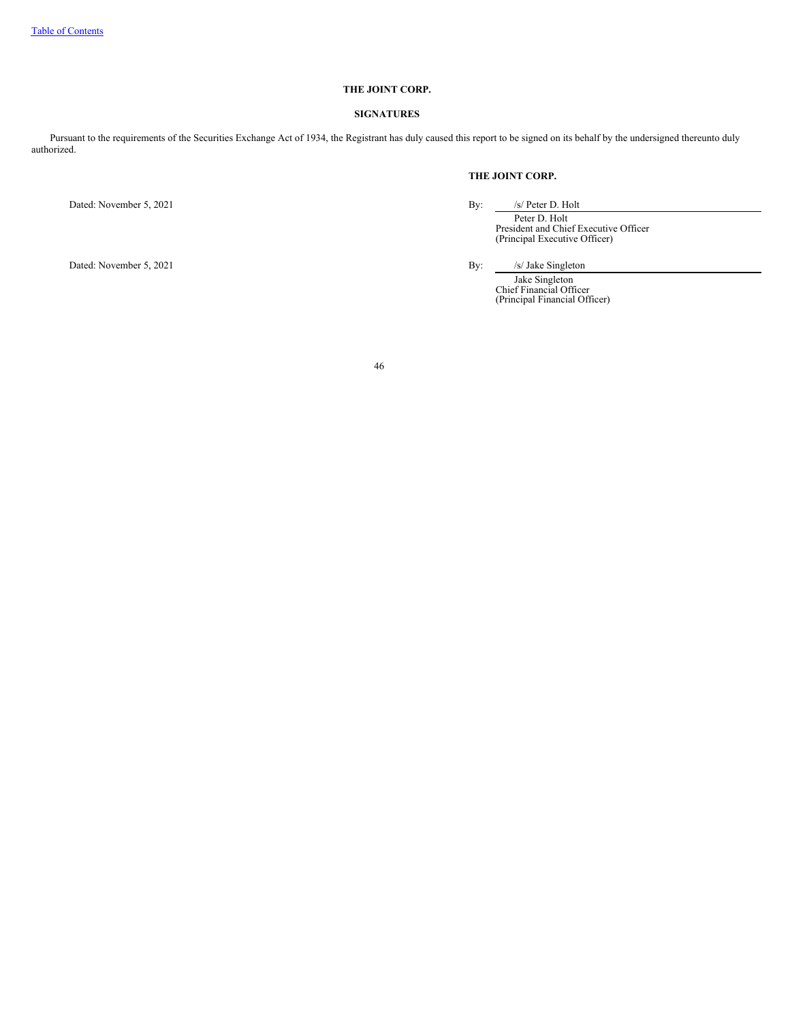### **THE JOINT CORP.**

## **SIGNATURES**

Pursuant to the requirements of the Securities Exchange Act of 1934, the Registrant has duly caused this report to be signed on its behalf by the undersigned thereunto duly authorized.

## **THE JOINT CORP.**

Dated: November 5, 2021 By: /s/ Peter D. Holt

Peter D. Holt

President and Chief Executive Officer (Principal Executive Officer)

Dated: November 5, 2021 By: /s/ Jake Singleton

Jake Singleton Chief Financial Officer (Principal Financial Officer)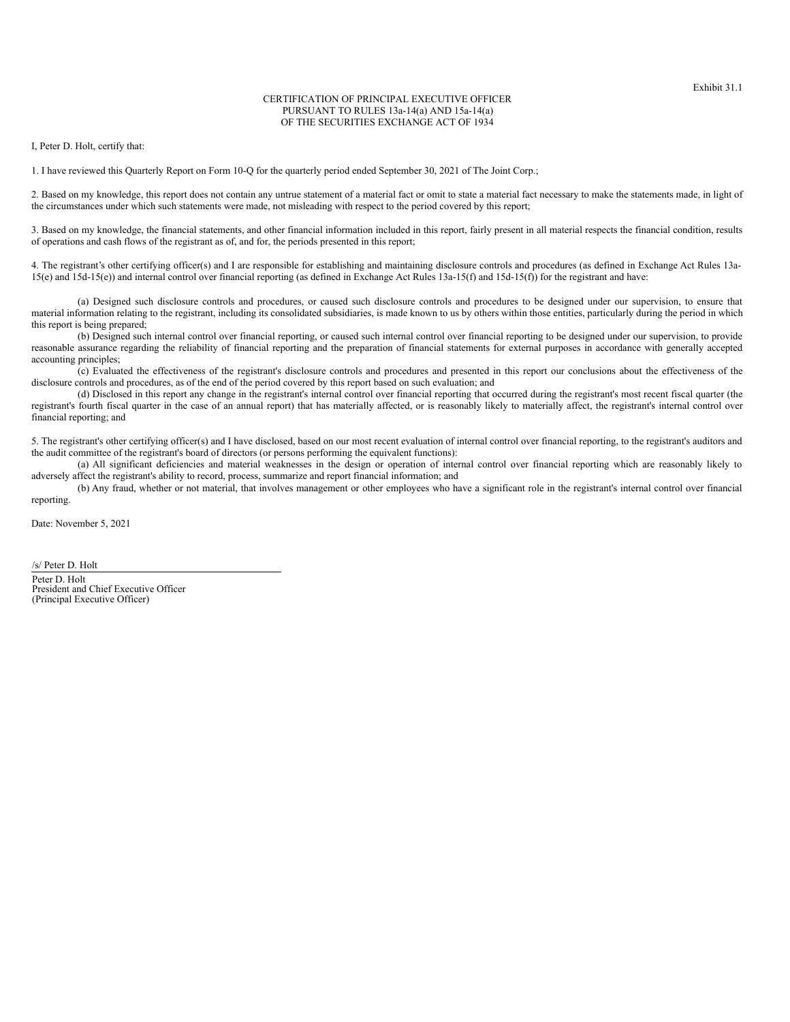### CERTIFICATION OF PRINCIPAL EXECUTIVE OFFICER PURSUANT TO RULES 13a-14(a) AND 15a-14(a) OF THE SECURITIES EXCHANGE ACT OF 1934

<span id="page-49-0"></span>I, Peter D. Holt, certify that:

1. I have reviewed this Quarterly Report on Form 10-Q for the quarterly period ended September 30, 2021 of The Joint Corp.;

2. Based on my knowledge, this report does not contain any untrue statement of a material fact or omit to state a material fact necessary to make the statements made, in light of the circumstances under which such statements were made, not misleading with respect to the period covered by this report;

3. Based on my knowledge, the financial statements, and other financial information included in this report, fairly present in all material respects the financial condition, results of operations and cash flows of the registrant as of, and for, the periods presented in this report;

4. The registrant's other certifying officer(s) and I are responsible for establishing and maintaining disclosure controls and procedures (as defined in Exchange Act Rules 13a-15(e) and 15d-15(e)) and internal control over financial reporting (as defined in Exchange Act Rules 13a-15(f) and 15d-15(f)) for the registrant and have:

(a) Designed such disclosure controls and procedures, or caused such disclosure controls and procedures to be designed under our supervision, to ensure that material information relating to the registrant, including its consolidated subsidiaries, is made known to us by others within those entities, particularly during the period in which this report is being prepared;

(b) Designed such internal control over financial reporting, or caused such internal control over financial reporting to be designed under our supervision, to provide reasonable assurance regarding the reliability of financial reporting and the preparation of financial statements for external purposes in accordance with generally accepted accounting principles;

(c) Evaluated the effectiveness of the registrant's disclosure controls and procedures and presented in this report our conclusions about the effectiveness of the disclosure controls and procedures, as of the end of the period covered by this report based on such evaluation; and

(d) Disclosed in this report any change in the registrant's internal control over financial reporting that occurred during the registrant's most recent fiscal quarter (the registrant's fourth fiscal quarter in the case of an annual report) that has materially affected, or is reasonably likely to materially affect, the registrant's internal control over financial reporting; and

5. The registrant's other certifying officer(s) and I have disclosed, based on our most recent evaluation of internal control over financial reporting, to the registrant's auditors and the audit committee of the registrant's board of directors (or persons performing the equivalent functions):

(a) All significant deficiencies and material weaknesses in the design or operation of internal control over financial reporting which are reasonably likely to adversely affect the registrant's ability to record, process, summarize and report financial information; and

(b) Any fraud, whether or not material, that involves management or other employees who have a significant role in the registrant's internal control over financial reporting.

Date: November 5, 2021

/s/ Peter D. Holt Peter D. Holt President and Chief Executive Officer (Principal Executive Officer)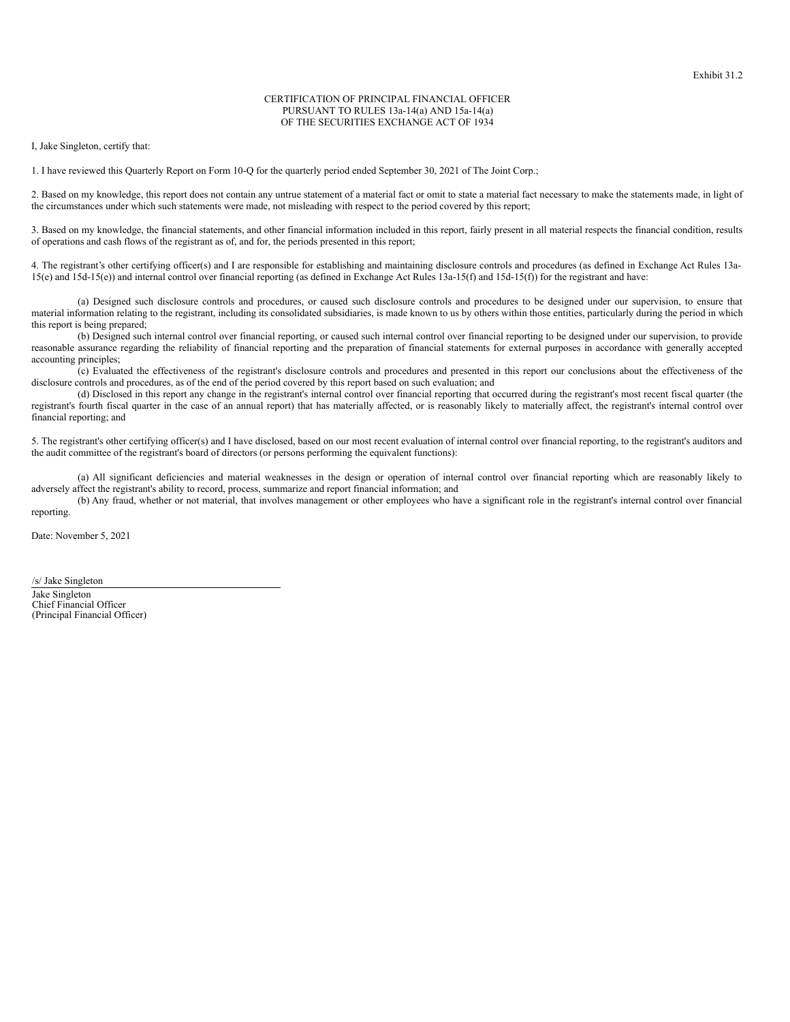### CERTIFICATION OF PRINCIPAL FINANCIAL OFFICER PURSUANT TO RULES 13a-14(a) AND 15a-14(a) OF THE SECURITIES EXCHANGE ACT OF 1934

<span id="page-50-0"></span>I, Jake Singleton, certify that:

1. I have reviewed this Quarterly Report on Form 10-Q for the quarterly period ended September 30, 2021 of The Joint Corp.;

2. Based on my knowledge, this report does not contain any untrue statement of a material fact or omit to state a material fact necessary to make the statements made, in light of the circumstances under which such statements were made, not misleading with respect to the period covered by this report;

3. Based on my knowledge, the financial statements, and other financial information included in this report, fairly present in all material respects the financial condition, results of operations and cash flows of the registrant as of, and for, the periods presented in this report;

4. The registrant's other certifying officer(s) and I are responsible for establishing and maintaining disclosure controls and procedures (as defined in Exchange Act Rules 13a-15(e) and 15d-15(e)) and internal control over financial reporting (as defined in Exchange Act Rules 13a-15(f) and 15d-15(f)) for the registrant and have:

(a) Designed such disclosure controls and procedures, or caused such disclosure controls and procedures to be designed under our supervision, to ensure that material information relating to the registrant, including its consolidated subsidiaries, is made known to us by others within those entities, particularly during the period in which this report is being prepared;

(b) Designed such internal control over financial reporting, or caused such internal control over financial reporting to be designed under our supervision, to provide reasonable assurance regarding the reliability of financial reporting and the preparation of financial statements for external purposes in accordance with generally accepted accounting principles;

(c) Evaluated the effectiveness of the registrant's disclosure controls and procedures and presented in this report our conclusions about the effectiveness of the disclosure controls and procedures, as of the end of the period covered by this report based on such evaluation; and

(d) Disclosed in this report any change in the registrant's internal control over financial reporting that occurred during the registrant's most recent fiscal quarter (the registrant's fourth fiscal quarter in the case of an annual report) that has materially affected, or is reasonably likely to materially affect, the registrant's internal control over financial reporting; and

5. The registrant's other certifying officer(s) and I have disclosed, based on our most recent evaluation of internal control over financial reporting, to the registrant's auditors and the audit committee of the registrant's board of directors (or persons performing the equivalent functions):

(a) All significant deficiencies and material weaknesses in the design or operation of internal control over financial reporting which are reasonably likely to adversely affect the registrant's ability to record, process, summarize and report financial information; and

(b) Any fraud, whether or not material, that involves management or other employees who have a significant role in the registrant's internal control over financial reporting.

Date: November 5, 2021

/s/ Jake Singleton

Jake Singleton Chief Financial Officer (Principal Financial Officer)